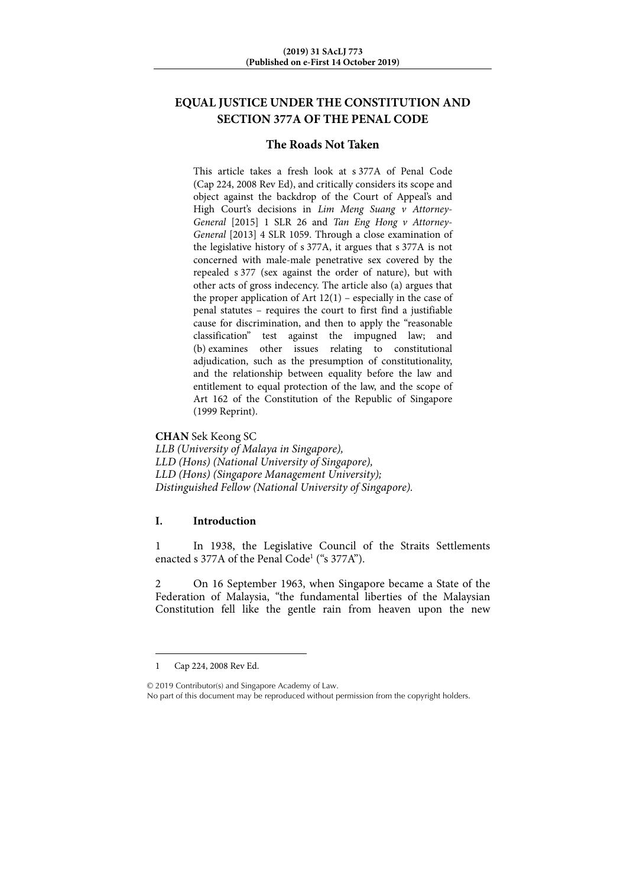# **EQUAL JUSTICE UNDER THE CONSTITUTION AND SECTION 377A OF THE PENAL CODE**

# **The Roads Not Taken**

This article takes a fresh look at s 377A of Penal Code (Cap 224, 2008 Rev Ed), and critically considers its scope and object against the backdrop of the Court of Appeal's and High Court's decisions in Lim Meng Suang v Attorney-General [2015] 1 SLR 26 and Tan Eng Hong v Attorney-General [2013] 4 SLR 1059. Through a close examination of the legislative history of s 377A, it argues that s 377A is not concerned with male-male penetrative sex covered by the repealed s 377 (sex against the order of nature), but with other acts of gross indecency. The article also (a) argues that the proper application of Art  $12(1)$  – especially in the case of penal statutes – requires the court to first find a justifiable cause for discrimination, and then to apply the "reasonable classification" test against the impugned law; and (b) examines other issues relating to constitutional adjudication, such as the presumption of constitutionality, and the relationship between equality before the law and entitlement to equal protection of the law, and the scope of Art 162 of the Constitution of the Republic of Singapore (1999 Reprint).

**CHAN** Sek Keong SC

LLB (University of Malaya in Singapore), LLD (Hons) (National University of Singapore), LLD (Hons) (Singapore Management University); Distinguished Fellow (National University of Singapore).

# **I. Introduction**

1 In 1938, the Legislative Council of the Straits Settlements enacted s 377A of the Penal Code<sup>1</sup> ("s 377A").

2 On 16 September 1963, when Singapore became a State of the Federation of Malaysia, "the fundamental liberties of the Malaysian Constitution fell like the gentle rain from heaven upon the new

<sup>1</sup> Cap 224, 2008 Rev Ed.

<sup>© 2019</sup> Contributor(s) and Singapore Academy of Law. No part of this document may be reproduced without permission from the copyright holders.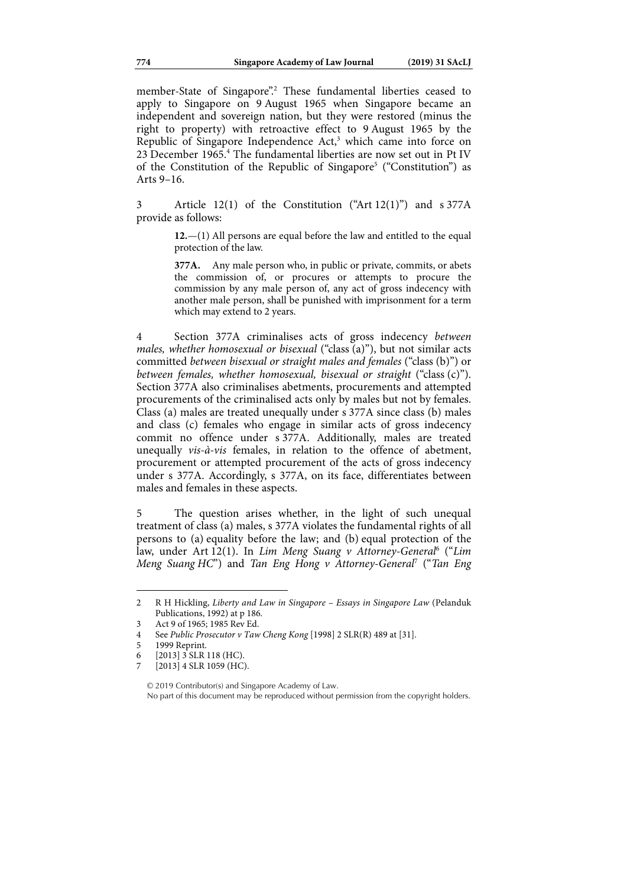member-State of Singapore".<sup>2</sup> These fundamental liberties ceased to apply to Singapore on 9 August 1965 when Singapore became an independent and sovereign nation, but they were restored (minus the right to property) with retroactive effect to 9 August 1965 by the Republic of Singapore Independence Act,<sup>3</sup> which came into force on 23 December 1965.<sup>4</sup> The fundamental liberties are now set out in Pt IV of the Constitution of the Republic of Singapore<sup>5</sup> ("Constitution") as Arts 9–16.

3 Article 12(1) of the Constitution ("Art 12(1)") and s 377A provide as follows:

> **12.**—(1) All persons are equal before the law and entitled to the equal protection of the law.

> **377A.** Any male person who, in public or private, commits, or abets the commission of, or procures or attempts to procure the commission by any male person of, any act of gross indecency with another male person, shall be punished with imprisonment for a term which may extend to 2 years.

4 Section 377A criminalises acts of gross indecency between males, whether homosexual or bisexual ("class (a)"), but not similar acts committed between bisexual or straight males and females ("class (b)") or between females, whether homosexual, bisexual or straight ("class (c)"). Section 377A also criminalises abetments, procurements and attempted procurements of the criminalised acts only by males but not by females. Class (a) males are treated unequally under s 377A since class (b) males and class (c) females who engage in similar acts of gross indecency commit no offence under s 377A. Additionally, males are treated unequally vis-à-vis females, in relation to the offence of abetment, procurement or attempted procurement of the acts of gross indecency under s 377A. Accordingly, s 377A, on its face, differentiates between males and females in these aspects.

The question arises whether, in the light of such unequal treatment of class (a) males, s 377A violates the fundamental rights of all persons to (a) equality before the law; and (b) equal protection of the law, under Art 12(1). In *Lim Meng Suang v Attorney-General*<sup>6</sup> ("*Lim* Meng Suang HC") and Tan Eng Hong v Attorney-General<sup>7</sup> ("Tan Eng

 $\overline{a}$ 

<sup>2</sup> R H Hickling, Liberty and Law in Singapore – Essays in Singapore Law (Pelanduk Publications, 1992) at p 186.

<sup>3</sup> Act 9 of 1965; 1985 Rev Ed.

<sup>4</sup> See Public Prosecutor v Taw Cheng Kong [1998] 2 SLR(R) 489 at [31].

<sup>5 1999</sup> Reprint.

<sup>6 [2013] 3</sup> SLR 118 (HC).

<sup>7 [2013] 4</sup> SLR 1059 (HC).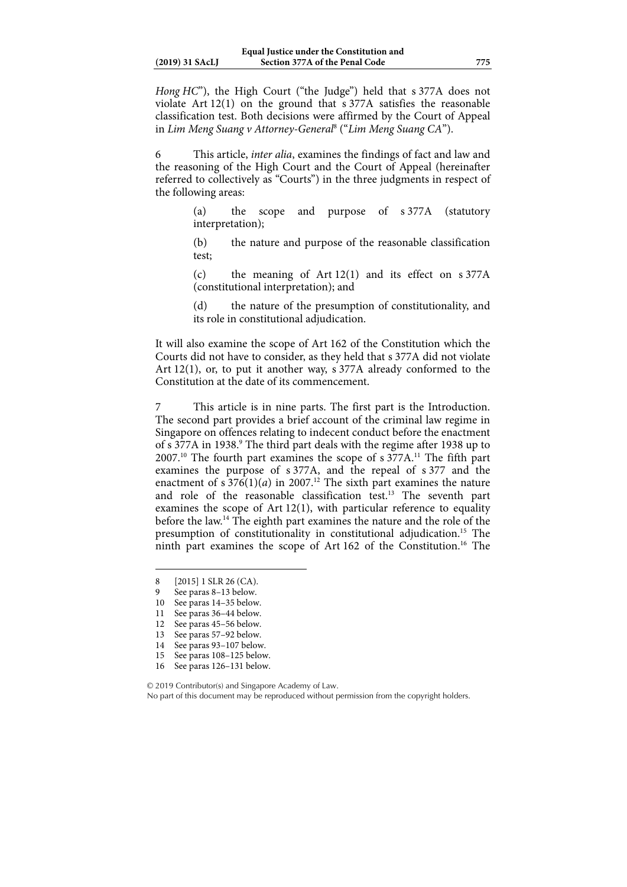Hong HC"), the High Court ("the Judge") held that s 377A does not violate Art 12(1) on the ground that s 377A satisfies the reasonable classification test. Both decisions were affirmed by the Court of Appeal in Lim Meng Suang v Attorney-General<sup>8</sup> ("Lim Meng Suang CA").

6 This article, inter alia, examines the findings of fact and law and the reasoning of the High Court and the Court of Appeal (hereinafter referred to collectively as "Courts") in the three judgments in respect of the following areas:

> (a) the scope and purpose of s 377A (statutory interpretation);

> (b) the nature and purpose of the reasonable classification test;

> (c) the meaning of Art 12(1) and its effect on s 377A (constitutional interpretation); and

> (d) the nature of the presumption of constitutionality, and its role in constitutional adjudication.

It will also examine the scope of Art 162 of the Constitution which the Courts did not have to consider, as they held that s 377A did not violate Art 12(1), or, to put it another way, s 377A already conformed to the Constitution at the date of its commencement.

7 This article is in nine parts. The first part is the Introduction. The second part provides a brief account of the criminal law regime in Singapore on offences relating to indecent conduct before the enactment of s 377A in 1938.<sup>9</sup> The third part deals with the regime after 1938 up to  $2007<sup>10</sup>$  The fourth part examines the scope of s  $377A<sup>11</sup>$  The fifth part examines the purpose of s 377A, and the repeal of s 377 and the enactment of s  $376(1)(a)$  in 2007.<sup>12</sup> The sixth part examines the nature and role of the reasonable classification test.<sup>13</sup> The seventh part examines the scope of Art 12(1), with particular reference to equality before the law.14 The eighth part examines the nature and the role of the presumption of constitutionality in constitutional adjudication.15 The ninth part examines the scope of Art 162 of the Constitution.<sup>16</sup> The

1

- 14 See paras 93–107 below.
- 15 See paras 108–125 below.
- 16 See paras 126–131 below.

© 2019 Contributor(s) and Singapore Academy of Law. No part of this document may be reproduced without permission from the copyright holders.

<sup>8 [2015] 1</sup> SLR 26 (CA).

<sup>9</sup> See paras 8–13 below.

<sup>10</sup> See paras 14–35 below.

<sup>11</sup> See paras 36–44 below.

<sup>12</sup> See paras 45–56 below.

<sup>13</sup> See paras 57–92 below.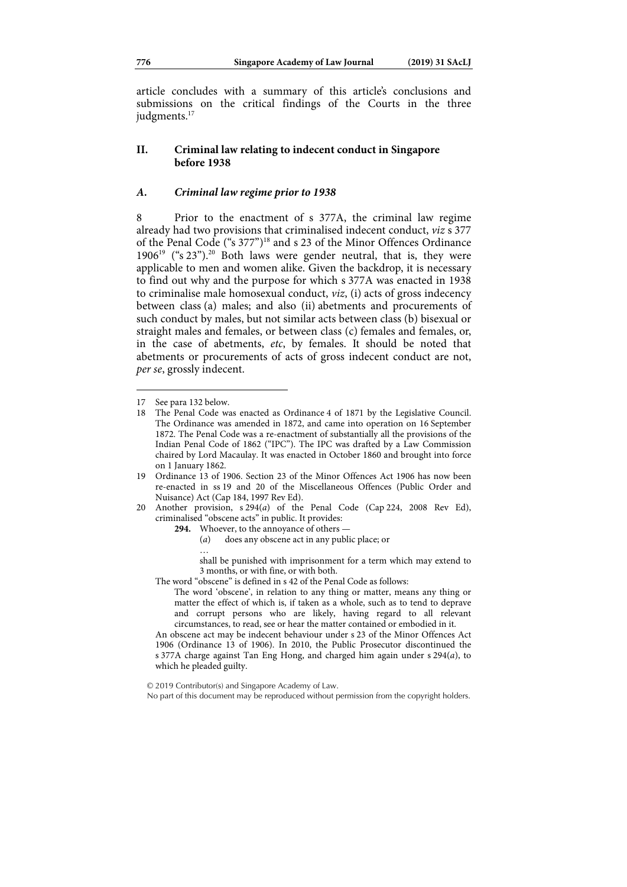article concludes with a summary of this article's conclusions and submissions on the critical findings of the Courts in the three judgments.<sup>17</sup>

#### **II. Criminal law relating to indecent conduct in Singapore before 1938**

#### *A. Criminal law regime prior to 1938*

8 Prior to the enactment of s 377A, the criminal law regime already had two provisions that criminalised indecent conduct, viz s 377 of the Penal Code ("s 377")18 and s 23 of the Minor Offences Ordinance  $1906^{19}$  ("s  $23$ ").<sup>20</sup> Both laws were gender neutral, that is, they were applicable to men and women alike. Given the backdrop, it is necessary to find out why and the purpose for which s 377A was enacted in 1938 to criminalise male homosexual conduct, viz, (i) acts of gross indecency between class (a) males; and also (ii) abetments and procurements of such conduct by males, but not similar acts between class (b) bisexual or straight males and females, or between class (c) females and females, or, in the case of abetments, etc, by females. It should be noted that abetments or procurements of acts of gross indecent conduct are not, per se, grossly indecent.

…

1

(a) does any obscene act in any public place; or

shall be punished with imprisonment for a term which may extend to 3 months, or with fine, or with both.

The word "obscene" is defined in s 42 of the Penal Code as follows:

The word 'obscene', in relation to any thing or matter, means any thing or matter the effect of which is, if taken as a whole, such as to tend to deprave and corrupt persons who are likely, having regard to all relevant circumstances, to read, see or hear the matter contained or embodied in it.

 An obscene act may be indecent behaviour under s 23 of the Minor Offences Act 1906 (Ordinance 13 of 1906). In 2010, the Public Prosecutor discontinued the s 377A charge against Tan Eng Hong, and charged him again under  $s$  294(*a*), to which he pleaded guilty.

<sup>17</sup> See para 132 below.

<sup>18</sup> The Penal Code was enacted as Ordinance 4 of 1871 by the Legislative Council. The Ordinance was amended in 1872, and came into operation on 16 September 1872. The Penal Code was a re-enactment of substantially all the provisions of the Indian Penal Code of 1862 ("IPC"). The IPC was drafted by a Law Commission chaired by Lord Macaulay. It was enacted in October 1860 and brought into force on 1 January 1862.

<sup>19</sup> Ordinance 13 of 1906. Section 23 of the Minor Offences Act 1906 has now been re-enacted in ss 19 and 20 of the Miscellaneous Offences (Public Order and Nuisance) Act (Cap 184, 1997 Rev Ed).

<sup>20</sup> Another provision,  $s 294(a)$  of the Penal Code (Cap 224, 2008 Rev Ed), criminalised "obscene acts" in public. It provides:

**<sup>294.</sup>** Whoever, to the annoyance of others —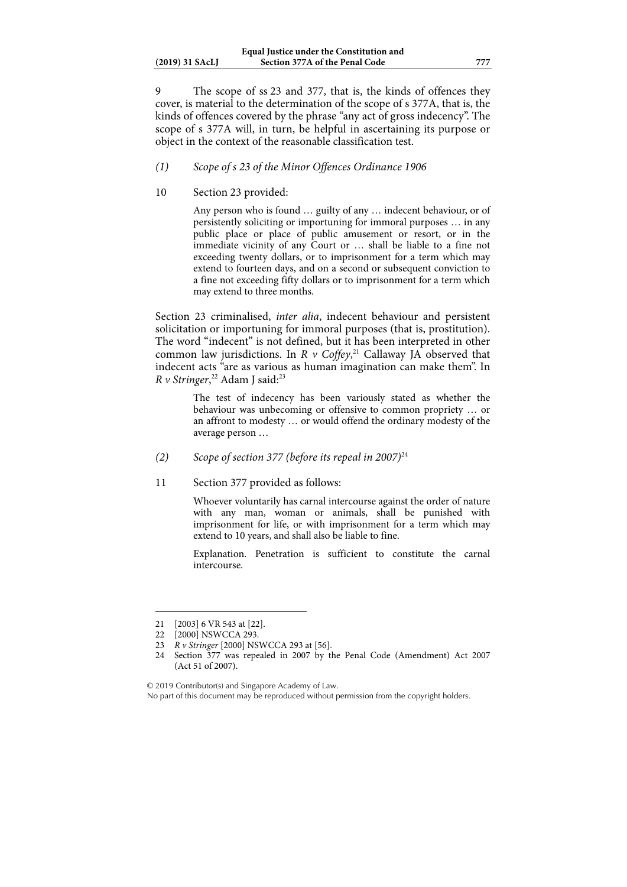9 The scope of ss 23 and 377, that is, the kinds of offences they cover, is material to the determination of the scope of s 377A, that is, the kinds of offences covered by the phrase "any act of gross indecency". The scope of s 377A will, in turn, be helpful in ascertaining its purpose or object in the context of the reasonable classification test.

(1) Scope of s 23 of the Minor Offences Ordinance 1906

### 10 Section 23 provided:

Any person who is found … guilty of any … indecent behaviour, or of persistently soliciting or importuning for immoral purposes … in any public place or place of public amusement or resort, or in the immediate vicinity of any Court or … shall be liable to a fine not exceeding twenty dollars, or to imprisonment for a term which may extend to fourteen days, and on a second or subsequent conviction to a fine not exceeding fifty dollars or to imprisonment for a term which may extend to three months.

Section 23 criminalised, inter alia, indecent behaviour and persistent solicitation or importuning for immoral purposes (that is, prostitution). The word "indecent" is not defined, but it has been interpreted in other common law jurisdictions. In  $R \nu$  Coffey,<sup>21</sup> Callaway JA observed that indecent acts "are as various as human imagination can make them". In R v Stringer,<sup>22</sup> Adam J said:<sup>23</sup>

> The test of indecency has been variously stated as whether the behaviour was unbecoming or offensive to common propriety … or an affront to modesty … or would offend the ordinary modesty of the average person …

- (2) Scope of section 377 (before its repeal in  $2007)^{24}$
- 11 Section 377 provided as follows:

Whoever voluntarily has carnal intercourse against the order of nature with any man, woman or animals, shall be punished with imprisonment for life, or with imprisonment for a term which may extend to 10 years, and shall also be liable to fine.

Explanation. Penetration is sufficient to constitute the carnal intercourse.

1

© 2019 Contributor(s) and Singapore Academy of Law.

<sup>21 [2003] 6</sup> VR 543 at [22].

<sup>22 [2000]</sup> NSWCCA 293.

<sup>23</sup> R v Stringer [2000] NSWCCA 293 at [56].

<sup>24</sup> Section 377 was repealed in 2007 by the Penal Code (Amendment) Act 2007 (Act 51 of 2007).

No part of this document may be reproduced without permission from the copyright holders.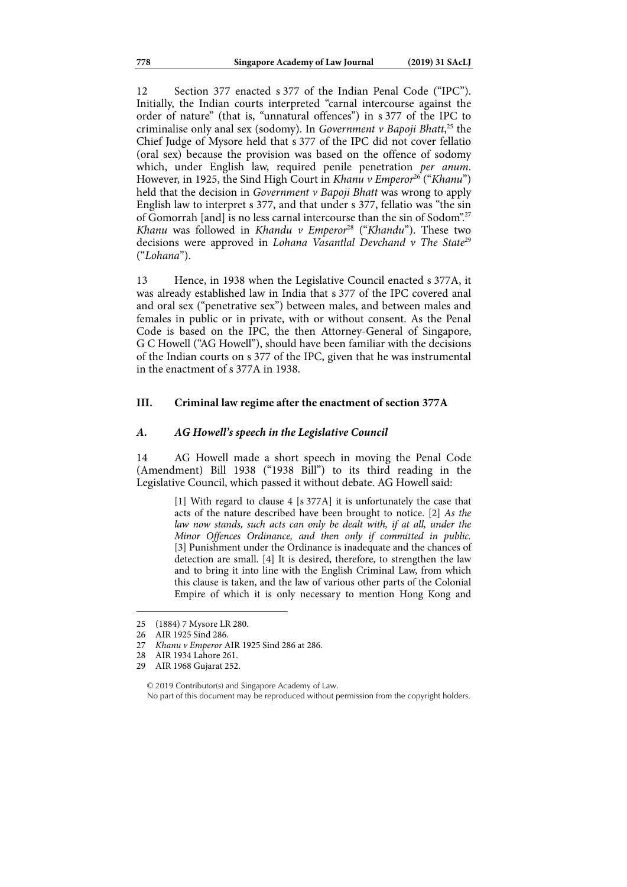12 Section 377 enacted s 377 of the Indian Penal Code ("IPC"). Initially, the Indian courts interpreted "carnal intercourse against the order of nature" (that is, "unnatural offences") in s 377 of the IPC to criminalise only anal sex (sodomy). In Government v Bapoji Bhatt,<sup>25</sup> the Chief Judge of Mysore held that s 377 of the IPC did not cover fellatio (oral sex) because the provision was based on the offence of sodomy which, under English law, required penile penetration per anum. However, in 1925, the Sind High Court in Khanu v Emperor<sup>26</sup> ("Khanu") held that the decision in Government v Bapoji Bhatt was wrong to apply English law to interpret s 377, and that under s 377, fellatio was "the sin of Gomorrah [and] is no less carnal intercourse than the sin of Sodom".27 Khanu was followed in Khandu v Emperor<sup>28</sup> ("Khandu"). These two decisions were approved in Lohana Vasantlal Devchand  $v$  The State<sup>29</sup> ("Lohana").

13 Hence, in 1938 when the Legislative Council enacted s 377A, it was already established law in India that s 377 of the IPC covered anal and oral sex ("penetrative sex") between males, and between males and females in public or in private, with or without consent. As the Penal Code is based on the IPC, the then Attorney-General of Singapore, G C Howell ("AG Howell"), should have been familiar with the decisions of the Indian courts on s 377 of the IPC, given that he was instrumental in the enactment of s 377A in 1938.

#### **III. Criminal law regime after the enactment of section 377A**

#### *A. AG Howell's speech in the Legislative Council*

14 AG Howell made a short speech in moving the Penal Code (Amendment) Bill 1938 ("1938 Bill") to its third reading in the Legislative Council, which passed it without debate. AG Howell said:

> [1] With regard to clause 4 [s 377A] it is unfortunately the case that acts of the nature described have been brought to notice. [2] As the law now stands, such acts can only be dealt with, if at all, under the Minor Offences Ordinance, and then only if committed in public. [3] Punishment under the Ordinance is inadequate and the chances of detection are small. [4] It is desired, therefore, to strengthen the law and to bring it into line with the English Criminal Law, from which this clause is taken, and the law of various other parts of the Colonial Empire of which it is only necessary to mention Hong Kong and

<sup>25 (1884) 7</sup> Mysore LR 280.

<sup>26</sup> AIR 1925 Sind 286.

<sup>27</sup> Khanu v Emperor AIR 1925 Sind 286 at 286.

<sup>28</sup> AIR 1934 Lahore 261.

<sup>29</sup> AIR 1968 Gujarat 252.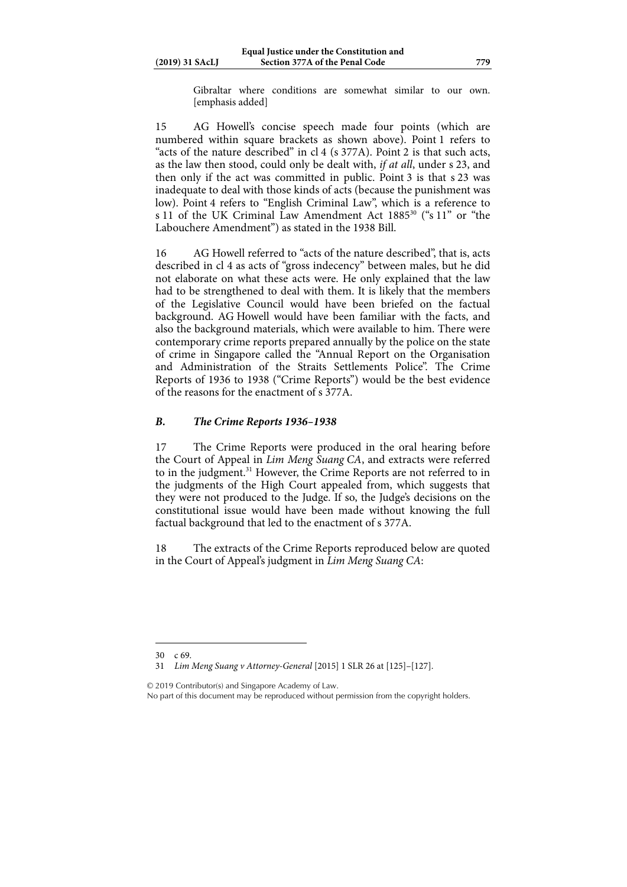Gibraltar where conditions are somewhat similar to our own. [emphasis added]

15 AG Howell's concise speech made four points (which are numbered within square brackets as shown above). Point 1 refers to "acts of the nature described" in cl 4 (s 377A). Point 2 is that such acts, as the law then stood, could only be dealt with, if at all, under s 23, and then only if the act was committed in public. Point 3 is that s 23 was inadequate to deal with those kinds of acts (because the punishment was low). Point 4 refers to "English Criminal Law", which is a reference to s 11 of the UK Criminal Law Amendment Act 1885<sup>30</sup> ("s 11" or "the Labouchere Amendment") as stated in the 1938 Bill.

16 AG Howell referred to "acts of the nature described", that is, acts described in cl 4 as acts of "gross indecency" between males, but he did not elaborate on what these acts were. He only explained that the law had to be strengthened to deal with them. It is likely that the members of the Legislative Council would have been briefed on the factual background. AG Howell would have been familiar with the facts, and also the background materials, which were available to him. There were contemporary crime reports prepared annually by the police on the state of crime in Singapore called the "Annual Report on the Organisation and Administration of the Straits Settlements Police". The Crime Reports of 1936 to 1938 ("Crime Reports") would be the best evidence of the reasons for the enactment of s 377A.

# *B. The Crime Reports 1936–1938*

17 The Crime Reports were produced in the oral hearing before the Court of Appeal in Lim Meng Suang CA, and extracts were referred to in the judgment.<sup>31</sup> However, the Crime Reports are not referred to in the judgments of the High Court appealed from, which suggests that they were not produced to the Judge. If so, the Judge's decisions on the constitutional issue would have been made without knowing the full factual background that led to the enactment of s 377A.

18 The extracts of the Crime Reports reproduced below are quoted in the Court of Appeal's judgment in Lim Meng Suang CA:

1

© 2019 Contributor(s) and Singapore Academy of Law.

No part of this document may be reproduced without permission from the copyright holders.

<sup>30</sup> c 69.

<sup>31</sup> Lim Meng Suang v Attorney-General [2015] 1 SLR 26 at [125]–[127].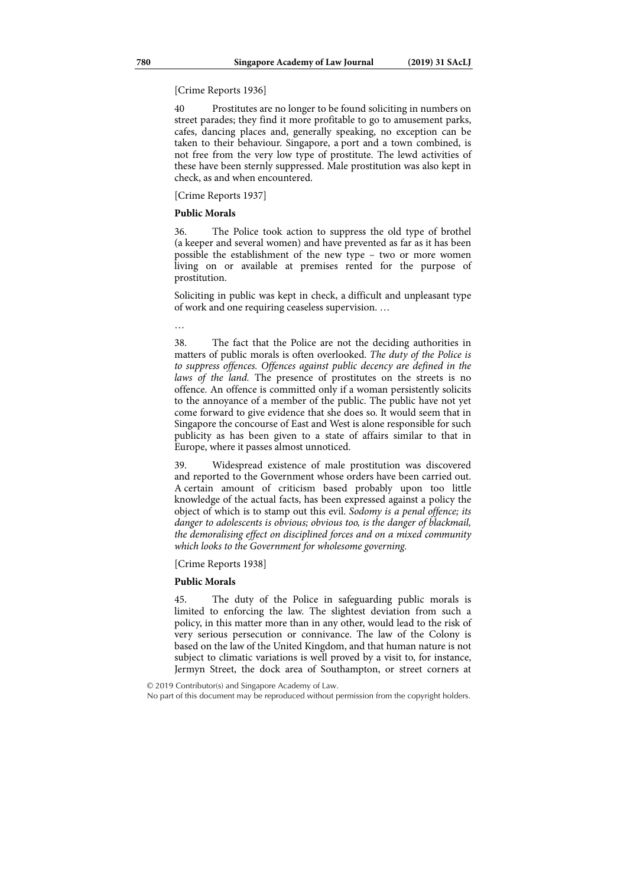[Crime Reports 1936]

40 Prostitutes are no longer to be found soliciting in numbers on street parades; they find it more profitable to go to amusement parks, cafes, dancing places and, generally speaking, no exception can be taken to their behaviour. Singapore, a port and a town combined, is not free from the very low type of prostitute. The lewd activities of these have been sternly suppressed. Male prostitution was also kept in check, as and when encountered.

[Crime Reports 1937]

#### **Public Morals**

36. The Police took action to suppress the old type of brothel (a keeper and several women) and have prevented as far as it has been possible the establishment of the new type – two or more women living on or available at premises rented for the purpose of prostitution.

Soliciting in public was kept in check, a difficult and unpleasant type of work and one requiring ceaseless supervision. …

…

38. The fact that the Police are not the deciding authorities in matters of public morals is often overlooked. The duty of the Police is to suppress offences. Offences against public decency are defined in the laws of the land. The presence of prostitutes on the streets is no offence. An offence is committed only if a woman persistently solicits to the annoyance of a member of the public. The public have not yet come forward to give evidence that she does so. It would seem that in Singapore the concourse of East and West is alone responsible for such publicity as has been given to a state of affairs similar to that in Europe, where it passes almost unnoticed.

39. Widespread existence of male prostitution was discovered and reported to the Government whose orders have been carried out. A certain amount of criticism based probably upon too little knowledge of the actual facts, has been expressed against a policy the object of which is to stamp out this evil. Sodomy is a penal offence; its danger to adolescents is obvious; obvious too, is the danger of blackmail, the demoralising effect on disciplined forces and on a mixed community which looks to the Government for wholesome governing.

[Crime Reports 1938]

#### **Public Morals**

45. The duty of the Police in safeguarding public morals is limited to enforcing the law. The slightest deviation from such a policy, in this matter more than in any other, would lead to the risk of very serious persecution or connivance. The law of the Colony is based on the law of the United Kingdom, and that human nature is not subject to climatic variations is well proved by a visit to, for instance, Jermyn Street, the dock area of Southampton, or street corners at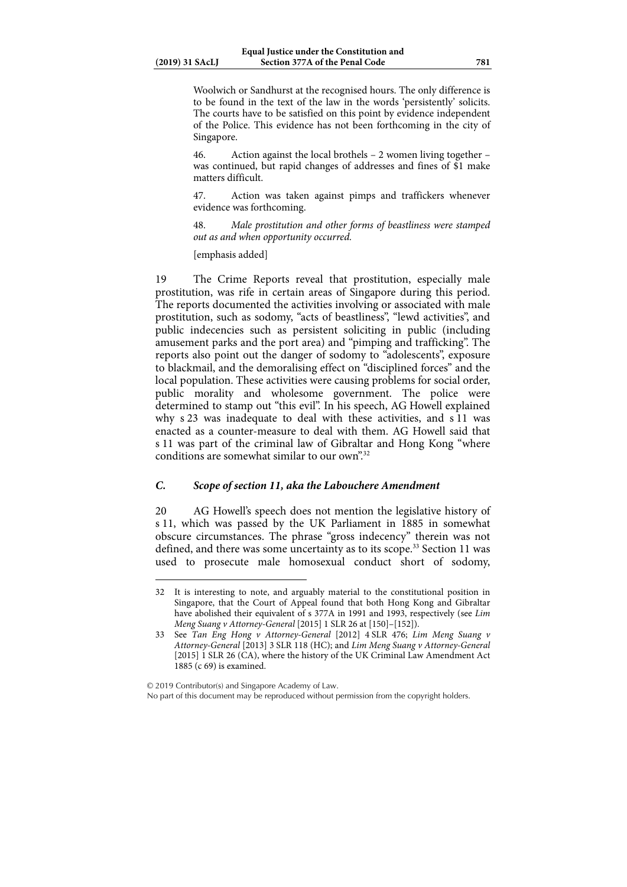Woolwich or Sandhurst at the recognised hours. The only difference is to be found in the text of the law in the words 'persistently' solicits. The courts have to be satisfied on this point by evidence independent of the Police. This evidence has not been forthcoming in the city of Singapore.

46. Action against the local brothels – 2 women living together – was continued, but rapid changes of addresses and fines of \$1 make matters difficult.

47. Action was taken against pimps and traffickers whenever evidence was forthcoming.

48. Male prostitution and other forms of beastliness were stamped out as and when opportunity occurred.

[emphasis added]

19 The Crime Reports reveal that prostitution, especially male prostitution, was rife in certain areas of Singapore during this period. The reports documented the activities involving or associated with male prostitution, such as sodomy, "acts of beastliness", "lewd activities", and public indecencies such as persistent soliciting in public (including amusement parks and the port area) and "pimping and trafficking". The reports also point out the danger of sodomy to "adolescents", exposure to blackmail, and the demoralising effect on "disciplined forces" and the local population. These activities were causing problems for social order, public morality and wholesome government. The police were determined to stamp out "this evil". In his speech, AG Howell explained why s 23 was inadequate to deal with these activities, and s 11 was enacted as a counter-measure to deal with them. AG Howell said that s 11 was part of the criminal law of Gibraltar and Hong Kong "where conditions are somewhat similar to our own".32

### *C. Scope of section 11, aka the Labouchere Amendment*

20 AG Howell's speech does not mention the legislative history of s 11, which was passed by the UK Parliament in 1885 in somewhat obscure circumstances. The phrase "gross indecency" therein was not defined, and there was some uncertainty as to its scope.<sup>33</sup> Section 11 was used to prosecute male homosexual conduct short of sodomy,

© 2019 Contributor(s) and Singapore Academy of Law.

<sup>32</sup> It is interesting to note, and arguably material to the constitutional position in Singapore, that the Court of Appeal found that both Hong Kong and Gibraltar have abolished their equivalent of s 377A in 1991 and 1993, respectively (see Lim Meng Suang v Attorney-General [2015] 1 SLR 26 at [150]–[152]).

<sup>33</sup> See Tan Eng Hong v Attorney-General [2012] 4 SLR 476; Lim Meng Suang v Attorney-General [2013] 3 SLR 118 (HC); and Lim Meng Suang v Attorney-General [2015] 1 SLR 26 (CA), where the history of the UK Criminal Law Amendment Act 1885 (c 69) is examined.

No part of this document may be reproduced without permission from the copyright holders.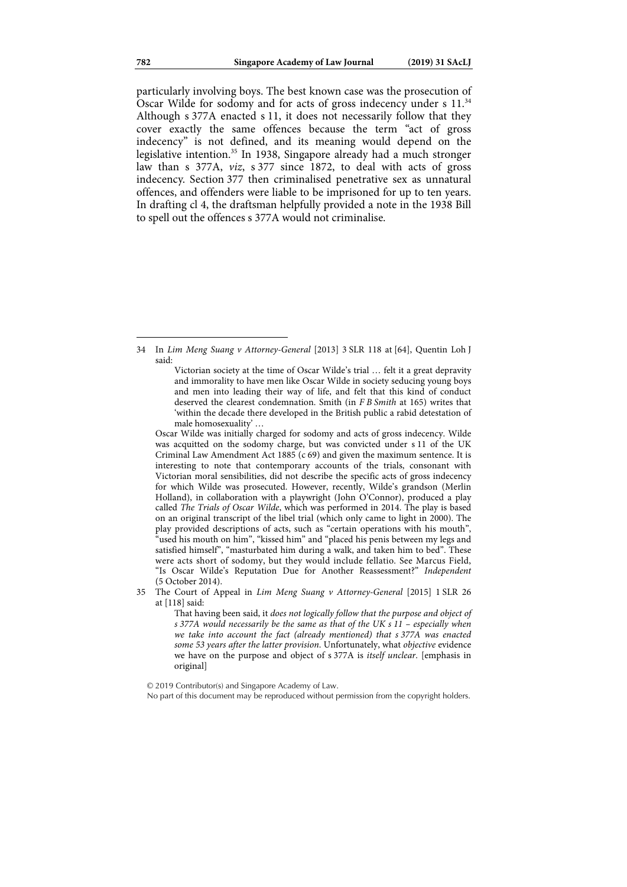particularly involving boys. The best known case was the prosecution of Oscar Wilde for sodomy and for acts of gross indecency under s 11.<sup>34</sup> Although s 377A enacted s 11, it does not necessarily follow that they cover exactly the same offences because the term "act of gross indecency" is not defined, and its meaning would depend on the legislative intention.<sup>35</sup> In 1938, Singapore already had a much stronger law than s 377A, viz, s 377 since 1872, to deal with acts of gross indecency. Section 377 then criminalised penetrative sex as unnatural offences, and offenders were liable to be imprisoned for up to ten years. In drafting cl 4, the draftsman helpfully provided a note in the 1938 Bill to spell out the offences s 377A would not criminalise.

1

No part of this document may be reproduced without permission from the copyright holders.

<sup>34</sup> In Lim Meng Suang v Attorney-General [2013] 3 SLR 118 at [64], Quentin Loh J said:

Victorian society at the time of Oscar Wilde's trial … felt it a great depravity and immorality to have men like Oscar Wilde in society seducing young boys and men into leading their way of life, and felt that this kind of conduct deserved the clearest condemnation. Smith (in F B Smith at 165) writes that 'within the decade there developed in the British public a rabid detestation of male homosexuality' …

Oscar Wilde was initially charged for sodomy and acts of gross indecency. Wilde was acquitted on the sodomy charge, but was convicted under s 11 of the UK Criminal Law Amendment Act 1885 (c 69) and given the maximum sentence. It is interesting to note that contemporary accounts of the trials, consonant with Victorian moral sensibilities, did not describe the specific acts of gross indecency for which Wilde was prosecuted. However, recently, Wilde's grandson (Merlin Holland), in collaboration with a playwright (John O'Connor), produced a play called The Trials of Oscar Wilde, which was performed in 2014. The play is based on an original transcript of the libel trial (which only came to light in 2000). The play provided descriptions of acts, such as "certain operations with his mouth", "used his mouth on him", "kissed him" and "placed his penis between my legs and satisfied himself", "masturbated him during a walk, and taken him to bed". These were acts short of sodomy, but they would include fellatio. See Marcus Field, "Is Oscar Wilde's Reputation Due for Another Reassessment?" Independent (5 October 2014).

<sup>35</sup> The Court of Appeal in Lim Meng Suang v Attorney-General [2015] 1 SLR 26 at [118] said:

That having been said, it does not logically follow that the purpose and object of s 377A would necessarily be the same as that of the UK s 11 – especially when we take into account the fact (already mentioned) that s 377A was enacted some 53 years after the latter provision. Unfortunately, what objective evidence we have on the purpose and object of s 377A is itself unclear. [emphasis in original]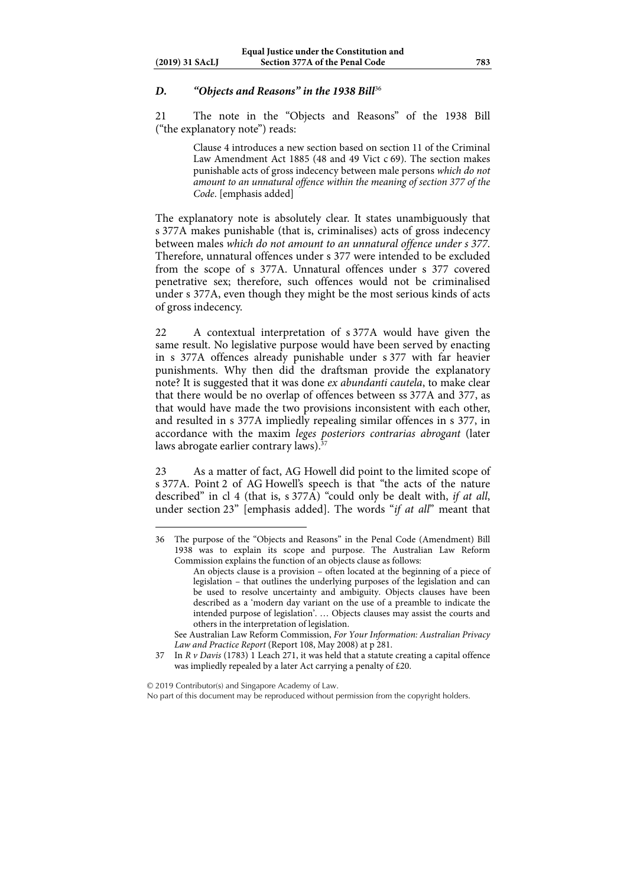1

#### D. "Objects and Reasons" in the 1938 Bill<sup>36</sup>

21 The note in the "Objects and Reasons" of the 1938 Bill ("the explanatory note") reads:

> Clause 4 introduces a new section based on section 11 of the Criminal Law Amendment Act 1885 (48 and 49 Vict c 69). The section makes punishable acts of gross indecency between male persons which do not amount to an unnatural offence within the meaning of section 377 of the Code. [emphasis added]

The explanatory note is absolutely clear. It states unambiguously that s 377A makes punishable (that is, criminalises) acts of gross indecency between males which do not amount to an unnatural offence under s 377. Therefore, unnatural offences under s 377 were intended to be excluded from the scope of s 377A. Unnatural offences under s 377 covered penetrative sex; therefore, such offences would not be criminalised under s 377A, even though they might be the most serious kinds of acts of gross indecency.

22 A contextual interpretation of s 377A would have given the same result. No legislative purpose would have been served by enacting in s 377A offences already punishable under s 377 with far heavier punishments. Why then did the draftsman provide the explanatory note? It is suggested that it was done ex abundanti cautela, to make clear that there would be no overlap of offences between ss 377A and 377, as that would have made the two provisions inconsistent with each other, and resulted in s 377A impliedly repealing similar offences in s 377, in accordance with the maxim leges posteriors contrarias abrogant (later laws abrogate earlier contrary laws).<sup>37</sup>

23 As a matter of fact, AG Howell did point to the limited scope of s 377A. Point 2 of AG Howell's speech is that "the acts of the nature described" in cl 4 (that is, s 377A) "could only be dealt with, if at all, under section 23" [emphasis added]. The words "if at all" meant that

 See Australian Law Reform Commission, For Your Information: Australian Privacy Law and Practice Report (Report 108, May 2008) at p 281.

37 In  $R v$  Davis (1783) 1 Leach 271, it was held that a statute creating a capital offence was impliedly repealed by a later Act carrying a penalty of £20.

<sup>36</sup> The purpose of the "Objects and Reasons" in the Penal Code (Amendment) Bill 1938 was to explain its scope and purpose. The Australian Law Reform Commission explains the function of an objects clause as follows:

An objects clause is a provision – often located at the beginning of a piece of legislation – that outlines the underlying purposes of the legislation and can be used to resolve uncertainty and ambiguity. Objects clauses have been described as a 'modern day variant on the use of a preamble to indicate the intended purpose of legislation'. … Objects clauses may assist the courts and others in the interpretation of legislation.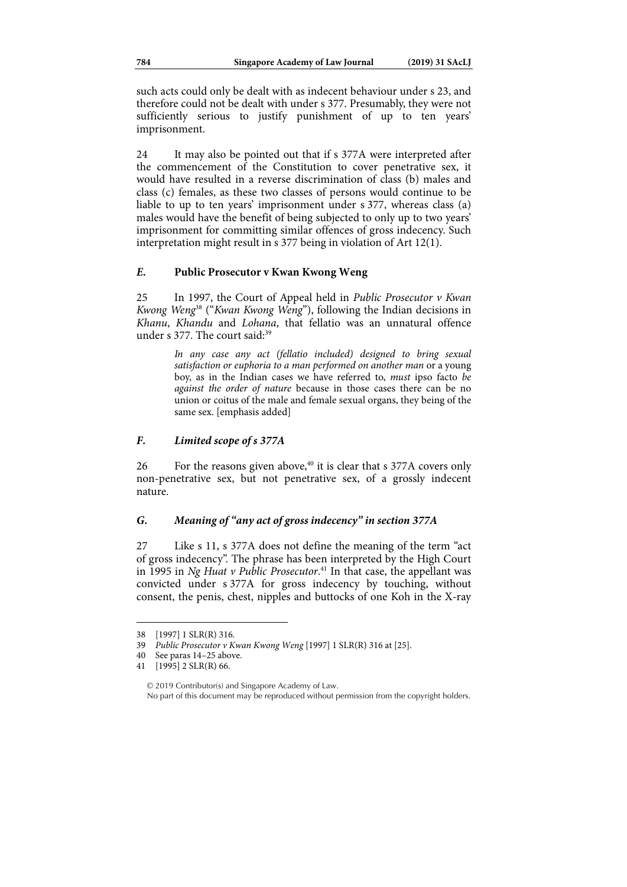such acts could only be dealt with as indecent behaviour under s 23, and therefore could not be dealt with under s 377. Presumably, they were not sufficiently serious to justify punishment of up to ten years' imprisonment.

24 It may also be pointed out that if s 377A were interpreted after the commencement of the Constitution to cover penetrative sex, it would have resulted in a reverse discrimination of class (b) males and class (c) females, as these two classes of persons would continue to be liable to up to ten years' imprisonment under s 377, whereas class (a) males would have the benefit of being subjected to only up to two years' imprisonment for committing similar offences of gross indecency. Such interpretation might result in s 377 being in violation of Art 12(1).

#### *E.* **Public Prosecutor v Kwan Kwong Weng**

25 In 1997, the Court of Appeal held in Public Prosecutor v Kwan Kwong Weng<sup>38</sup> ("Kwan Kwong Weng"), following the Indian decisions in Khanu, Khandu and Lohana, that fellatio was an unnatural offence under s 377. The court said:<sup>39</sup>

> In any case any act (fellatio included) designed to bring sexual satisfaction or euphoria to a man performed on another man or a young boy, as in the Indian cases we have referred to, must ipso facto be against the order of nature because in those cases there can be no union or coitus of the male and female sexual organs, they being of the same sex. [emphasis added]

#### *F. Limited scope of s 377A*

26 For the reasons given above, $40$  it is clear that s 377A covers only non-penetrative sex, but not penetrative sex, of a grossly indecent nature.

### *G. Meaning of "any act of gross indecency" in section 377A*

27 Like s 11, s 377A does not define the meaning of the term "act of gross indecency". The phrase has been interpreted by the High Court in 1995 in Ng Huat v Public Prosecutor.<sup>41</sup> In that case, the appellant was convicted under s 377A for gross indecency by touching, without consent, the penis, chest, nipples and buttocks of one Koh in the X-ray

<sup>38 [1997] 1</sup> SLR(R) 316.

<sup>39</sup> Public Prosecutor v Kwan Kwong Weng [1997] 1 SLR(R) 316 at [25].

<sup>40</sup> See paras 14–25 above.

<sup>41 [1995] 2</sup> SLR(R) 66.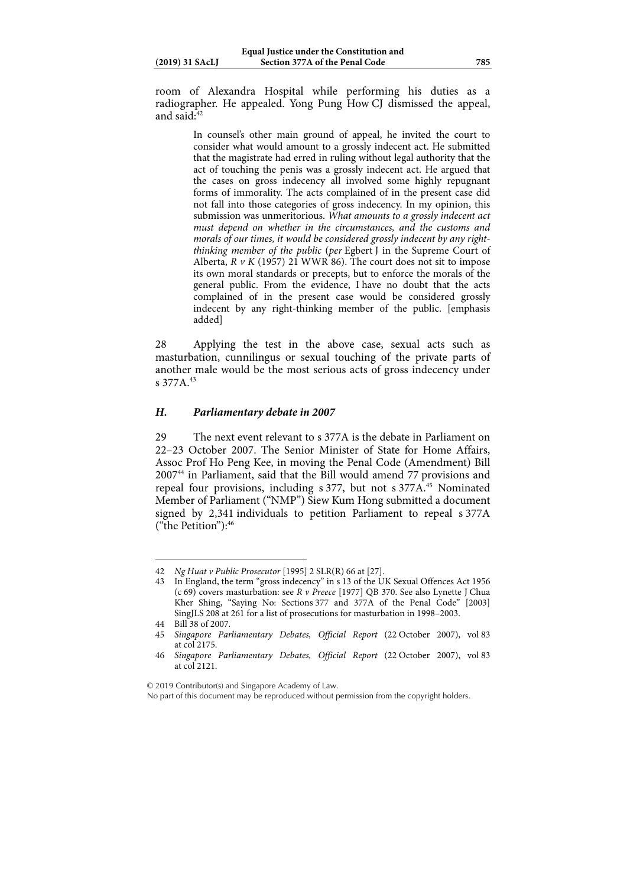room of Alexandra Hospital while performing his duties as a radiographer. He appealed. Yong Pung How CJ dismissed the appeal, and said:42

> In counsel's other main ground of appeal, he invited the court to consider what would amount to a grossly indecent act. He submitted that the magistrate had erred in ruling without legal authority that the act of touching the penis was a grossly indecent act. He argued that the cases on gross indecency all involved some highly repugnant forms of immorality. The acts complained of in the present case did not fall into those categories of gross indecency. In my opinion, this submission was unmeritorious. What amounts to a grossly indecent act must depend on whether in the circumstances, and the customs and morals of our times, it would be considered grossly indecent by any rightthinking member of the public (per Egbert J in the Supreme Court of Alberta,  $R \nu K$  (1957) 21 WWR 86). The court does not sit to impose its own moral standards or precepts, but to enforce the morals of the general public. From the evidence, I have no doubt that the acts complained of in the present case would be considered grossly indecent by any right-thinking member of the public. [emphasis added]

28 Applying the test in the above case, sexual acts such as masturbation, cunnilingus or sexual touching of the private parts of another male would be the most serious acts of gross indecency under s 377A.43

### *H. Parliamentary debate in 2007*

29 The next event relevant to s 377A is the debate in Parliament on 22–23 October 2007. The Senior Minister of State for Home Affairs, Assoc Prof Ho Peng Kee, in moving the Penal Code (Amendment) Bill 200744 in Parliament, said that the Bill would amend 77 provisions and repeal four provisions, including s 377, but not s 377A.<sup>45</sup> Nominated Member of Parliament ("NMP") Siew Kum Hong submitted a document signed by 2,341 individuals to petition Parliament to repeal s 377A ("the Petition"):46

 $\overline{a}$ 

© 2019 Contributor(s) and Singapore Academy of Law.

<sup>42</sup> Ng Huat v Public Prosecutor [1995] 2 SLR(R) 66 at [27].

<sup>43</sup> In England, the term "gross indecency" in s 13 of the UK Sexual Offences Act 1956 (c 69) covers masturbation: see R v Preece [1977] QB 370. See also Lynette J Chua Kher Shing, "Saying No: Sections 377 and 377A of the Penal Code" [2003] SingJLS 208 at 261 for a list of prosecutions for masturbation in 1998–2003.

<sup>44</sup> Bill 38 of 2007.

<sup>45</sup> Singapore Parliamentary Debates, Official Report (22 October 2007), vol 83 at col 2175.

<sup>46</sup> Singapore Parliamentary Debates, Official Report (22 October 2007), vol 83 at col 2121.

No part of this document may be reproduced without permission from the copyright holders.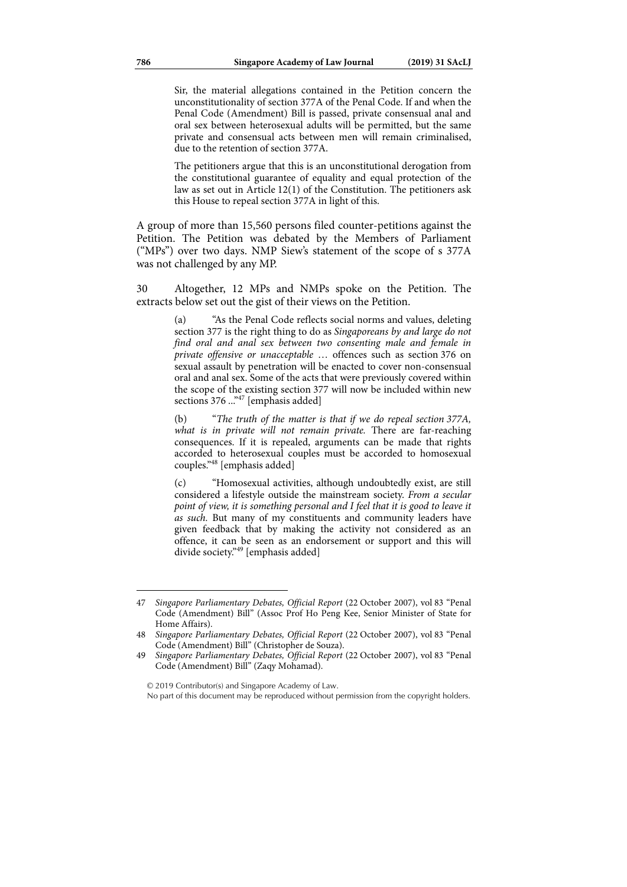Sir, the material allegations contained in the Petition concern the unconstitutionality of section 377A of the Penal Code. If and when the Penal Code (Amendment) Bill is passed, private consensual anal and oral sex between heterosexual adults will be permitted, but the same private and consensual acts between men will remain criminalised, due to the retention of section 377A.

The petitioners argue that this is an unconstitutional derogation from the constitutional guarantee of equality and equal protection of the law as set out in Article 12(1) of the Constitution. The petitioners ask this House to repeal section 377A in light of this.

A group of more than 15,560 persons filed counter-petitions against the Petition. The Petition was debated by the Members of Parliament ("MPs") over two days. NMP Siew's statement of the scope of s 377A was not challenged by any MP.

30 Altogether, 12 MPs and NMPs spoke on the Petition. The extracts below set out the gist of their views on the Petition.

> (a) "As the Penal Code reflects social norms and values, deleting section 377 is the right thing to do as Singaporeans by and large do not find oral and anal sex between two consenting male and female in private offensive or unacceptable … offences such as section 376 on sexual assault by penetration will be enacted to cover non-consensual oral and anal sex. Some of the acts that were previously covered within the scope of the existing section 377 will now be included within new sections 376 ..."<sup>47</sup> [emphasis added]

> (b) "The truth of the matter is that if we do repeal section 377A, what is in private will not remain private. There are far-reaching consequences. If it is repealed, arguments can be made that rights accorded to heterosexual couples must be accorded to homosexual couples."48 [emphasis added]

> (c) "Homosexual activities, although undoubtedly exist, are still considered a lifestyle outside the mainstream society. From a secular point of view, it is something personal and I feel that it is good to leave it as such. But many of my constituents and community leaders have given feedback that by making the activity not considered as an offence, it can be seen as an endorsement or support and this will divide society."49 [emphasis added]

 $\overline{a}$ 

<sup>47</sup> Singapore Parliamentary Debates, Official Report (22 October 2007), vol 83 "Penal Code (Amendment) Bill" (Assoc Prof Ho Peng Kee, Senior Minister of State for Home Affairs).

<sup>48</sup> Singapore Parliamentary Debates, Official Report (22 October 2007), vol 83 "Penal Code (Amendment) Bill" (Christopher de Souza).

<sup>49</sup> Singapore Parliamentary Debates, Official Report (22 October 2007), vol 83 "Penal Code (Amendment) Bill" (Zaqy Mohamad).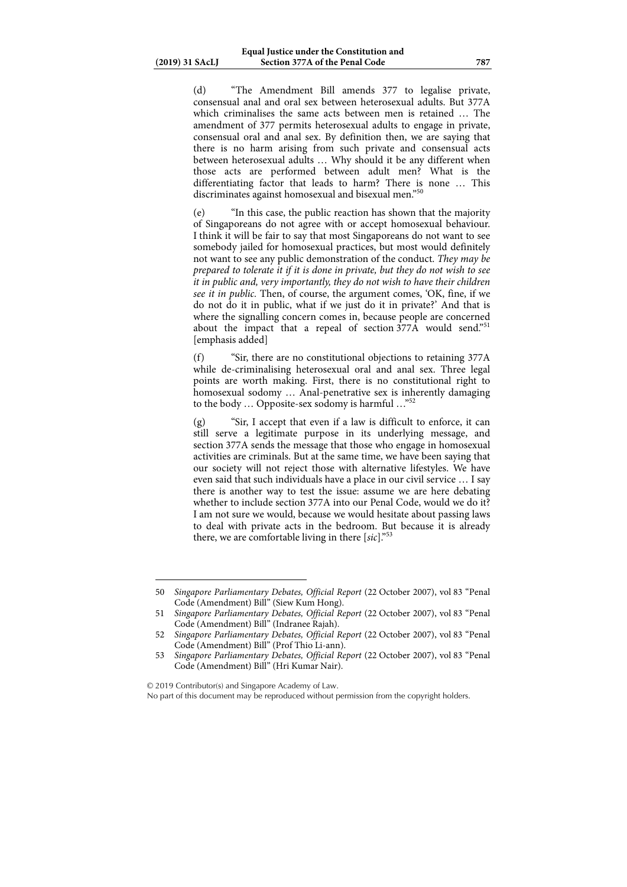(d) "The Amendment Bill amends 377 to legalise private, consensual anal and oral sex between heterosexual adults. But 377A which criminalises the same acts between men is retained … The amendment of 377 permits heterosexual adults to engage in private, consensual oral and anal sex. By definition then, we are saying that there is no harm arising from such private and consensual acts between heterosexual adults … Why should it be any different when those acts are performed between adult men? What is the differentiating factor that leads to harm? There is none … This discriminates against homosexual and bisexual men."<sup>50</sup>

(e) "In this case, the public reaction has shown that the majority of Singaporeans do not agree with or accept homosexual behaviour. I think it will be fair to say that most Singaporeans do not want to see somebody jailed for homosexual practices, but most would definitely not want to see any public demonstration of the conduct. They may be prepared to tolerate it if it is done in private, but they do not wish to see it in public and, very importantly, they do not wish to have their children see it in public. Then, of course, the argument comes, 'OK, fine, if we do not do it in public, what if we just do it in private?' And that is where the signalling concern comes in, because people are concerned about the impact that a repeal of section 377A would send."<sup>51</sup> [emphasis added]

(f) "Sir, there are no constitutional objections to retaining 377A while de-criminalising heterosexual oral and anal sex. Three legal points are worth making. First, there is no constitutional right to homosexual sodomy ... Anal-penetrative sex is inherently damaging to the body  $\ldots$  Opposite-sex sodomy is harmful  $\ldots$ <sup>52</sup>

(g) "Sir, I accept that even if a law is difficult to enforce, it can still serve a legitimate purpose in its underlying message, and section 377A sends the message that those who engage in homosexual activities are criminals. But at the same time, we have been saying that our society will not reject those with alternative lifestyles. We have even said that such individuals have a place in our civil service … I say there is another way to test the issue: assume we are here debating whether to include section 377A into our Penal Code, would we do it? I am not sure we would, because we would hesitate about passing laws to deal with private acts in the bedroom. But because it is already there, we are comfortable living in there  $[sic]$ ."<sup>53</sup>

© 2019 Contributor(s) and Singapore Academy of Law.

<sup>50</sup> Singapore Parliamentary Debates, Official Report (22 October 2007), vol 83 "Penal Code (Amendment) Bill" (Siew Kum Hong).

<sup>51</sup> Singapore Parliamentary Debates, Official Report (22 October 2007), vol 83 "Penal Code (Amendment) Bill" (Indranee Rajah).

<sup>52</sup> Singapore Parliamentary Debates, Official Report (22 October 2007), vol 83 "Penal Code (Amendment) Bill" (Prof Thio Li-ann).

<sup>53</sup> Singapore Parliamentary Debates, Official Report (22 October 2007), vol 83 "Penal Code (Amendment) Bill" (Hri Kumar Nair).

No part of this document may be reproduced without permission from the copyright holders.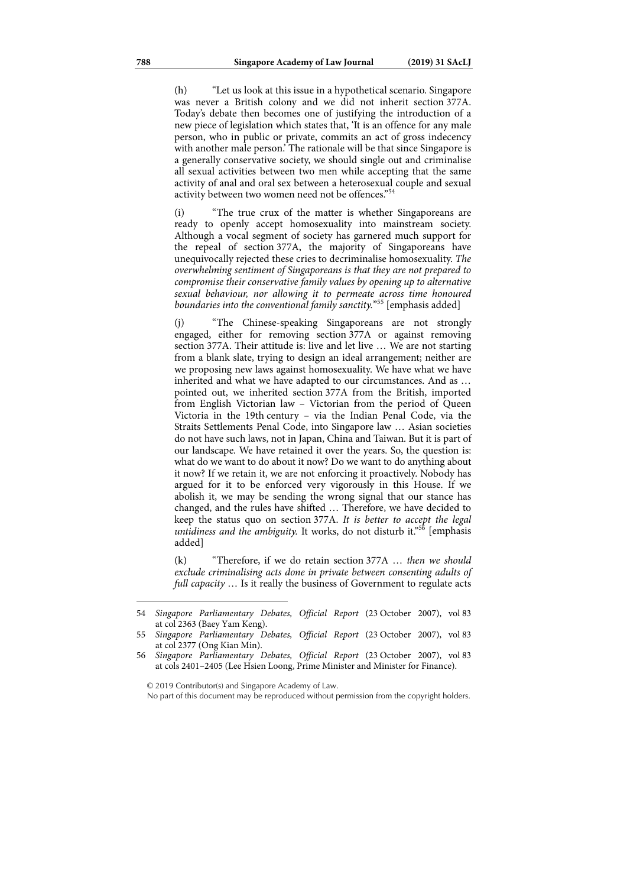(h) "Let us look at this issue in a hypothetical scenario. Singapore was never a British colony and we did not inherit section 377A. Today's debate then becomes one of justifying the introduction of a new piece of legislation which states that, 'It is an offence for any male person, who in public or private, commits an act of gross indecency with another male person.' The rationale will be that since Singapore is a generally conservative society, we should single out and criminalise all sexual activities between two men while accepting that the same activity of anal and oral sex between a heterosexual couple and sexual activity between two women need not be offences."54

(i) "The true crux of the matter is whether Singaporeans are ready to openly accept homosexuality into mainstream society. Although a vocal segment of society has garnered much support for the repeal of section 377A, the majority of Singaporeans have unequivocally rejected these cries to decriminalise homosexuality. The overwhelming sentiment of Singaporeans is that they are not prepared to compromise their conservative family values by opening up to alternative sexual behaviour, nor allowing it to permeate across time honoured boundaries into the conventional family sanctity."<sup>55</sup> [emphasis added]

(j) "The Chinese-speaking Singaporeans are not strongly engaged, either for removing section 377A or against removing section 377A. Their attitude is: live and let live ... We are not starting from a blank slate, trying to design an ideal arrangement; neither are we proposing new laws against homosexuality. We have what we have inherited and what we have adapted to our circumstances. And as … pointed out, we inherited section 377A from the British, imported from English Victorian law – Victorian from the period of Queen Victoria in the 19th century – via the Indian Penal Code, via the Straits Settlements Penal Code, into Singapore law … Asian societies do not have such laws, not in Japan, China and Taiwan. But it is part of our landscape. We have retained it over the years. So, the question is: what do we want to do about it now? Do we want to do anything about it now? If we retain it, we are not enforcing it proactively. Nobody has argued for it to be enforced very vigorously in this House. If we abolish it, we may be sending the wrong signal that our stance has changed, and the rules have shifted … Therefore, we have decided to keep the status quo on section 377A. It is better to accept the legal untidiness and the ambiguity. It works, do not disturb it."<sup>56</sup> [emphasis] added]

(k) "Therefore, if we do retain section 377A … then we should exclude criminalising acts done in private between consenting adults of full capacity ... Is it really the business of Government to regulate acts

© 2019 Contributor(s) and Singapore Academy of Law.

No part of this document may be reproduced without permission from the copyright holders.

<sup>54</sup> Singapore Parliamentary Debates, Official Report (23 October 2007), vol 83 at col 2363 (Baey Yam Keng).

<sup>55</sup> Singapore Parliamentary Debates, Official Report (23 October 2007), vol 83 at col 2377 (Ong Kian Min).

<sup>56</sup> Singapore Parliamentary Debates, Official Report (23 October 2007), vol 83 at cols 2401–2405 (Lee Hsien Loong, Prime Minister and Minister for Finance).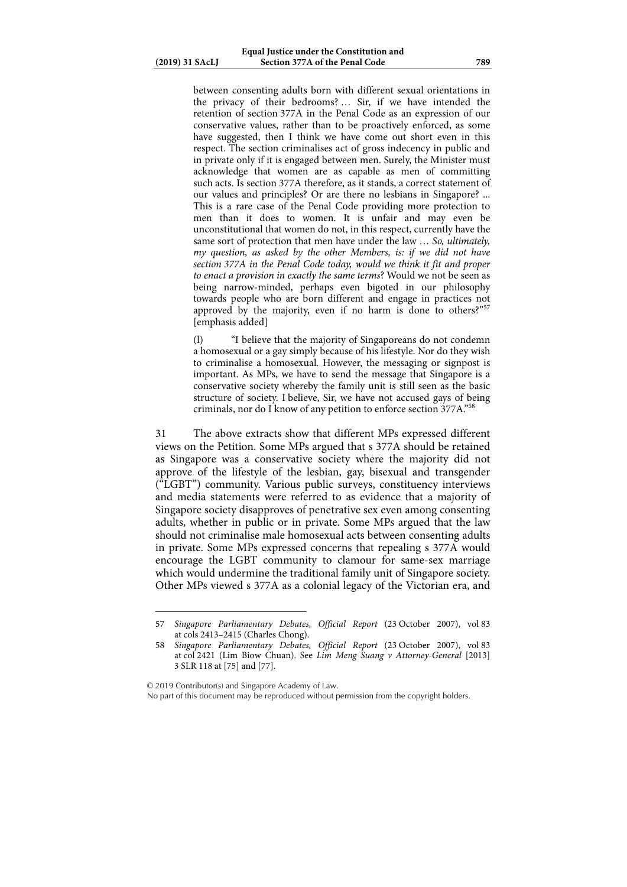between consenting adults born with different sexual orientations in the privacy of their bedrooms? … Sir, if we have intended the retention of section 377A in the Penal Code as an expression of our conservative values, rather than to be proactively enforced, as some have suggested, then I think we have come out short even in this respect. The section criminalises act of gross indecency in public and in private only if it is engaged between men. Surely, the Minister must acknowledge that women are as capable as men of committing such acts. Is section 377A therefore, as it stands, a correct statement of our values and principles? Or are there no lesbians in Singapore? ... This is a rare case of the Penal Code providing more protection to men than it does to women. It is unfair and may even be unconstitutional that women do not, in this respect, currently have the same sort of protection that men have under the law ... So, *ultimately*, my question, as asked by the other Members, is: if we did not have section 377A in the Penal Code today, would we think it fit and proper to enact a provision in exactly the same terms? Would we not be seen as being narrow-minded, perhaps even bigoted in our philosophy towards people who are born different and engage in practices not approved by the majority, even if no harm is done to others?"<sup>57</sup> [emphasis added]

(l) "I believe that the majority of Singaporeans do not condemn a homosexual or a gay simply because of his lifestyle. Nor do they wish to criminalise a homosexual. However, the messaging or signpost is important. As MPs, we have to send the message that Singapore is a conservative society whereby the family unit is still seen as the basic structure of society. I believe, Sir, we have not accused gays of being criminals, nor do I know of any petition to enforce section 377A."<sup>58</sup>

31 The above extracts show that different MPs expressed different views on the Petition. Some MPs argued that s 377A should be retained as Singapore was a conservative society where the majority did not approve of the lifestyle of the lesbian, gay, bisexual and transgender ("LGBT") community. Various public surveys, constituency interviews and media statements were referred to as evidence that a majority of Singapore society disapproves of penetrative sex even among consenting adults, whether in public or in private. Some MPs argued that the law should not criminalise male homosexual acts between consenting adults in private. Some MPs expressed concerns that repealing s 377A would encourage the LGBT community to clamour for same-sex marriage which would undermine the traditional family unit of Singapore society. Other MPs viewed s 377A as a colonial legacy of the Victorian era, and

© 2019 Contributor(s) and Singapore Academy of Law.

1

No part of this document may be reproduced without permission from the copyright holders.

<sup>57</sup> Singapore Parliamentary Debates, Official Report (23 October 2007), vol 83 at cols 2413–2415 (Charles Chong).

<sup>58</sup> Singapore Parliamentary Debates, Official Report (23 October 2007), vol 83 at col 2421 (Lim Biow Chuan). See Lim Meng Suang v Attorney-General [2013] 3 SLR 118 at [75] and [77].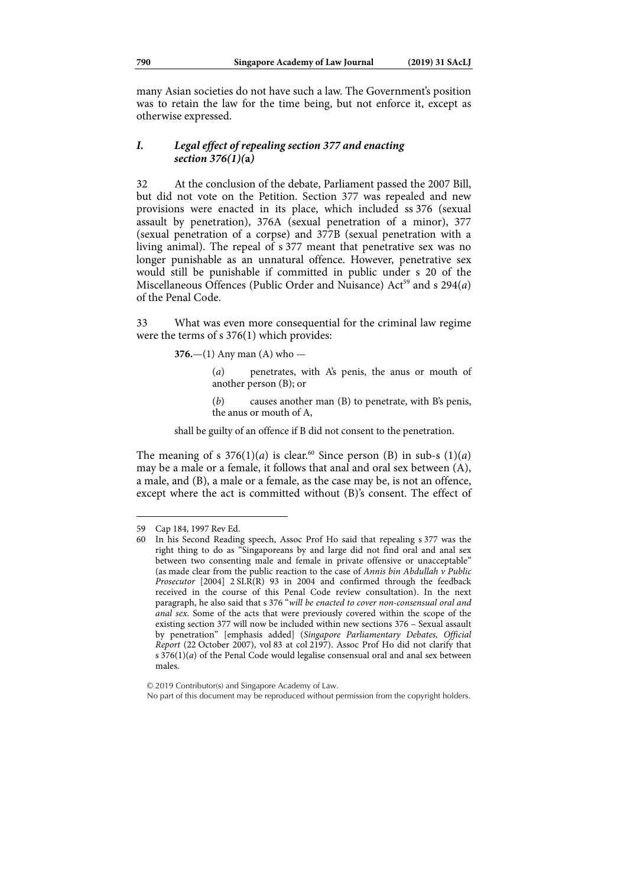many Asian societies do not have such a law. The Government's position was to retain the law for the time being, but not enforce it, except as otherwise expressed.

# *I. Legal effect of repealing section 377 and enacting section 376(1)(***a***)*

32 At the conclusion of the debate, Parliament passed the 2007 Bill, but did not vote on the Petition. Section 377 was repealed and new provisions were enacted in its place, which included ss 376 (sexual assault by penetration), 376A (sexual penetration of a minor), 377 (sexual penetration of a corpse) and 377B (sexual penetration with a living animal). The repeal of s 377 meant that penetrative sex was no longer punishable as an unnatural offence. However, penetrative sex would still be punishable if committed in public under s 20 of the Miscellaneous Offences (Public Order and Nuisance) Act<sup>59</sup> and s 294(a) of the Penal Code.

33 What was even more consequential for the criminal law regime were the terms of s 376(1) which provides:

**376.**—(1) Any man (A) who —

(a) penetrates, with A's penis, the anus or mouth of another person (B); or

(b) causes another man (B) to penetrate, with B's penis, the anus or mouth of A,

shall be guilty of an offence if B did not consent to the penetration.

The meaning of s  $376(1)(a)$  is clear.<sup>60</sup> Since person (B) in sub-s (1)(a) may be a male or a female, it follows that anal and oral sex between (A), a male, and (B), a male or a female, as the case may be, is not an offence, except where the act is committed without (B)'s consent. The effect of

<sup>59</sup> Cap 184, 1997 Rev Ed.

<sup>60</sup> In his Second Reading speech, Assoc Prof Ho said that repealing s 377 was the right thing to do as "Singaporeans by and large did not find oral and anal sex between two consenting male and female in private offensive or unacceptable" (as made clear from the public reaction to the case of Annis bin Abdullah v Public Prosecutor [2004] 2 SLR(R) 93 in 2004 and confirmed through the feedback received in the course of this Penal Code review consultation). In the next paragraph, he also said that s 376 "will be enacted to cover non-consensual oral and anal sex. Some of the acts that were previously covered within the scope of the existing section 377 will now be included within new sections 376 – Sexual assault by penetration" [emphasis added] (Singapore Parliamentary Debates, Official Report (22 October 2007), vol 83 at col 2197). Assoc Prof Ho did not clarify that s  $376(1)(a)$  of the Penal Code would legalise consensual oral and anal sex between males.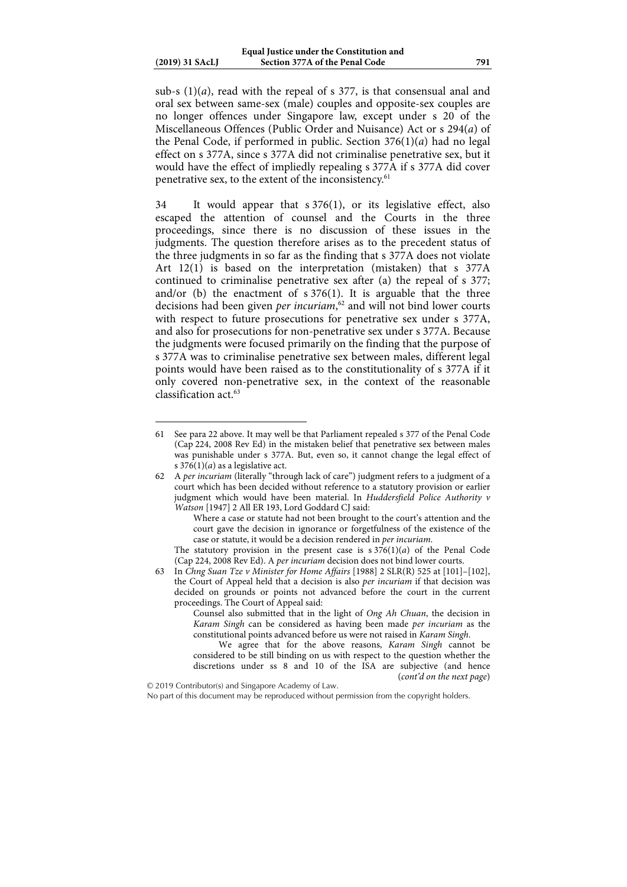sub-s  $(1)(a)$ , read with the repeal of s 377, is that consensual anal and oral sex between same-sex (male) couples and opposite-sex couples are no longer offences under Singapore law, except under s 20 of the Miscellaneous Offences (Public Order and Nuisance) Act or s 294(a) of the Penal Code, if performed in public. Section  $376(1)(a)$  had no legal effect on s 377A, since s 377A did not criminalise penetrative sex, but it would have the effect of impliedly repealing s 377A if s 377A did cover penetrative sex, to the extent of the inconsistency.<sup>61</sup>

34 It would appear that s 376(1), or its legislative effect, also escaped the attention of counsel and the Courts in the three proceedings, since there is no discussion of these issues in the judgments. The question therefore arises as to the precedent status of the three judgments in so far as the finding that s 377A does not violate Art 12(1) is based on the interpretation (mistaken) that s 377A continued to criminalise penetrative sex after (a) the repeal of s 377; and/or (b) the enactment of  $s$  376(1). It is arguable that the three decisions had been given *per incuriam*,<sup>62</sup> and will not bind lower courts with respect to future prosecutions for penetrative sex under s 377A, and also for prosecutions for non-penetrative sex under s 377A. Because the judgments were focused primarily on the finding that the purpose of s 377A was to criminalise penetrative sex between males, different legal points would have been raised as to the constitutionality of s 377A if it only covered non-penetrative sex, in the context of the reasonable  $\text{classification}$  act.<sup>63</sup>

<sup>61</sup> See para 22 above. It may well be that Parliament repealed s 377 of the Penal Code (Cap 224, 2008 Rev Ed) in the mistaken belief that penetrative sex between males was punishable under s 377A. But, even so, it cannot change the legal effect of s  $376(1)(a)$  as a legislative act.

<sup>62</sup> A per incuriam (literally "through lack of care") judgment refers to a judgment of a court which has been decided without reference to a statutory provision or earlier judgment which would have been material. In Huddersfield Police Authority v Watson [1947] 2 All ER 193, Lord Goddard CJ said:

Where a case or statute had not been brought to the court's attention and the court gave the decision in ignorance or forgetfulness of the existence of the case or statute, it would be a decision rendered in per incuriam.

The statutory provision in the present case is  $s$  376(1)(*a*) of the Penal Code (Cap 224, 2008 Rev Ed). A per incuriam decision does not bind lower courts.

<sup>63</sup> In Chng Suan Tze v Minister for Home Affairs [1988] 2 SLR(R) 525 at [101]–[102], the Court of Appeal held that a decision is also per incuriam if that decision was decided on grounds or points not advanced before the court in the current proceedings. The Court of Appeal said:

Counsel also submitted that in the light of Ong Ah Chuan, the decision in Karam Singh can be considered as having been made per incuriam as the constitutional points advanced before us were not raised in Karam Singh.

We agree that for the above reasons, Karam Singh cannot be considered to be still binding on us with respect to the question whether the discretions under ss 8 and 10 of the ISA are subjective (and hence (cont'd on the next page)

No part of this document may be reproduced without permission from the copyright holders.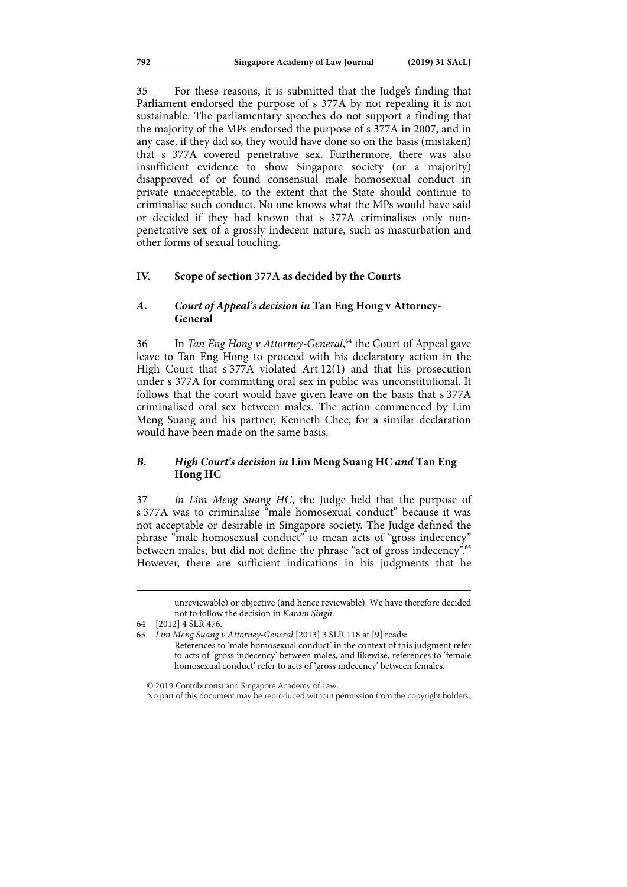35 For these reasons, it is submitted that the Judge's finding that Parliament endorsed the purpose of s 377A by not repealing it is not sustainable. The parliamentary speeches do not support a finding that the majority of the MPs endorsed the purpose of s 377A in 2007, and in any case, if they did so, they would have done so on the basis (mistaken) that s 377A covered penetrative sex. Furthermore, there was also insufficient evidence to show Singapore society (or a majority) disapproved of or found consensual male homosexual conduct in private unacceptable, to the extent that the State should continue to criminalise such conduct. No one knows what the MPs would have said or decided if they had known that s 377A criminalises only nonpenetrative sex of a grossly indecent nature, such as masturbation and other forms of sexual touching.

#### **IV. Scope of section 377A as decided by the Courts**

#### *A. Court of Appeal's decision in* **Tan Eng Hong v Attorney-General**

36 In Tan Eng Hong v Attorney-General,<sup>64</sup> the Court of Appeal gave leave to Tan Eng Hong to proceed with his declaratory action in the High Court that s 377A violated Art 12(1) and that his prosecution under s 377A for committing oral sex in public was unconstitutional. It follows that the court would have given leave on the basis that s 377A criminalised oral sex between males. The action commenced by Lim Meng Suang and his partner, Kenneth Chee, for a similar declaration would have been made on the same basis.

#### *B. High Court's decision in* **Lim Meng Suang HC** *and* **Tan Eng Hong HC**

37 In Lim Meng Suang HC, the Judge held that the purpose of s 377A was to criminalise "male homosexual conduct" because it was not acceptable or desirable in Singapore society. The Judge defined the phrase "male homosexual conduct" to mean acts of "gross indecency" between males, but did not define the phrase "act of gross indecency".<sup>65</sup> However, there are sufficient indications in his judgments that he

 $\overline{a}$ 

65 Lim Meng Suang v Attorney-General [2013] 3 SLR 118 at [9] reads: References to 'male homosexual conduct' in the context of this judgment refer to acts of 'gross indecency' between males, and likewise, references to 'female homosexual conduct' refer to acts of 'gross indecency' between females.

© 2019 Contributor(s) and Singapore Academy of Law.

No part of this document may be reproduced without permission from the copyright holders.

unreviewable) or objective (and hence reviewable). We have therefore decided not to follow the decision in Karam Singh.

<sup>64 [2012] 4</sup> SLR 476.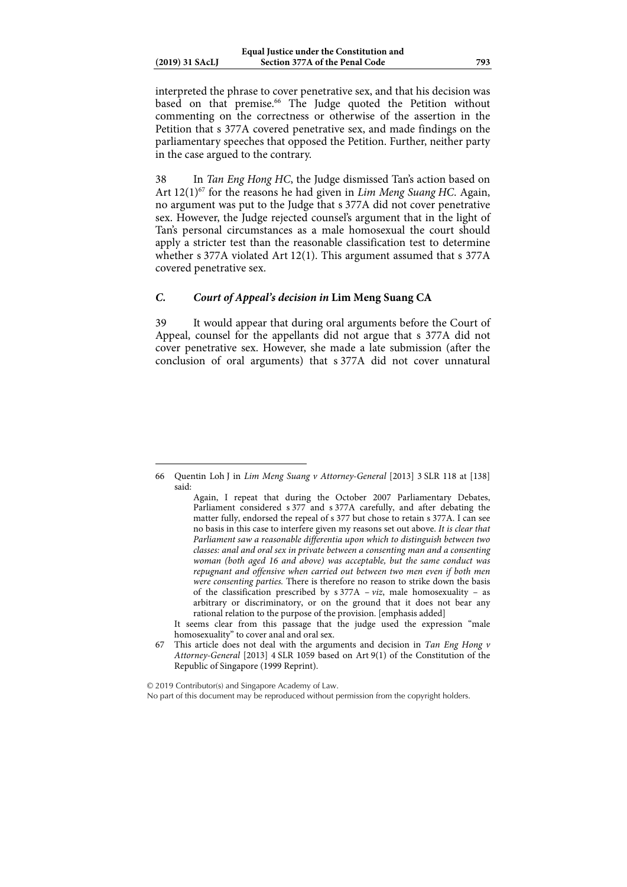interpreted the phrase to cover penetrative sex, and that his decision was based on that premise.<sup>66</sup> The Judge quoted the Petition without commenting on the correctness or otherwise of the assertion in the Petition that s 377A covered penetrative sex, and made findings on the parliamentary speeches that opposed the Petition. Further, neither party in the case argued to the contrary.

38 In Tan Eng Hong HC, the Judge dismissed Tan's action based on Art  $12(1)^{67}$  for the reasons he had given in Lim Meng Suang HC. Again, no argument was put to the Judge that s 377A did not cover penetrative sex. However, the Judge rejected counsel's argument that in the light of Tan's personal circumstances as a male homosexual the court should apply a stricter test than the reasonable classification test to determine whether s 377A violated Art 12(1). This argument assumed that s 377A covered penetrative sex.

# *C. Court of Appeal's decision in* **Lim Meng Suang CA**

39 It would appear that during oral arguments before the Court of Appeal, counsel for the appellants did not argue that s 377A did not cover penetrative sex. However, she made a late submission (after the conclusion of oral arguments) that s 377A did not cover unnatural

1

 It seems clear from this passage that the judge used the expression "male homosexuality" to cover anal and oral sex.

67 This article does not deal with the arguments and decision in Tan Eng Hong  $\nu$ Attorney-General [2013] 4 SLR 1059 based on Art 9(1) of the Constitution of the Republic of Singapore (1999 Reprint).

<sup>66</sup> Quentin Loh J in Lim Meng Suang v Attorney-General [2013] 3 SLR 118 at [138] said:

Again, I repeat that during the October 2007 Parliamentary Debates, Parliament considered s 377 and s 377A carefully, and after debating the matter fully, endorsed the repeal of s 377 but chose to retain s 377A. I can see no basis in this case to interfere given my reasons set out above. It is clear that Parliament saw a reasonable differentia upon which to distinguish between two classes: anal and oral sex in private between a consenting man and a consenting woman (both aged 16 and above) was acceptable, but the same conduct was repugnant and offensive when carried out between two men even if both men were consenting parties. There is therefore no reason to strike down the basis of the classification prescribed by  $s$  377A – *viz*, male homosexuality – as arbitrary or discriminatory, or on the ground that it does not bear any rational relation to the purpose of the provision. [emphasis added]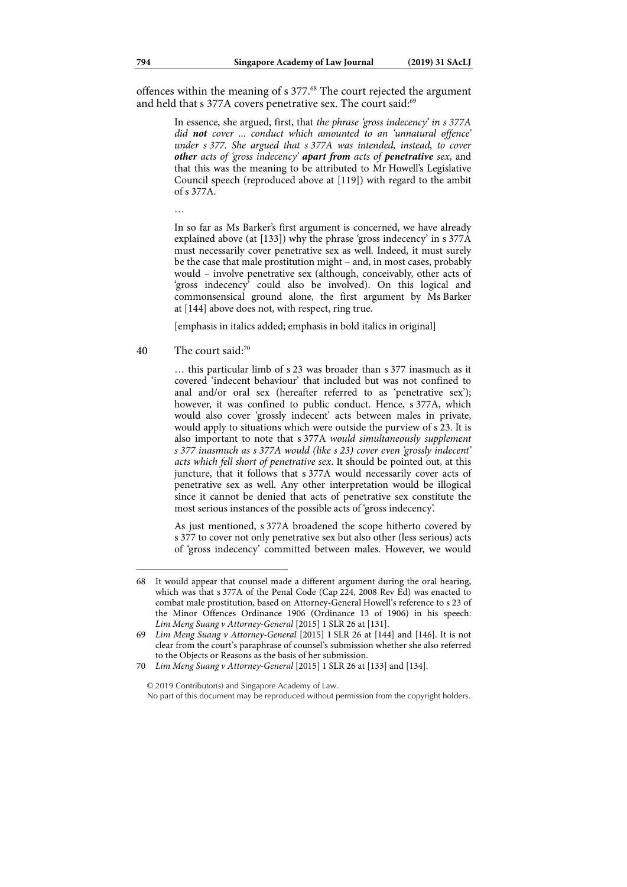offences within the meaning of s 377.<sup>68</sup> The court rejected the argument and held that s 377A covers penetrative sex. The court said:<sup>69</sup>

> In essence, she argued, first, that the phrase 'gross indecency' in s 377A did *not* cover ... conduct which amounted to an 'unnatural offence' under s 377. She argued that s 377A was intended, instead, to cover *other* acts of 'gross indecency' *apart from* acts of *penetrative* sex, and that this was the meaning to be attributed to Mr Howell's Legislative Council speech (reproduced above at [119]) with regard to the ambit of s 377A.

…

In so far as Ms Barker's first argument is concerned, we have already explained above (at [133]) why the phrase 'gross indecency' in s 377A must necessarily cover penetrative sex as well. Indeed, it must surely be the case that male prostitution might – and, in most cases, probably would – involve penetrative sex (although, conceivably, other acts of 'gross indecency' could also be involved). On this logical and commonsensical ground alone, the first argument by Ms Barker at [144] above does not, with respect, ring true.

[emphasis in italics added; emphasis in bold italics in original]

40 The court said:<sup>70</sup>

1

… this particular limb of s 23 was broader than s 377 inasmuch as it covered 'indecent behaviour' that included but was not confined to anal and/or oral sex (hereafter referred to as 'penetrative sex'); however, it was confined to public conduct. Hence, s 377A, which would also cover 'grossly indecent' acts between males in private, would apply to situations which were outside the purview of s 23. It is also important to note that s 377A would simultaneously supplement s 377 inasmuch as s 377A would (like s 23) cover even 'grossly indecent' acts which fell short of penetrative sex. It should be pointed out, at this juncture, that it follows that s 377A would necessarily cover acts of penetrative sex as well. Any other interpretation would be illogical since it cannot be denied that acts of penetrative sex constitute the most serious instances of the possible acts of 'gross indecency'.

As just mentioned, s 377A broadened the scope hitherto covered by s 377 to cover not only penetrative sex but also other (less serious) acts of 'gross indecency' committed between males. However, we would

<sup>68</sup> It would appear that counsel made a different argument during the oral hearing, which was that s 377A of the Penal Code (Cap 224, 2008 Rev Ed) was enacted to combat male prostitution, based on Attorney-General Howell's reference to s 23 of the Minor Offences Ordinance 1906 (Ordinance 13 of 1906) in his speech: Lim Meng Suang v Attorney-General [2015] 1 SLR 26 at [131].

<sup>69</sup> Lim Meng Suang v Attorney-General [2015] 1 SLR 26 at [144] and [146]. It is not clear from the court's paraphrase of counsel's submission whether she also referred to the Objects or Reasons as the basis of her submission.

<sup>70</sup> Lim Meng Suang v Attorney-General [2015] 1 SLR 26 at [133] and [134].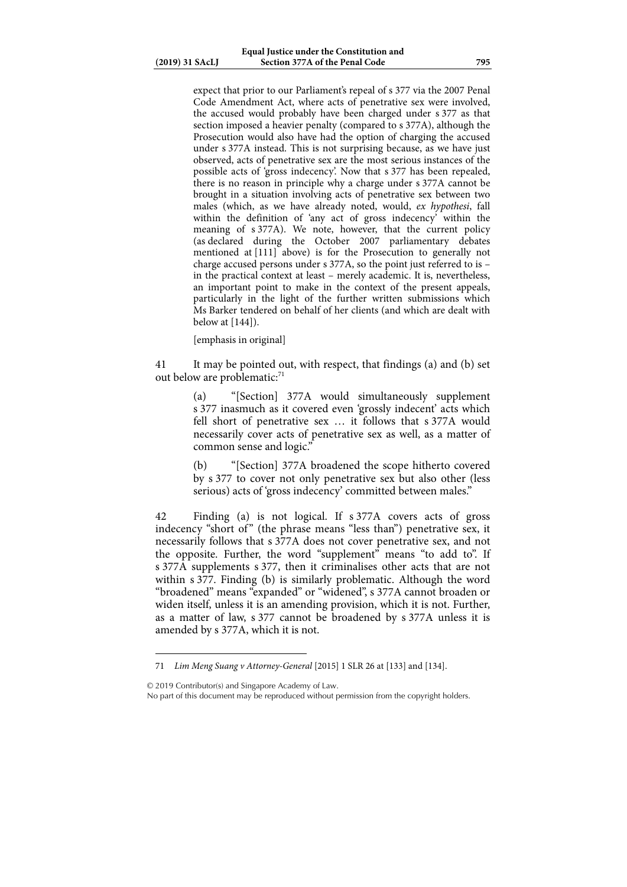expect that prior to our Parliament's repeal of s 377 via the 2007 Penal Code Amendment Act, where acts of penetrative sex were involved, the accused would probably have been charged under s 377 as that section imposed a heavier penalty (compared to s 377A), although the Prosecution would also have had the option of charging the accused under s 377A instead. This is not surprising because, as we have just observed, acts of penetrative sex are the most serious instances of the possible acts of 'gross indecency'. Now that s 377 has been repealed, there is no reason in principle why a charge under s 377A cannot be brought in a situation involving acts of penetrative sex between two males (which, as we have already noted, would, ex hypothesi, fall within the definition of 'any act of gross indecency' within the meaning of s 377A). We note, however, that the current policy (as declared during the October 2007 parliamentary debates mentioned at [111] above) is for the Prosecution to generally not charge accused persons under s 377A, so the point just referred to is – in the practical context at least – merely academic. It is, nevertheless, an important point to make in the context of the present appeals, particularly in the light of the further written submissions which Ms Barker tendered on behalf of her clients (and which are dealt with below at [144]).

[emphasis in original]

1

41 It may be pointed out, with respect, that findings (a) and (b) set out below are problematic:<sup>71</sup>

> (a) "[Section] 377A would simultaneously supplement s 377 inasmuch as it covered even 'grossly indecent' acts which fell short of penetrative sex … it follows that s 377A would necessarily cover acts of penetrative sex as well, as a matter of common sense and logic."

> (b) "[Section] 377A broadened the scope hitherto covered by s 377 to cover not only penetrative sex but also other (less serious) acts of 'gross indecency' committed between males."

42 Finding (a) is not logical. If s 377A covers acts of gross indecency "short of" (the phrase means "less than") penetrative sex, it necessarily follows that s 377A does not cover penetrative sex, and not the opposite. Further, the word "supplement" means "to add to". If s 377A supplements s 377, then it criminalises other acts that are not within s 377. Finding (b) is similarly problematic. Although the word "broadened" means "expanded" or "widened", s 377A cannot broaden or widen itself, unless it is an amending provision, which it is not. Further, as a matter of law, s 377 cannot be broadened by s 377A unless it is amended by s 377A, which it is not.

<sup>71</sup> Lim Meng Suang v Attorney-General [2015] 1 SLR 26 at [133] and [134].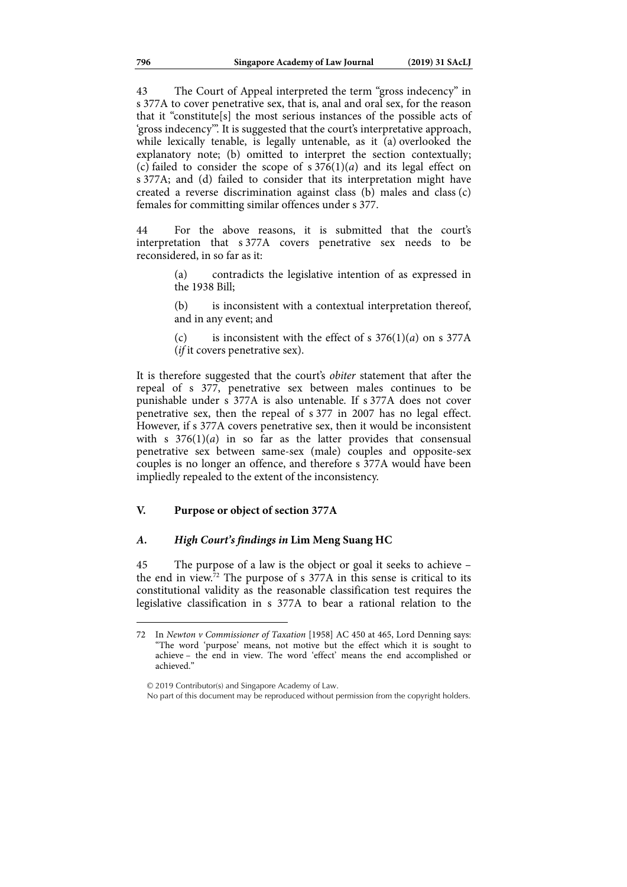43 The Court of Appeal interpreted the term "gross indecency" in s 377A to cover penetrative sex, that is, anal and oral sex, for the reason that it "constitute[s] the most serious instances of the possible acts of 'gross indecency'". It is suggested that the court's interpretative approach, while lexically tenable, is legally untenable, as it (a) overlooked the explanatory note; (b) omitted to interpret the section contextually; (c) failed to consider the scope of  $s \frac{376(1)}{a}$  and its legal effect on s 377A; and (d) failed to consider that its interpretation might have created a reverse discrimination against class (b) males and class (c) females for committing similar offences under s 377.

44 For the above reasons, it is submitted that the court's interpretation that s 377A covers penetrative sex needs to be reconsidered, in so far as it:

> (a) contradicts the legislative intention of as expressed in the 1938 Bill;

> (b) is inconsistent with a contextual interpretation thereof, and in any event; and

> (c) is inconsistent with the effect of s  $376(1)(a)$  on s  $377A$ (if it covers penetrative sex).

It is therefore suggested that the court's obiter statement that after the repeal of s 377, penetrative sex between males continues to be punishable under s 377A is also untenable. If s 377A does not cover penetrative sex, then the repeal of s 377 in 2007 has no legal effect. However, if s 377A covers penetrative sex, then it would be inconsistent with s  $376(1)(a)$  in so far as the latter provides that consensual penetrative sex between same-sex (male) couples and opposite-sex couples is no longer an offence, and therefore s 377A would have been impliedly repealed to the extent of the inconsistency.

### **V. Purpose or object of section 377A**

### *A. High Court's findings in* **Lim Meng Suang HC**

45 The purpose of a law is the object or goal it seeks to achieve – the end in view. $72$  The purpose of s 377A in this sense is critical to its constitutional validity as the reasonable classification test requires the legislative classification in s 377A to bear a rational relation to the

<sup>72</sup> In Newton v Commissioner of Taxation [1958] AC 450 at 465, Lord Denning says: "The word 'purpose' means, not motive but the effect which it is sought to achieve – the end in view. The word 'effect' means the end accomplished or achieved."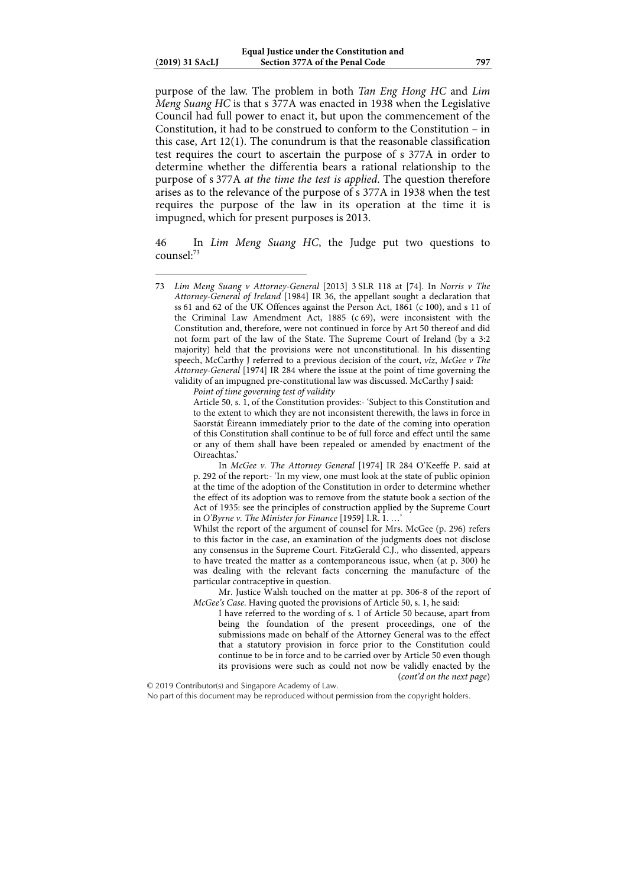j

purpose of the law. The problem in both Tan Eng Hong HC and Lim Meng Suang HC is that s 377A was enacted in 1938 when the Legislative Council had full power to enact it, but upon the commencement of the Constitution, it had to be construed to conform to the Constitution – in this case, Art 12(1). The conundrum is that the reasonable classification test requires the court to ascertain the purpose of s 377A in order to determine whether the differentia bears a rational relationship to the purpose of s 377A at the time the test is applied. The question therefore arises as to the relevance of the purpose of s 377A in 1938 when the test requires the purpose of the law in its operation at the time it is impugned, which for present purposes is 2013.

46 In Lim Meng Suang HC, the Judge put two questions to counsel:73

Point of time governing test of validity

Article 50, s. 1, of the Constitution provides:- 'Subject to this Constitution and to the extent to which they are not inconsistent therewith, the laws in force in Saorstát Éireann immediately prior to the date of the coming into operation of this Constitution shall continue to be of full force and effect until the same or any of them shall have been repealed or amended by enactment of the Oireachtas.'

 In McGee v. The Attorney General [1974] IR 284 O'Keeffe P. said at p. 292 of the report:- 'In my view, one must look at the state of public opinion at the time of the adoption of the Constitution in order to determine whether the effect of its adoption was to remove from the statute book a section of the Act of 1935: see the principles of construction applied by the Supreme Court in O'Byrne v. The Minister for Finance [1959] I.R. 1. …'

Whilst the report of the argument of counsel for Mrs. McGee (p. 296) refers to this factor in the case, an examination of the judgments does not disclose any consensus in the Supreme Court. FitzGerald C.J., who dissented, appears to have treated the matter as a contemporaneous issue, when (at p. 300) he was dealing with the relevant facts concerning the manufacture of the particular contraceptive in question.

 Mr. Justice Walsh touched on the matter at pp. 306-8 of the report of McGee's Case. Having quoted the provisions of Article 50, s. 1, he said:

I have referred to the wording of s. 1 of Article 50 because, apart from being the foundation of the present proceedings, one of the submissions made on behalf of the Attorney General was to the effect that a statutory provision in force prior to the Constitution could continue to be in force and to be carried over by Article 50 even though its provisions were such as could not now be validly enacted by the (cont'd on the next page)

<sup>73</sup> Lim Meng Suang v Attorney-General [2013] 3 SLR 118 at [74]. In Norris v The Attorney-General of Ireland [1984] IR 36, the appellant sought a declaration that ss 61 and 62 of the UK Offences against the Person Act, 1861 (c 100), and s 11 of the Criminal Law Amendment Act, 1885 (c 69), were inconsistent with the Constitution and, therefore, were not continued in force by Art 50 thereof and did not form part of the law of the State. The Supreme Court of Ireland (by a 3:2 majority) held that the provisions were not unconstitutional. In his dissenting speech, McCarthy J referred to a previous decision of the court,  $viz$ , McGee v The Attorney-General [1974] IR 284 where the issue at the point of time governing the validity of an impugned pre-constitutional law was discussed. McCarthy J said: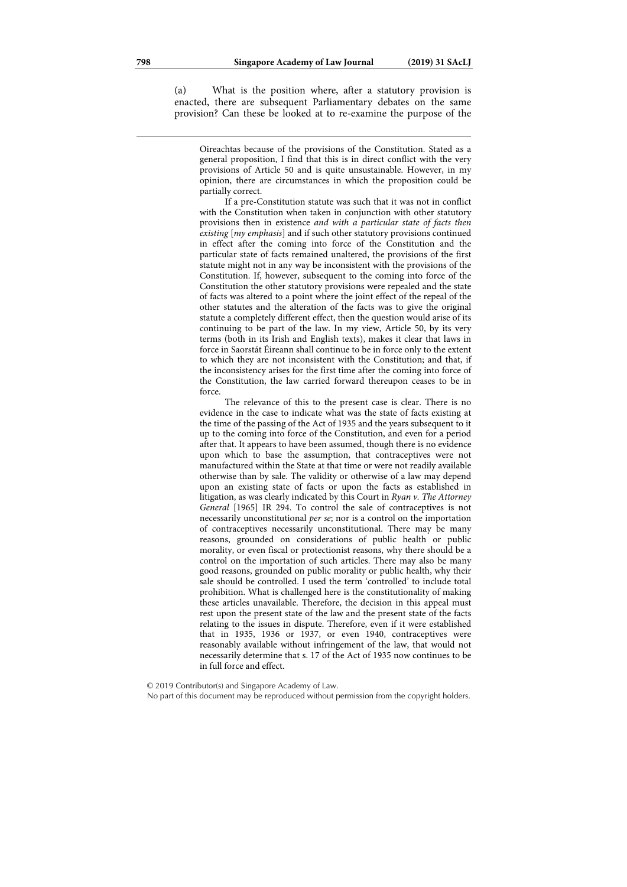(a) What is the position where, after a statutory provision is enacted, there are subsequent Parliamentary debates on the same provision? Can these be looked at to re-examine the purpose of the

Oireachtas because of the provisions of the Constitution. Stated as a general proposition, I find that this is in direct conflict with the very provisions of Article 50 and is quite unsustainable. However, in my opinion, there are circumstances in which the proposition could be partially correct.

 If a pre-Constitution statute was such that it was not in conflict with the Constitution when taken in conjunction with other statutory provisions then in existence and with a particular state of facts then existing [my emphasis] and if such other statutory provisions continued in effect after the coming into force of the Constitution and the particular state of facts remained unaltered, the provisions of the first statute might not in any way be inconsistent with the provisions of the Constitution. If, however, subsequent to the coming into force of the Constitution the other statutory provisions were repealed and the state of facts was altered to a point where the joint effect of the repeal of the other statutes and the alteration of the facts was to give the original statute a completely different effect, then the question would arise of its continuing to be part of the law. In my view, Article 50, by its very terms (both in its Irish and English texts), makes it clear that laws in force in Saorstát Éireann shall continue to be in force only to the extent to which they are not inconsistent with the Constitution; and that, if the inconsistency arises for the first time after the coming into force of the Constitution, the law carried forward thereupon ceases to be in force.

 The relevance of this to the present case is clear. There is no evidence in the case to indicate what was the state of facts existing at the time of the passing of the Act of 1935 and the years subsequent to it up to the coming into force of the Constitution, and even for a period after that. It appears to have been assumed, though there is no evidence upon which to base the assumption, that contraceptives were not manufactured within the State at that time or were not readily available otherwise than by sale. The validity or otherwise of a law may depend upon an existing state of facts or upon the facts as established in litigation, as was clearly indicated by this Court in Ryan v. The Attorney General [1965] IR 294. To control the sale of contraceptives is not necessarily unconstitutional *per se*; nor is a control on the importation of contraceptives necessarily unconstitutional. There may be many reasons, grounded on considerations of public health or public morality, or even fiscal or protectionist reasons, why there should be a control on the importation of such articles. There may also be many good reasons, grounded on public morality or public health, why their sale should be controlled. I used the term 'controlled' to include total prohibition. What is challenged here is the constitutionality of making these articles unavailable. Therefore, the decision in this appeal must rest upon the present state of the law and the present state of the facts relating to the issues in dispute. Therefore, even if it were established that in 1935, 1936 or 1937, or even 1940, contraceptives were reasonably available without infringement of the law, that would not necessarily determine that s. 17 of the Act of 1935 now continues to be in full force and effect.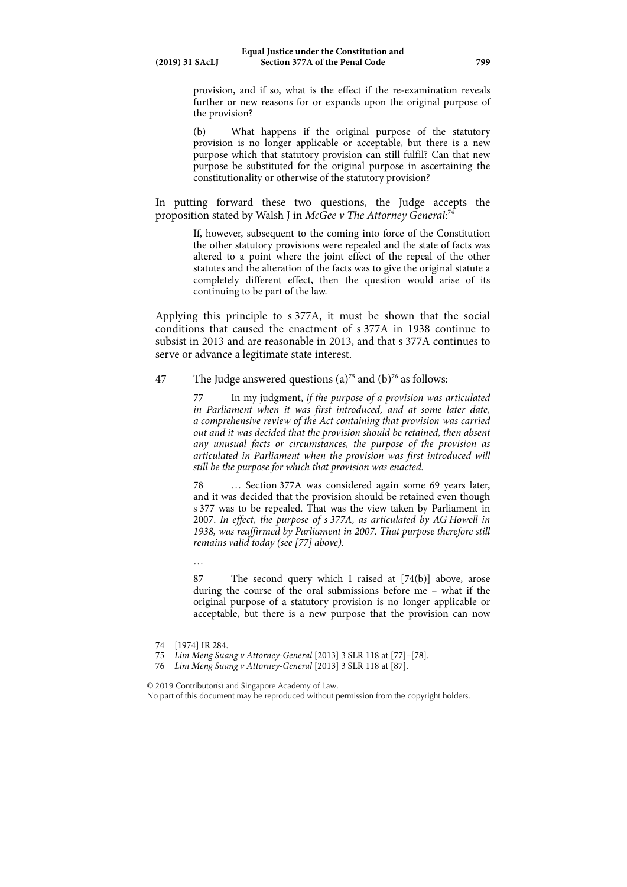provision, and if so, what is the effect if the re-examination reveals further or new reasons for or expands upon the original purpose of the provision?

(b) What happens if the original purpose of the statutory provision is no longer applicable or acceptable, but there is a new purpose which that statutory provision can still fulfil? Can that new purpose be substituted for the original purpose in ascertaining the constitutionality or otherwise of the statutory provision?

In putting forward these two questions, the Judge accepts the proposition stated by Walsh J in *McGee v The Attorney General:*<sup>74</sup>

> If, however, subsequent to the coming into force of the Constitution the other statutory provisions were repealed and the state of facts was altered to a point where the joint effect of the repeal of the other statutes and the alteration of the facts was to give the original statute a completely different effect, then the question would arise of its continuing to be part of the law.

Applying this principle to s 377A, it must be shown that the social conditions that caused the enactment of s 377A in 1938 continue to subsist in 2013 and are reasonable in 2013, and that s 377A continues to serve or advance a legitimate state interest.

47 The Judge answered questions  $(a)^{75}$  and  $(b)^{76}$  as follows:

77 In my judgment, if the purpose of a provision was articulated in Parliament when it was first introduced, and at some later date, a comprehensive review of the Act containing that provision was carried out and it was decided that the provision should be retained, then absent any unusual facts or circumstances, the purpose of the provision as articulated in Parliament when the provision was first introduced will still be the purpose for which that provision was enacted.

78 … Section 377A was considered again some 69 years later, and it was decided that the provision should be retained even though s 377 was to be repealed. That was the view taken by Parliament in 2007. In effect, the purpose of s 377A, as articulated by AG Howell in 1938, was reaffirmed by Parliament in 2007. That purpose therefore still remains valid today (see [77] above).

…

87 The second query which I raised at [74(b)] above, arose during the course of the oral submissions before me – what if the original purpose of a statutory provision is no longer applicable or acceptable, but there is a new purpose that the provision can now

 $\overline{a}$ 

© 2019 Contributor(s) and Singapore Academy of Law.

No part of this document may be reproduced without permission from the copyright holders.

<sup>74 [1974]</sup> IR 284.

<sup>75</sup> Lim Meng Suang v Attorney-General [2013] 3 SLR 118 at [77]–[78].

<sup>76</sup> Lim Meng Suang v Attorney-General [2013] 3 SLR 118 at [87].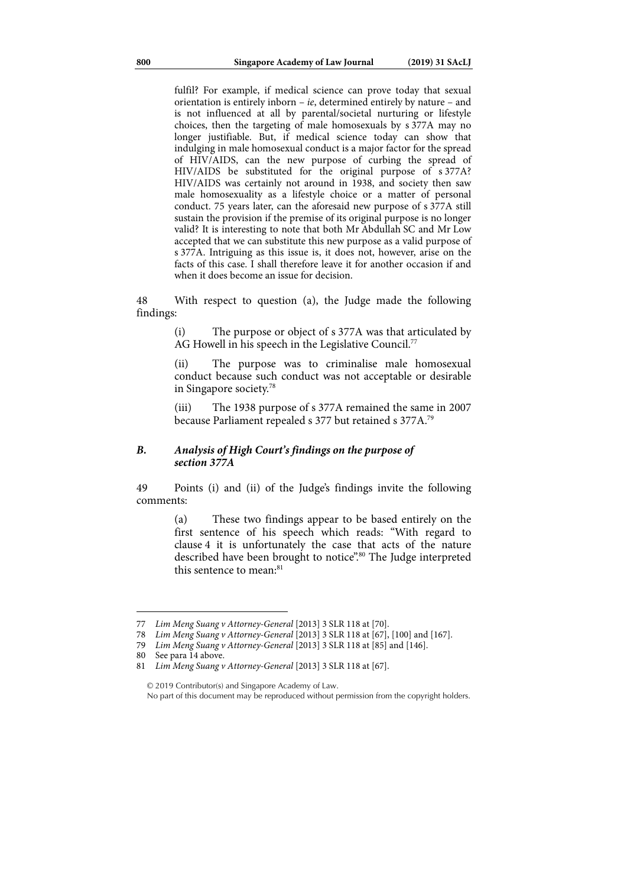fulfil? For example, if medical science can prove today that sexual orientation is entirely inborn – ie, determined entirely by nature – and is not influenced at all by parental/societal nurturing or lifestyle choices, then the targeting of male homosexuals by s 377A may no longer justifiable. But, if medical science today can show that indulging in male homosexual conduct is a major factor for the spread of HIV/AIDS, can the new purpose of curbing the spread of HIV/AIDS be substituted for the original purpose of s 377A? HIV/AIDS was certainly not around in 1938, and society then saw male homosexuality as a lifestyle choice or a matter of personal conduct. 75 years later, can the aforesaid new purpose of s 377A still sustain the provision if the premise of its original purpose is no longer valid? It is interesting to note that both Mr Abdullah SC and Mr Low accepted that we can substitute this new purpose as a valid purpose of s 377A. Intriguing as this issue is, it does not, however, arise on the facts of this case. I shall therefore leave it for another occasion if and when it does become an issue for decision.

48 With respect to question (a), the Judge made the following findings:

> (i) The purpose or object of s 377A was that articulated by AG Howell in his speech in the Legislative Council.<sup>77</sup>

> (ii) The purpose was to criminalise male homosexual conduct because such conduct was not acceptable or desirable in Singapore society.78

> (iii) The 1938 purpose of s 377A remained the same in 2007 because Parliament repealed s 377 but retained s 377A.79

#### *B. Analysis of High Court's findings on the purpose of section 377A*

49 Points (i) and (ii) of the Judge's findings invite the following comments:

> (a) These two findings appear to be based entirely on the first sentence of his speech which reads: "With regard to clause 4 it is unfortunately the case that acts of the nature described have been brought to notice".<sup>80</sup> The Judge interpreted this sentence to mean:<sup>81</sup>

1

© 2019 Contributor(s) and Singapore Academy of Law. No part of this document may be reproduced without permission from the copyright holders.

<sup>77</sup> Lim Meng Suang v Attorney-General [2013] 3 SLR 118 at [70].

<sup>78</sup> Lim Meng Suang v Attorney-General [2013] 3 SLR 118 at [67], [100] and [167].

<sup>79</sup> Lim Meng Suang v Attorney-General [2013] 3 SLR 118 at [85] and [146].

<sup>80</sup> See para 14 above.

<sup>81</sup> Lim Meng Suang v Attorney-General [2013] 3 SLR 118 at [67].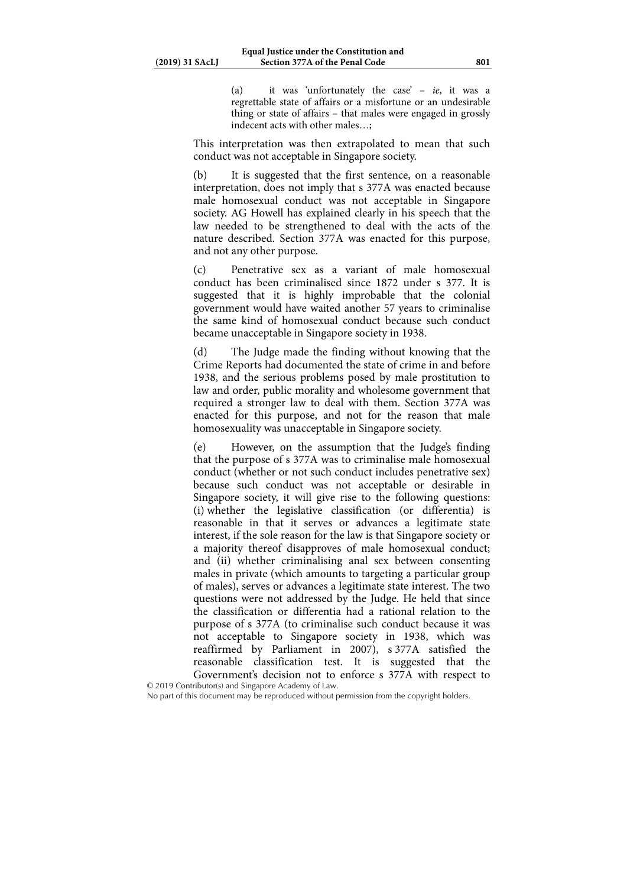(a) it was 'unfortunately the case'  $- ie$ , it was a regrettable state of affairs or a misfortune or an undesirable thing or state of affairs – that males were engaged in grossly indecent acts with other males…;

This interpretation was then extrapolated to mean that such conduct was not acceptable in Singapore society.

(b) It is suggested that the first sentence, on a reasonable interpretation, does not imply that s 377A was enacted because male homosexual conduct was not acceptable in Singapore society. AG Howell has explained clearly in his speech that the law needed to be strengthened to deal with the acts of the nature described. Section 377A was enacted for this purpose, and not any other purpose.

(c) Penetrative sex as a variant of male homosexual conduct has been criminalised since 1872 under s 377. It is suggested that it is highly improbable that the colonial government would have waited another 57 years to criminalise the same kind of homosexual conduct because such conduct became unacceptable in Singapore society in 1938.

(d) The Judge made the finding without knowing that the Crime Reports had documented the state of crime in and before 1938, and the serious problems posed by male prostitution to law and order, public morality and wholesome government that required a stronger law to deal with them. Section 377A was enacted for this purpose, and not for the reason that male homosexuality was unacceptable in Singapore society.

(e) However, on the assumption that the Judge's finding that the purpose of s 377A was to criminalise male homosexual conduct (whether or not such conduct includes penetrative sex) because such conduct was not acceptable or desirable in Singapore society, it will give rise to the following questions: (i) whether the legislative classification (or differentia) is reasonable in that it serves or advances a legitimate state interest, if the sole reason for the law is that Singapore society or a majority thereof disapproves of male homosexual conduct; and (ii) whether criminalising anal sex between consenting males in private (which amounts to targeting a particular group of males), serves or advances a legitimate state interest. The two questions were not addressed by the Judge. He held that since the classification or differentia had a rational relation to the purpose of s 377A (to criminalise such conduct because it was not acceptable to Singapore society in 1938, which was reaffirmed by Parliament in 2007), s 377A satisfied the reasonable classification test. It is suggested that the Government's decision not to enforce s 377A with respect to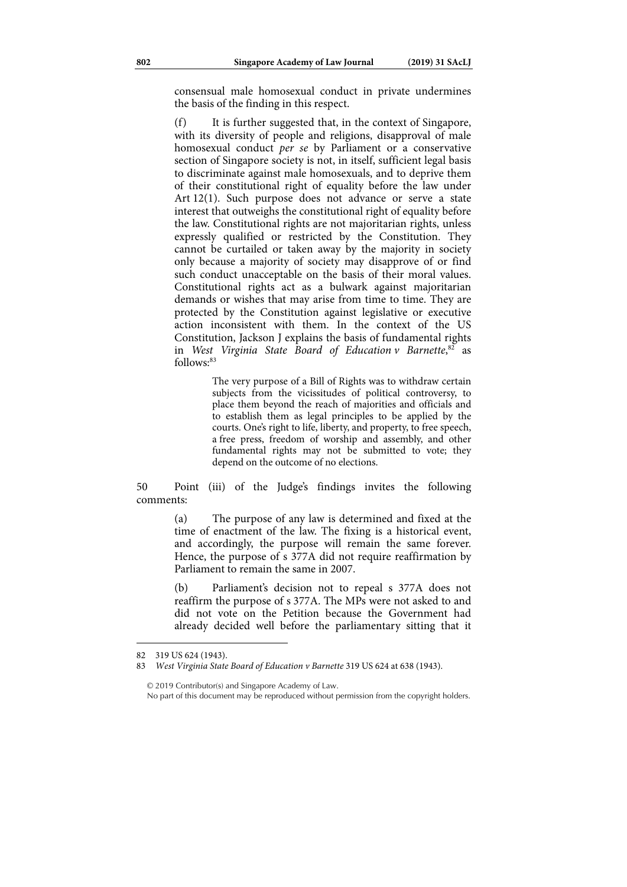consensual male homosexual conduct in private undermines the basis of the finding in this respect.

(f) It is further suggested that, in the context of Singapore, with its diversity of people and religions, disapproval of male homosexual conduct per se by Parliament or a conservative section of Singapore society is not, in itself, sufficient legal basis to discriminate against male homosexuals, and to deprive them of their constitutional right of equality before the law under Art 12(1). Such purpose does not advance or serve a state interest that outweighs the constitutional right of equality before the law. Constitutional rights are not majoritarian rights, unless expressly qualified or restricted by the Constitution. They cannot be curtailed or taken away by the majority in society only because a majority of society may disapprove of or find such conduct unacceptable on the basis of their moral values. Constitutional rights act as a bulwark against majoritarian demands or wishes that may arise from time to time. They are protected by the Constitution against legislative or executive action inconsistent with them. In the context of the US Constitution, Jackson J explains the basis of fundamental rights in West Virginia State Board of Education v Barnette, 82 as  $follows<sup>83</sup>$ 

> The very purpose of a Bill of Rights was to withdraw certain subjects from the vicissitudes of political controversy, to place them beyond the reach of majorities and officials and to establish them as legal principles to be applied by the courts. One's right to life, liberty, and property, to free speech, a free press, freedom of worship and assembly, and other fundamental rights may not be submitted to vote; they depend on the outcome of no elections.

50 Point (iii) of the Judge's findings invites the following comments:

> (a) The purpose of any law is determined and fixed at the time of enactment of the law. The fixing is a historical event, and accordingly, the purpose will remain the same forever. Hence, the purpose of s 377A did not require reaffirmation by Parliament to remain the same in 2007.

> (b) Parliament's decision not to repeal s 377A does not reaffirm the purpose of s 377A. The MPs were not asked to and did not vote on the Petition because the Government had already decided well before the parliamentary sitting that it

1

© 2019 Contributor(s) and Singapore Academy of Law. No part of this document may be reproduced without permission from the copyright holders.

<sup>82 319</sup> US 624 (1943).

<sup>83</sup> West Virginia State Board of Education v Barnette 319 US 624 at 638 (1943).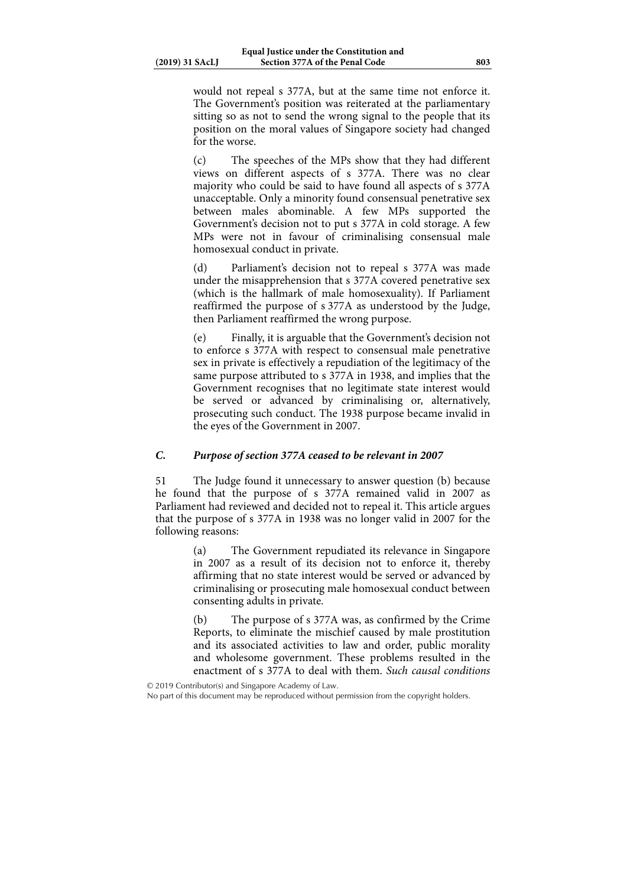would not repeal s 377A, but at the same time not enforce it. The Government's position was reiterated at the parliamentary sitting so as not to send the wrong signal to the people that its position on the moral values of Singapore society had changed for the worse.

(c) The speeches of the MPs show that they had different views on different aspects of s 377A. There was no clear majority who could be said to have found all aspects of s 377A unacceptable. Only a minority found consensual penetrative sex between males abominable. A few MPs supported the Government's decision not to put s 377A in cold storage. A few MPs were not in favour of criminalising consensual male homosexual conduct in private.

(d) Parliament's decision not to repeal s 377A was made under the misapprehension that s 377A covered penetrative sex (which is the hallmark of male homosexuality). If Parliament reaffirmed the purpose of s 377A as understood by the Judge, then Parliament reaffirmed the wrong purpose.

(e) Finally, it is arguable that the Government's decision not to enforce s 377A with respect to consensual male penetrative sex in private is effectively a repudiation of the legitimacy of the same purpose attributed to s 377A in 1938, and implies that the Government recognises that no legitimate state interest would be served or advanced by criminalising or, alternatively, prosecuting such conduct. The 1938 purpose became invalid in the eyes of the Government in 2007.

### *C. Purpose of section 377A ceased to be relevant in 2007*

51 The Judge found it unnecessary to answer question (b) because he found that the purpose of s 377A remained valid in 2007 as Parliament had reviewed and decided not to repeal it. This article argues that the purpose of s 377A in 1938 was no longer valid in 2007 for the following reasons:

> (a) The Government repudiated its relevance in Singapore in 2007 as a result of its decision not to enforce it, thereby affirming that no state interest would be served or advanced by criminalising or prosecuting male homosexual conduct between consenting adults in private.

> (b) The purpose of s 377A was, as confirmed by the Crime Reports, to eliminate the mischief caused by male prostitution and its associated activities to law and order, public morality and wholesome government. These problems resulted in the enactment of s 377A to deal with them. Such causal conditions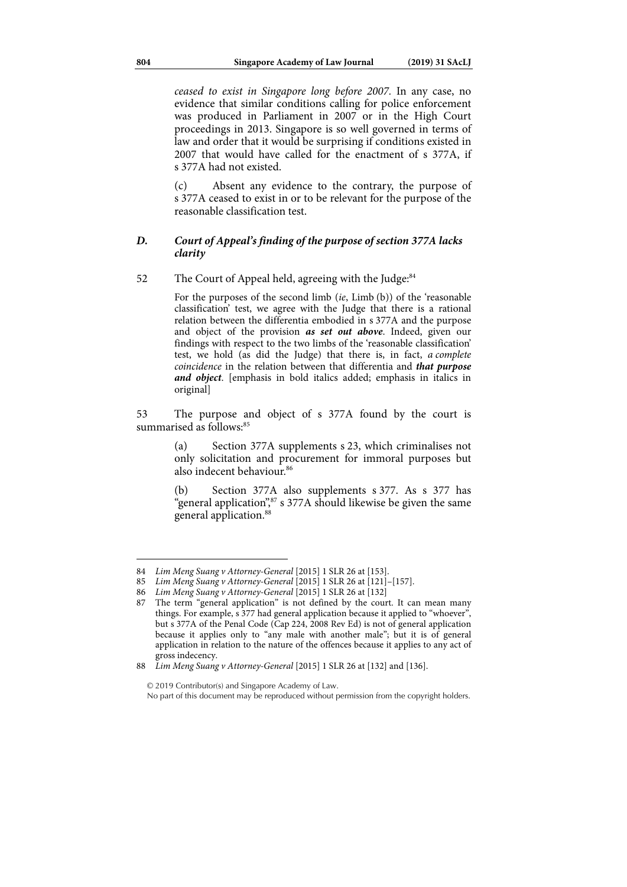ceased to exist in Singapore long before 2007. In any case, no evidence that similar conditions calling for police enforcement was produced in Parliament in 2007 or in the High Court proceedings in 2013. Singapore is so well governed in terms of law and order that it would be surprising if conditions existed in 2007 that would have called for the enactment of s 377A, if s 377A had not existed.

(c) Absent any evidence to the contrary, the purpose of s 377A ceased to exist in or to be relevant for the purpose of the reasonable classification test.

#### *D. Court of Appeal's finding of the purpose of section 377A lacks clarity*

52 The Court of Appeal held, agreeing with the Judge:<sup>84</sup>

For the purposes of the second limb (ie, Limb (b)) of the 'reasonable classification' test, we agree with the Judge that there is a rational relation between the differentia embodied in s 377A and the purpose and object of the provision *as set out above*. Indeed, given our findings with respect to the two limbs of the 'reasonable classification' test, we hold (as did the Judge) that there is, in fact, a complete coincidence in the relation between that differentia and *that purpose and object*. [emphasis in bold italics added; emphasis in italics in original]

53 The purpose and object of s 377A found by the court is summarised as follows:<sup>85</sup>

> (a) Section 377A supplements s 23, which criminalises not only solicitation and procurement for immoral purposes but also indecent behaviour.<sup>86</sup>

> (b) Section 377A also supplements s 377. As s 377 has "general application", s 377A should likewise be given the same general application.<sup>88</sup>

© 2019 Contributor(s) and Singapore Academy of Law.

 $\overline{a}$ 

<sup>84</sup> Lim Meng Suang v Attorney-General [2015] 1 SLR 26 at [153].

<sup>85</sup> Lim Meng Suang v Attorney-General [2015] 1 SLR 26 at [121]–[157].

<sup>86</sup> Lim Meng Suang v Attorney-General [2015] 1 SLR 26 at [132]

<sup>87</sup> The term "general application" is not defined by the court. It can mean many things. For example, s 377 had general application because it applied to "whoever", but s 377A of the Penal Code (Cap 224, 2008 Rev Ed) is not of general application because it applies only to "any male with another male"; but it is of general application in relation to the nature of the offences because it applies to any act of gross indecency.

<sup>88</sup> Lim Meng Suang v Attorney-General [2015] 1 SLR 26 at [132] and [136].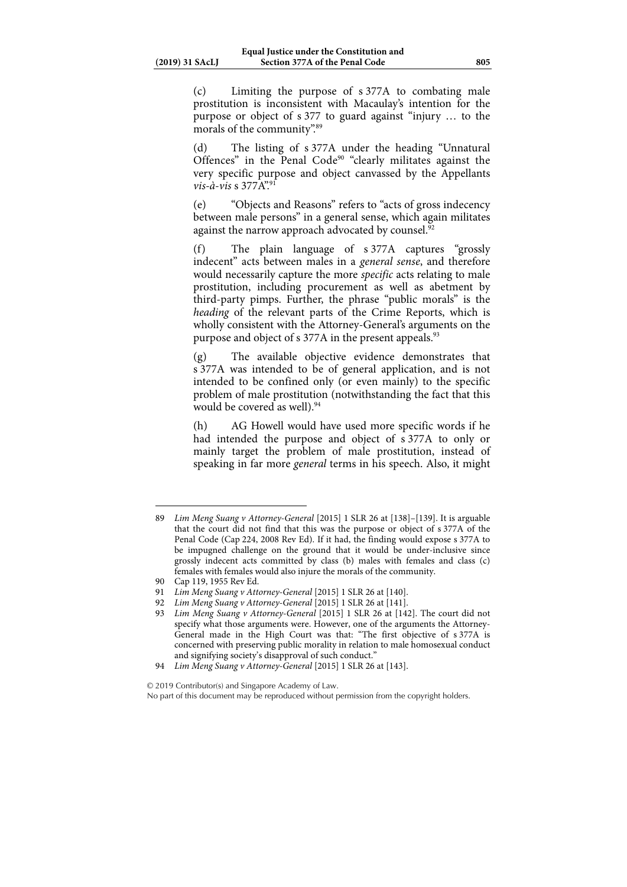(c) Limiting the purpose of s 377A to combating male prostitution is inconsistent with Macaulay's intention for the purpose or object of s 377 to guard against "injury … to the morals of the community".89

(d) The listing of s 377A under the heading "Unnatural Offences" in the Penal Code<sup>90</sup> "clearly militates against the very specific purpose and object canvassed by the Appellants vis-à-vis s  $377A^{91}$ 

(e) "Objects and Reasons" refers to "acts of gross indecency between male persons" in a general sense, which again militates against the narrow approach advocated by counsel.<sup>92</sup>

(f) The plain language of s 377A captures "grossly indecent" acts between males in a general sense, and therefore would necessarily capture the more *specific* acts relating to male prostitution, including procurement as well as abetment by third-party pimps. Further, the phrase "public morals" is the heading of the relevant parts of the Crime Reports, which is wholly consistent with the Attorney-General's arguments on the purpose and object of s 377A in the present appeals.<sup>93</sup>

(g) The available objective evidence demonstrates that s 377A was intended to be of general application, and is not intended to be confined only (or even mainly) to the specific problem of male prostitution (notwithstanding the fact that this would be covered as well).<sup>94</sup>

(h) AG Howell would have used more specific words if he had intended the purpose and object of s 377A to only or mainly target the problem of male prostitution, instead of speaking in far more general terms in his speech. Also, it might

1

© 2019 Contributor(s) and Singapore Academy of Law.

<sup>89</sup> Lim Meng Suang v Attorney-General [2015] 1 SLR 26 at [138]–[139]. It is arguable that the court did not find that this was the purpose or object of s 377A of the Penal Code (Cap 224, 2008 Rev Ed). If it had, the finding would expose s 377A to be impugned challenge on the ground that it would be under-inclusive since grossly indecent acts committed by class (b) males with females and class (c) females with females would also injure the morals of the community.

<sup>90</sup> Cap 119, 1955 Rev Ed.

<sup>91</sup> Lim Meng Suang v Attorney-General [2015] 1 SLR 26 at [140].

<sup>92</sup> Lim Meng Suang v Attorney-General [2015] 1 SLR 26 at [141].

<sup>93</sup> Lim Meng Suang v Attorney-General [2015] 1 SLR 26 at [142]. The court did not specify what those arguments were. However, one of the arguments the Attorney-General made in the High Court was that: "The first objective of s 377A is concerned with preserving public morality in relation to male homosexual conduct and signifying society's disapproval of such conduct."

<sup>94</sup> Lim Meng Suang v Attorney-General [2015] 1 SLR 26 at [143].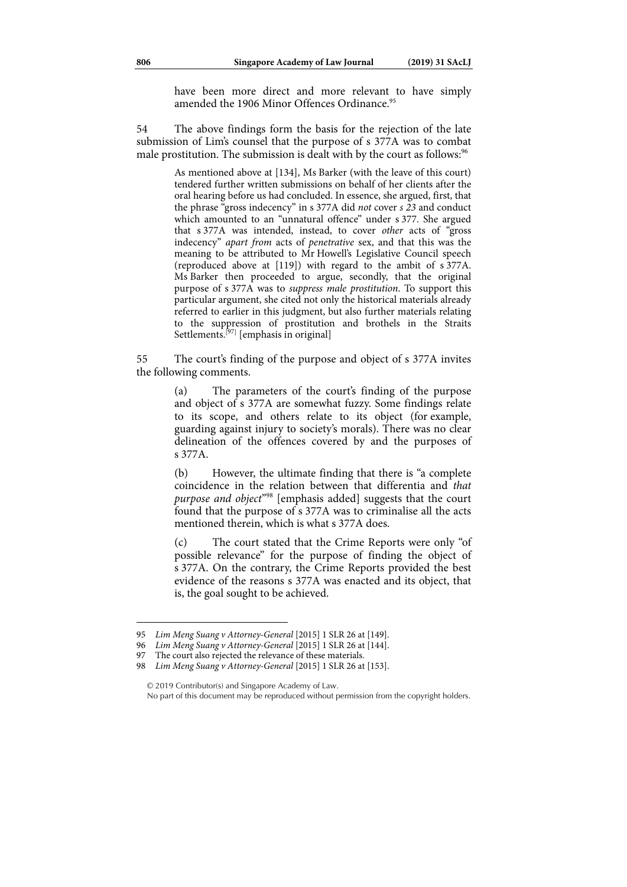have been more direct and more relevant to have simply amended the 1906 Minor Offences Ordinance.<sup>95</sup>

54 The above findings form the basis for the rejection of the late submission of Lim's counsel that the purpose of s 377A was to combat male prostitution. The submission is dealt with by the court as follows:<sup>96</sup>

> As mentioned above at [134], Ms Barker (with the leave of this court) tendered further written submissions on behalf of her clients after the oral hearing before us had concluded. In essence, she argued, first, that the phrase "gross indecency" in s 377A did not cover s 23 and conduct which amounted to an "unnatural offence" under s 377. She argued that s 377A was intended, instead, to cover other acts of "gross indecency" apart from acts of penetrative sex, and that this was the meaning to be attributed to Mr Howell's Legislative Council speech (reproduced above at [119]) with regard to the ambit of s 377A. Ms Barker then proceeded to argue, secondly, that the original purpose of s 377A was to suppress male prostitution. To support this particular argument, she cited not only the historical materials already referred to earlier in this judgment, but also further materials relating to the suppression of prostitution and brothels in the Straits Settlements.<sup>[97]</sup> [emphasis in original]

55 The court's finding of the purpose and object of s 377A invites the following comments.

> (a) The parameters of the court's finding of the purpose and object of s 377A are somewhat fuzzy. Some findings relate to its scope, and others relate to its object (for example, guarding against injury to society's morals). There was no clear delineation of the offences covered by and the purposes of s 377A.

> (b) However, the ultimate finding that there is "a complete coincidence in the relation between that differentia and that purpose and object"<sup>98</sup> [emphasis added] suggests that the court found that the purpose of s 377A was to criminalise all the acts mentioned therein, which is what s 377A does.

> (c) The court stated that the Crime Reports were only "of possible relevance" for the purpose of finding the object of s 377A. On the contrary, the Crime Reports provided the best evidence of the reasons s 377A was enacted and its object, that is, the goal sought to be achieved.

<sup>95</sup> Lim Meng Suang v Attorney-General [2015] 1 SLR 26 at [149].

<sup>96</sup> Lim Meng Suang v Attorney-General [2015] 1 SLR 26 at [144].

<sup>97</sup> The court also rejected the relevance of these materials.

<sup>98</sup> Lim Meng Suang v Attorney-General [2015] 1 SLR 26 at [153].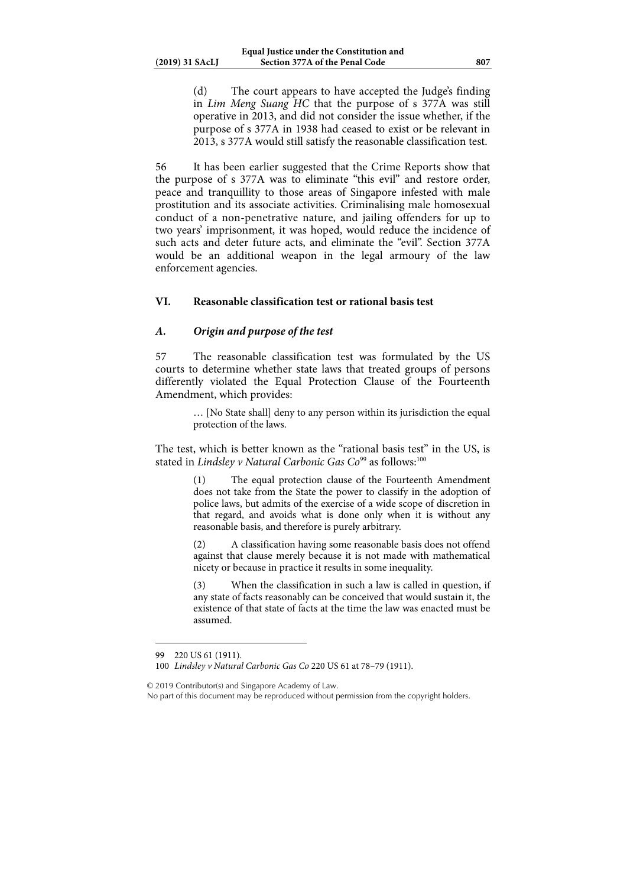(d) The court appears to have accepted the Judge's finding in Lim Meng Suang HC that the purpose of s 377A was still operative in 2013, and did not consider the issue whether, if the purpose of s 377A in 1938 had ceased to exist or be relevant in 2013, s 377A would still satisfy the reasonable classification test.

56 It has been earlier suggested that the Crime Reports show that the purpose of s 377A was to eliminate "this evil" and restore order, peace and tranquillity to those areas of Singapore infested with male prostitution and its associate activities. Criminalising male homosexual conduct of a non-penetrative nature, and jailing offenders for up to two years' imprisonment, it was hoped, would reduce the incidence of such acts and deter future acts, and eliminate the "evil". Section 377A would be an additional weapon in the legal armoury of the law enforcement agencies.

# **VI. Reasonable classification test or rational basis test**

### *A. Origin and purpose of the test*

57 The reasonable classification test was formulated by the US courts to determine whether state laws that treated groups of persons differently violated the Equal Protection Clause of the Fourteenth Amendment, which provides:

> … [No State shall] deny to any person within its jurisdiction the equal protection of the laws.

The test, which is better known as the "rational basis test" in the US, is stated in Lindsley v Natural Carbonic Gas  $Co^{99}$  as follows:<sup>100</sup>

> (1) The equal protection clause of the Fourteenth Amendment does not take from the State the power to classify in the adoption of police laws, but admits of the exercise of a wide scope of discretion in that regard, and avoids what is done only when it is without any reasonable basis, and therefore is purely arbitrary.

> (2) A classification having some reasonable basis does not offend against that clause merely because it is not made with mathematical nicety or because in practice it results in some inequality.

> (3) When the classification in such a law is called in question, if any state of facts reasonably can be conceived that would sustain it, the existence of that state of facts at the time the law was enacted must be assumed.

1

© 2019 Contributor(s) and Singapore Academy of Law.

<sup>99 220</sup> US 61 (1911).

<sup>100</sup> Lindsley v Natural Carbonic Gas Co 220 US 61 at 78–79 (1911).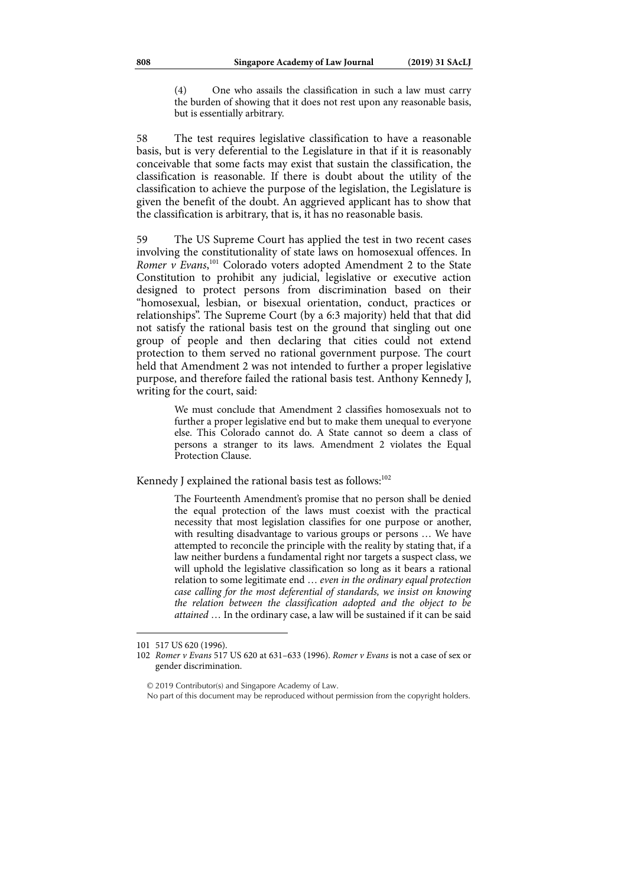(4) One who assails the classification in such a law must carry the burden of showing that it does not rest upon any reasonable basis, but is essentially arbitrary.

58 The test requires legislative classification to have a reasonable basis, but is very deferential to the Legislature in that if it is reasonably conceivable that some facts may exist that sustain the classification, the classification is reasonable. If there is doubt about the utility of the classification to achieve the purpose of the legislation, the Legislature is given the benefit of the doubt. An aggrieved applicant has to show that the classification is arbitrary, that is, it has no reasonable basis.

59 The US Supreme Court has applied the test in two recent cases involving the constitutionality of state laws on homosexual offences. In Romer v Evans,<sup>101</sup> Colorado voters adopted Amendment 2 to the State Constitution to prohibit any judicial, legislative or executive action designed to protect persons from discrimination based on their "homosexual, lesbian, or bisexual orientation, conduct, practices or relationships". The Supreme Court (by a 6:3 majority) held that that did not satisfy the rational basis test on the ground that singling out one group of people and then declaring that cities could not extend protection to them served no rational government purpose. The court held that Amendment 2 was not intended to further a proper legislative purpose, and therefore failed the rational basis test. Anthony Kennedy J, writing for the court, said:

> We must conclude that Amendment 2 classifies homosexuals not to further a proper legislative end but to make them unequal to everyone else. This Colorado cannot do. A State cannot so deem a class of persons a stranger to its laws. Amendment 2 violates the Equal Protection Clause.

Kennedy J explained the rational basis test as follows:<sup>102</sup>

The Fourteenth Amendment's promise that no person shall be denied the equal protection of the laws must coexist with the practical necessity that most legislation classifies for one purpose or another, with resulting disadvantage to various groups or persons … We have attempted to reconcile the principle with the reality by stating that, if a law neither burdens a fundamental right nor targets a suspect class, we will uphold the legislative classification so long as it bears a rational relation to some legitimate end … even in the ordinary equal protection case calling for the most deferential of standards, we insist on knowing the relation between the classification adopted and the object to be attained … In the ordinary case, a law will be sustained if it can be said

 $\overline{a}$ 

<sup>101 517</sup> US 620 (1996).

<sup>102</sup> Romer v Evans 517 US 620 at 631–633 (1996). Romer v Evans is not a case of sex or gender discrimination.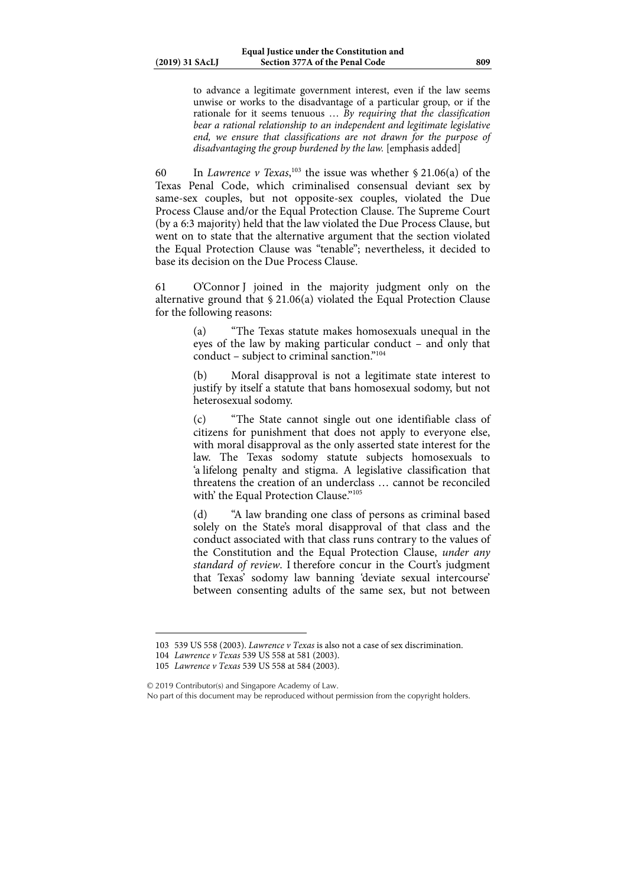to advance a legitimate government interest, even if the law seems unwise or works to the disadvantage of a particular group, or if the rationale for it seems tenuous  $\ldots$  By requiring that the classification bear a rational relationship to an independent and legitimate legislative end, we ensure that classifications are not drawn for the purpose of disadvantaging the group burdened by the law. [emphasis added]

60 In *Lawrence* v Texas,<sup>103</sup> the issue was whether  $\S 21.06(a)$  of the Texas Penal Code, which criminalised consensual deviant sex by same-sex couples, but not opposite-sex couples, violated the Due Process Clause and/or the Equal Protection Clause. The Supreme Court (by a 6:3 majority) held that the law violated the Due Process Clause, but went on to state that the alternative argument that the section violated the Equal Protection Clause was "tenable"; nevertheless, it decided to base its decision on the Due Process Clause.

61 O'Connor J joined in the majority judgment only on the alternative ground that § 21.06(a) violated the Equal Protection Clause for the following reasons:

> (a) "The Texas statute makes homosexuals unequal in the eyes of the law by making particular conduct – and only that conduct – subject to criminal sanction."104

> (b) Moral disapproval is not a legitimate state interest to justify by itself a statute that bans homosexual sodomy, but not heterosexual sodomy.

> (c) "The State cannot single out one identifiable class of citizens for punishment that does not apply to everyone else, with moral disapproval as the only asserted state interest for the law. The Texas sodomy statute subjects homosexuals to 'a lifelong penalty and stigma. A legislative classification that threatens the creation of an underclass … cannot be reconciled with' the Equal Protection Clause."<sup>105</sup>

> (d) "A law branding one class of persons as criminal based solely on the State's moral disapproval of that class and the conduct associated with that class runs contrary to the values of the Constitution and the Equal Protection Clause, under any standard of review. I therefore concur in the Court's judgment that Texas' sodomy law banning 'deviate sexual intercourse' between consenting adults of the same sex, but not between

 $\overline{a}$ 

© 2019 Contributor(s) and Singapore Academy of Law.

No part of this document may be reproduced without permission from the copyright holders.

<sup>103 539</sup> US 558 (2003). Lawrence v Texas is also not a case of sex discrimination.

<sup>104</sup> Lawrence v Texas 539 US 558 at 581 (2003).

<sup>105</sup> Lawrence v Texas 539 US 558 at 584 (2003).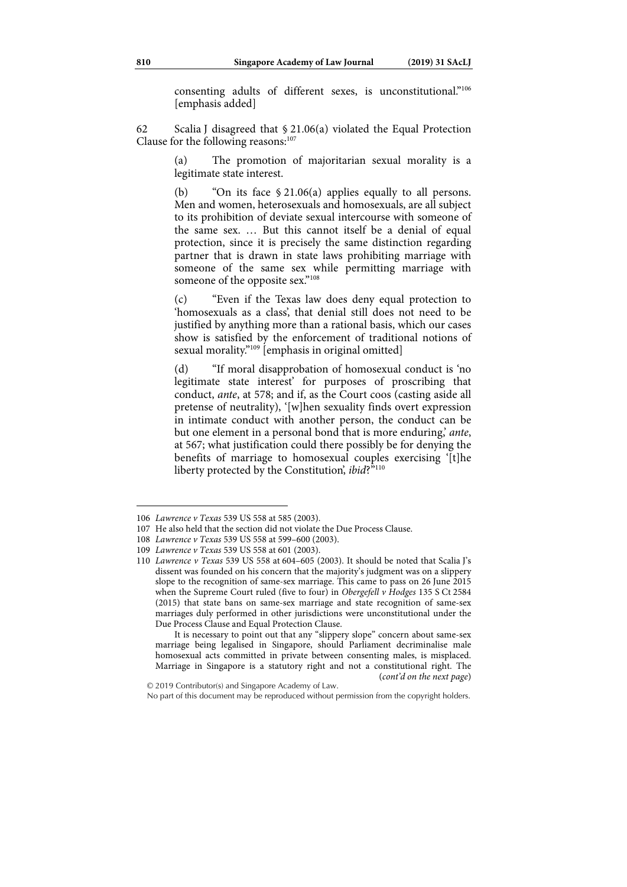consenting adults of different sexes, is unconstitutional."106 [emphasis added]

62 Scalia J disagreed that § 21.06(a) violated the Equal Protection Clause for the following reasons: $107$ 

> (a) The promotion of majoritarian sexual morality is a legitimate state interest.

> (b) "On its face § 21.06(a) applies equally to all persons. Men and women, heterosexuals and homosexuals, are all subject to its prohibition of deviate sexual intercourse with someone of the same sex. … But this cannot itself be a denial of equal protection, since it is precisely the same distinction regarding partner that is drawn in state laws prohibiting marriage with someone of the same sex while permitting marriage with someone of the opposite sex."<sup>108</sup>

> (c) "Even if the Texas law does deny equal protection to 'homosexuals as a class', that denial still does not need to be justified by anything more than a rational basis, which our cases show is satisfied by the enforcement of traditional notions of sexual morality.<sup>"109</sup> [emphasis in original omitted]

> (d) "If moral disapprobation of homosexual conduct is 'no legitimate state interest' for purposes of proscribing that conduct, ante, at 578; and if, as the Court coos (casting aside all pretense of neutrality), '[w]hen sexuality finds overt expression in intimate conduct with another person, the conduct can be but one element in a personal bond that is more enduring,' ante, at 567; what justification could there possibly be for denying the benefits of marriage to homosexual couples exercising '[t]he liberty protected by the Constitution', *ibid*? $\frac{3}{10}$ <sup>5</sup><sup>110</sup>

<sup>106</sup> Lawrence v Texas 539 US 558 at 585 (2003).

<sup>107</sup> He also held that the section did not violate the Due Process Clause.

<sup>108</sup> Lawrence v Texas 539 US 558 at 599–600 (2003).

<sup>109</sup> Lawrence v Texas 539 US 558 at 601 (2003).

<sup>110</sup> Lawrence v Texas 539 US 558 at 604–605 (2003). It should be noted that Scalia J's dissent was founded on his concern that the majority's judgment was on a slippery slope to the recognition of same-sex marriage. This came to pass on 26 June 2015 when the Supreme Court ruled (five to four) in Obergefell v Hodges 135 S Ct 2584 (2015) that state bans on same-sex marriage and state recognition of same-sex marriages duly performed in other jurisdictions were unconstitutional under the Due Process Clause and Equal Protection Clause.

It is necessary to point out that any "slippery slope" concern about same-sex marriage being legalised in Singapore, should Parliament decriminalise male homosexual acts committed in private between consenting males, is misplaced. Marriage in Singapore is a statutory right and not a constitutional right. The (cont'd on the next page)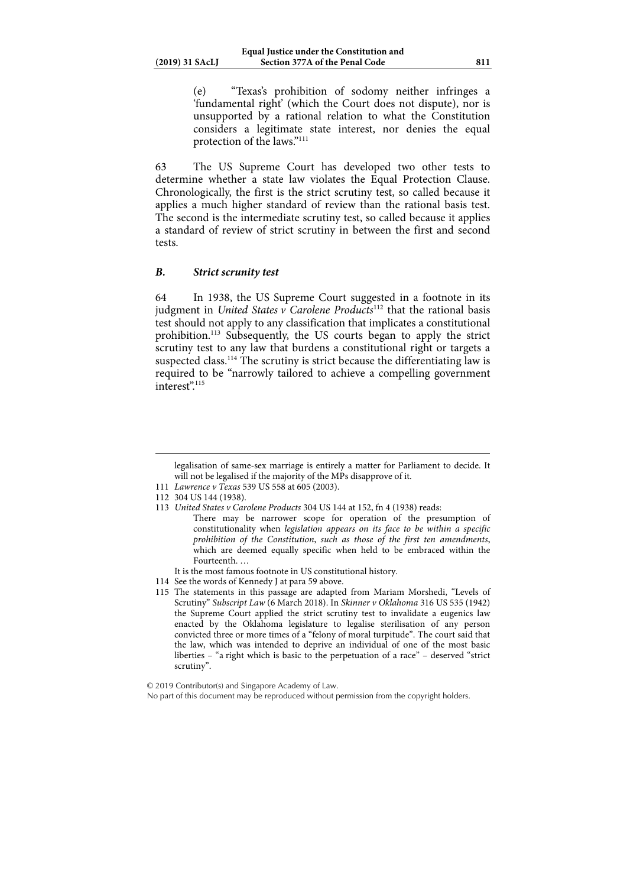(e) "Texas's prohibition of sodomy neither infringes a 'fundamental right' (which the Court does not dispute), nor is unsupported by a rational relation to what the Constitution considers a legitimate state interest, nor denies the equal protection of the laws."111

63 The US Supreme Court has developed two other tests to determine whether a state law violates the Equal Protection Clause. Chronologically, the first is the strict scrutiny test, so called because it applies a much higher standard of review than the rational basis test. The second is the intermediate scrutiny test, so called because it applies a standard of review of strict scrutiny in between the first and second tests.

### *B. Strict scrunity test*

64 In 1938, the US Supreme Court suggested in a footnote in its judgment in United States v Carolene Products<sup>112</sup> that the rational basis test should not apply to any classification that implicates a constitutional prohibition.113 Subsequently, the US courts began to apply the strict scrutiny test to any law that burdens a constitutional right or targets a suspected class.<sup>114</sup> The scrutiny is strict because the differentiating law is required to be "narrowly tailored to achieve a compelling government interest".<sup>115</sup>

 $\overline{a}$ 

It is the most famous footnote in US constitutional history.

legalisation of same-sex marriage is entirely a matter for Parliament to decide. It will not be legalised if the majority of the MPs disapprove of it.

<sup>111</sup> Lawrence v Texas 539 US 558 at 605 (2003).

<sup>112 304</sup> US 144 (1938).

<sup>113</sup> United States v Carolene Products 304 US 144 at 152, fn 4 (1938) reads:

There may be narrower scope for operation of the presumption of constitutionality when legislation appears on its face to be within a specific prohibition of the Constitution, such as those of the first ten amendments, which are deemed equally specific when held to be embraced within the Fourteenth. …

<sup>114</sup> See the words of Kennedy J at para 59 above.

<sup>115</sup> The statements in this passage are adapted from Mariam Morshedi, "Levels of Scrutiny" Subscript Law (6 March 2018). In Skinner v Oklahoma 316 US 535 (1942) the Supreme Court applied the strict scrutiny test to invalidate a eugenics law enacted by the Oklahoma legislature to legalise sterilisation of any person convicted three or more times of a "felony of moral turpitude". The court said that the law, which was intended to deprive an individual of one of the most basic liberties – "a right which is basic to the perpetuation of a race" – deserved "strict scrutiny".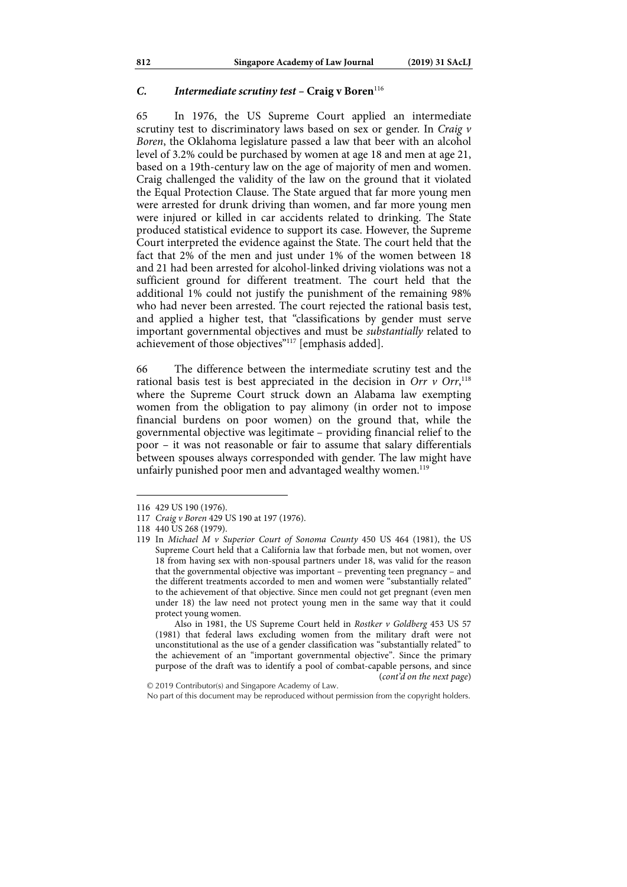### *C. Intermediate scrutiny test –* **Craig v Boren**<sup>116</sup>

65 In 1976, the US Supreme Court applied an intermediate scrutiny test to discriminatory laws based on sex or gender. In Craig  $\nu$ Boren, the Oklahoma legislature passed a law that beer with an alcohol level of 3.2% could be purchased by women at age 18 and men at age 21, based on a 19th-century law on the age of majority of men and women. Craig challenged the validity of the law on the ground that it violated the Equal Protection Clause. The State argued that far more young men were arrested for drunk driving than women, and far more young men were injured or killed in car accidents related to drinking. The State produced statistical evidence to support its case. However, the Supreme Court interpreted the evidence against the State. The court held that the fact that 2% of the men and just under 1% of the women between 18 and 21 had been arrested for alcohol-linked driving violations was not a sufficient ground for different treatment. The court held that the additional 1% could not justify the punishment of the remaining 98% who had never been arrested. The court rejected the rational basis test, and applied a higher test, that "classifications by gender must serve important governmental objectives and must be substantially related to achievement of those objectives"117 [emphasis added].

66 The difference between the intermediate scrutiny test and the rational basis test is best appreciated in the decision in Orr  $v$  Orr,  $^{118}$ where the Supreme Court struck down an Alabama law exempting women from the obligation to pay alimony (in order not to impose financial burdens on poor women) on the ground that, while the governmental objective was legitimate – providing financial relief to the poor – it was not reasonable or fair to assume that salary differentials between spouses always corresponded with gender. The law might have unfairly punished poor men and advantaged wealthy women.<sup>119</sup>

1

 Also in 1981, the US Supreme Court held in Rostker v Goldberg 453 US 57 (1981) that federal laws excluding women from the military draft were not unconstitutional as the use of a gender classification was "substantially related" to the achievement of an "important governmental objective". Since the primary purpose of the draft was to identify a pool of combat-capable persons, and since (cont'd on the next page)

<sup>116 429</sup> US 190 (1976).

<sup>117</sup> Craig v Boren 429 US 190 at 197 (1976).

<sup>118 440</sup> US 268 (1979).

<sup>119</sup> In Michael M v Superior Court of Sonoma County 450 US 464 (1981), the US Supreme Court held that a California law that forbade men, but not women, over 18 from having sex with non-spousal partners under 18, was valid for the reason that the governmental objective was important – preventing teen pregnancy – and the different treatments accorded to men and women were "substantially related" to the achievement of that objective. Since men could not get pregnant (even men under 18) the law need not protect young men in the same way that it could protect young women.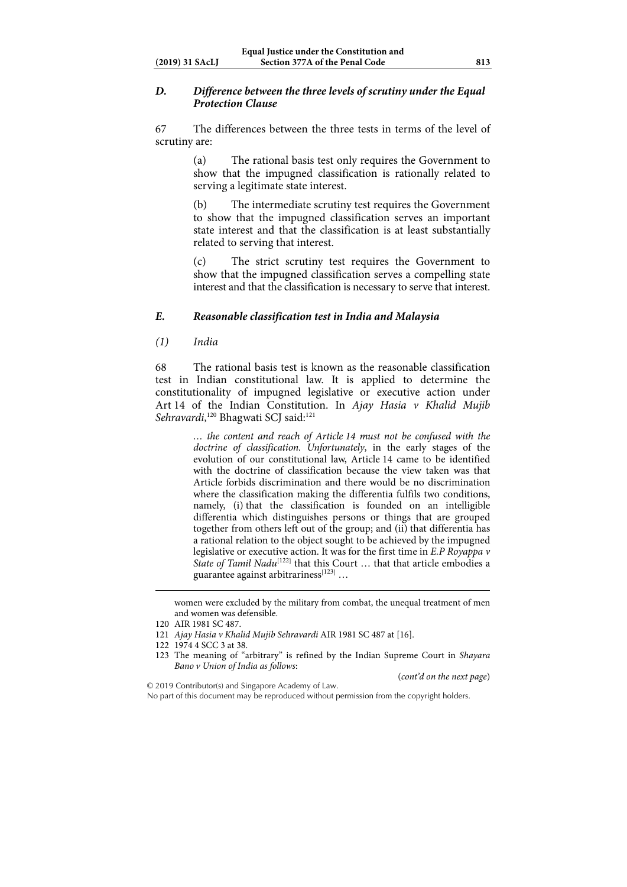### *D. Difference between the three levels of scrutiny under the Equal Protection Clause*

67 The differences between the three tests in terms of the level of scrutiny are:

> (a) The rational basis test only requires the Government to show that the impugned classification is rationally related to serving a legitimate state interest.

> (b) The intermediate scrutiny test requires the Government to show that the impugned classification serves an important state interest and that the classification is at least substantially related to serving that interest.

> (c) The strict scrutiny test requires the Government to show that the impugned classification serves a compelling state interest and that the classification is necessary to serve that interest.

# *E. Reasonable classification test in India and Malaysia*

(1) India

68 The rational basis test is known as the reasonable classification test in Indian constitutional law. It is applied to determine the constitutionality of impugned legislative or executive action under Art 14 of the Indian Constitution. In Ajay Hasia v Khalid Mujib S*ehravardi*,<sup>120</sup> Bhagwati SCJ said:<sup>121</sup>

> … the content and reach of Article 14 must not be confused with the doctrine of classification. Unfortunately, in the early stages of the evolution of our constitutional law, Article 14 came to be identified with the doctrine of classification because the view taken was that Article forbids discrimination and there would be no discrimination where the classification making the differentia fulfils two conditions, namely, (i) that the classification is founded on an intelligible differentia which distinguishes persons or things that are grouped together from others left out of the group; and (ii) that differentia has a rational relation to the object sought to be achieved by the impugned legislative or executive action. It was for the first time in E.P Royappa v State of Tamil Nadu<sup>[122]</sup> that this Court ... that that article embodies a guarantee against arbitrariness<sup>[123]</sup> ...

 $\overline{a}$ 

women were excluded by the military from combat, the unequal treatment of men and women was defensible.

<sup>120</sup> AIR 1981 SC 487.

<sup>121</sup> Ajay Hasia v Khalid Mujib Sehravardi AIR 1981 SC 487 at [16].

<sup>122 1974 4</sup> SCC 3 at 38.

<sup>123</sup> The meaning of "arbitrary" is refined by the Indian Supreme Court in Shayara Bano v Union of India as follows: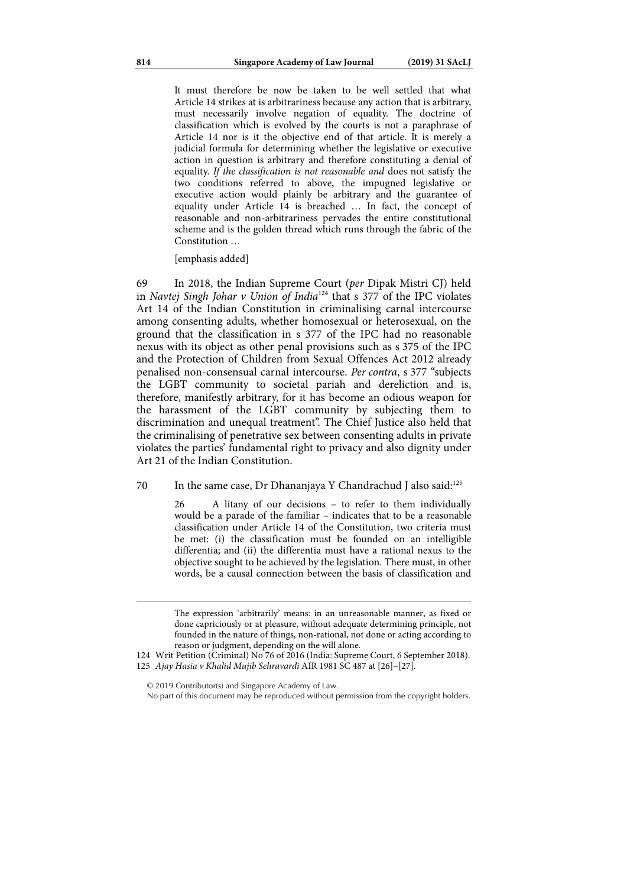It must therefore be now be taken to be well settled that what Article 14 strikes at is arbitrariness because any action that is arbitrary, must necessarily involve negation of equality. The doctrine of classification which is evolved by the courts is not a paraphrase of Article 14 nor is it the objective end of that article. It is merely a judicial formula for determining whether the legislative or executive action in question is arbitrary and therefore constituting a denial of equality. If the classification is not reasonable and does not satisfy the two conditions referred to above, the impugned legislative or executive action would plainly be arbitrary and the guarantee of equality under Article 14 is breached … In fact, the concept of reasonable and non-arbitrariness pervades the entire constitutional scheme and is the golden thread which runs through the fabric of the Constitution …

[emphasis added]

69 In 2018, the Indian Supreme Court (per Dipak Mistri CJ) held in Navtej Singh Johar v Union of India<sup>124</sup> that s 377 of the IPC violates Art 14 of the Indian Constitution in criminalising carnal intercourse among consenting adults, whether homosexual or heterosexual, on the ground that the classification in s 377 of the IPC had no reasonable nexus with its object as other penal provisions such as s 375 of the IPC and the Protection of Children from Sexual Offences Act 2012 already penalised non-consensual carnal intercourse. Per contra, s 377 "subjects the LGBT community to societal pariah and dereliction and is, therefore, manifestly arbitrary, for it has become an odious weapon for the harassment of the LGBT community by subjecting them to discrimination and unequal treatment". The Chief Justice also held that the criminalising of penetrative sex between consenting adults in private violates the parties' fundamental right to privacy and also dignity under Art 21 of the Indian Constitution.

70 In the same case, Dr Dhananjaya Y Chandrachud J also said:125

26 A litany of our decisions – to refer to them individually would be a parade of the familiar – indicates that to be a reasonable classification under Article 14 of the Constitution, two criteria must be met: (i) the classification must be founded on an intelligible differentia; and (ii) the differentia must have a rational nexus to the objective sought to be achieved by the legislation. There must, in other words, be a causal connection between the basis of classification and

The expression 'arbitrarily' means: in an unreasonable manner, as fixed or done capriciously or at pleasure, without adequate determining principle, not founded in the nature of things, non-rational, not done or acting according to reason or judgment, depending on the will alone.

<sup>124</sup> Writ Petition (Criminal) No 76 of 2016 (India: Supreme Court, 6 September 2018). 125 Ajay Hasia v Khalid Mujib Sehravardi AIR 1981 SC 487 at [26]–[27].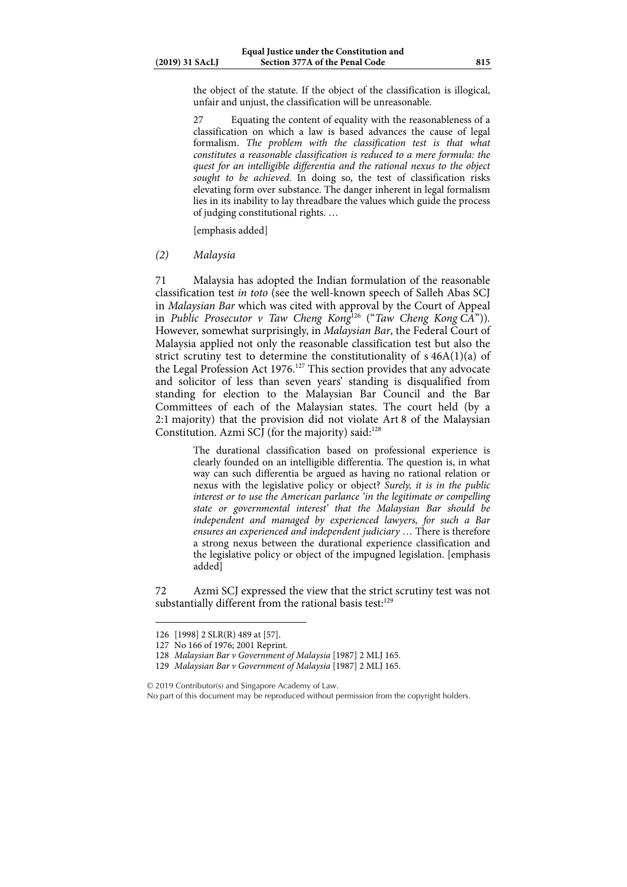the object of the statute. If the object of the classification is illogical, unfair and unjust, the classification will be unreasonable.

27 Equating the content of equality with the reasonableness of a classification on which a law is based advances the cause of legal formalism. The problem with the classification test is that what constitutes a reasonable classification is reduced to a mere formula: the quest for an intelligible differentia and the rational nexus to the object sought to be achieved. In doing so, the test of classification risks elevating form over substance. The danger inherent in legal formalism lies in its inability to lay threadbare the values which guide the process of judging constitutional rights. …

[emphasis added]

(2) Malaysia

71 Malaysia has adopted the Indian formulation of the reasonable classification test in toto (see the well-known speech of Salleh Abas SCJ in Malaysian Bar which was cited with approval by the Court of Appeal in Public Prosecutor v Taw Cheng Kong<sup>126</sup> ("Taw Cheng Kong  $CA$ ")). However, somewhat surprisingly, in Malaysian Bar, the Federal Court of Malaysia applied not only the reasonable classification test but also the strict scrutiny test to determine the constitutionality of  $s$  46A(1)(a) of the Legal Profession Act 1976.<sup>127</sup> This section provides that any advocate and solicitor of less than seven years' standing is disqualified from standing for election to the Malaysian Bar Council and the Bar Committees of each of the Malaysian states. The court held (by a 2:1 majority) that the provision did not violate Art 8 of the Malaysian Constitution. Azmi SCJ (for the majority) said:<sup>128</sup>

> The durational classification based on professional experience is clearly founded on an intelligible differentia. The question is, in what way can such differentia be argued as having no rational relation or nexus with the legislative policy or object? Surely, it is in the public interest or to use the American parlance 'in the legitimate or compelling state or governmental interest' that the Malaysian Bar should be independent and managed by experienced lawyers, for such a Bar ensures an experienced and independent judiciary … There is therefore a strong nexus between the durational experience classification and the legislative policy or object of the impugned legislation. [emphasis added]

72 Azmi SCJ expressed the view that the strict scrutiny test was not substantially different from the rational basis test:<sup>129</sup>

1

© 2019 Contributor(s) and Singapore Academy of Law.

<sup>126 [1998] 2</sup> SLR(R) 489 at [57].

<sup>127</sup> No 166 of 1976; 2001 Reprint.

<sup>128</sup> Malaysian Bar v Government of Malaysia [1987] 2 MLJ 165.

<sup>129</sup> Malaysian Bar v Government of Malaysia [1987] 2 MLJ 165.

No part of this document may be reproduced without permission from the copyright holders.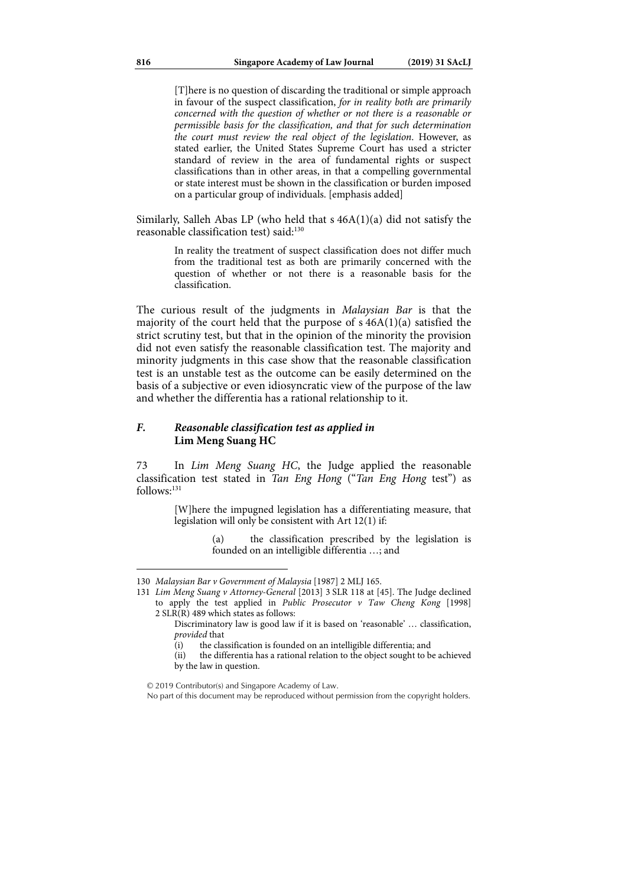[T]here is no question of discarding the traditional or simple approach in favour of the suspect classification, for in reality both are primarily concerned with the question of whether or not there is a reasonable or permissible basis for the classification, and that for such determination the court must review the real object of the legislation. However, as stated earlier, the United States Supreme Court has used a stricter standard of review in the area of fundamental rights or suspect classifications than in other areas, in that a compelling governmental or state interest must be shown in the classification or burden imposed on a particular group of individuals. [emphasis added]

Similarly, Salleh Abas LP (who held that s 46A(1)(a) did not satisfy the reasonable classification test) said:130

> In reality the treatment of suspect classification does not differ much from the traditional test as both are primarily concerned with the question of whether or not there is a reasonable basis for the classification.

The curious result of the judgments in Malaysian Bar is that the majority of the court held that the purpose of  $s$  46A(1)(a) satisfied the strict scrutiny test, but that in the opinion of the minority the provision did not even satisfy the reasonable classification test. The majority and minority judgments in this case show that the reasonable classification test is an unstable test as the outcome can be easily determined on the basis of a subjective or even idiosyncratic view of the purpose of the law and whether the differentia has a rational relationship to it.

### *F. Reasonable classification test as applied in*  **Lim Meng Suang HC**

73 In Lim Meng Suang HC, the Judge applied the reasonable classification test stated in Tan Eng Hong ("Tan Eng Hong test") as follows:131

> [W]here the impugned legislation has a differentiating measure, that legislation will only be consistent with Art 12(1) if:

> > (a) the classification prescribed by the legislation is founded on an intelligible differentia …; and

1

No part of this document may be reproduced without permission from the copyright holders.

<sup>130</sup> Malaysian Bar v Government of Malaysia [1987] 2 MLJ 165.

<sup>131</sup> Lim Meng Suang v Attorney-General [2013] 3 SLR 118 at [45]. The Judge declined to apply the test applied in *Public Prosecutor v Taw Cheng Kong* [1998] 2 SLR(R) 489 which states as follows:

Discriminatory law is good law if it is based on 'reasonable' … classification, provided that

<sup>(</sup>i) the classification is founded on an intelligible differentia; and

<sup>(</sup>ii) the differentia has a rational relation to the object sought to be achieved by the law in question.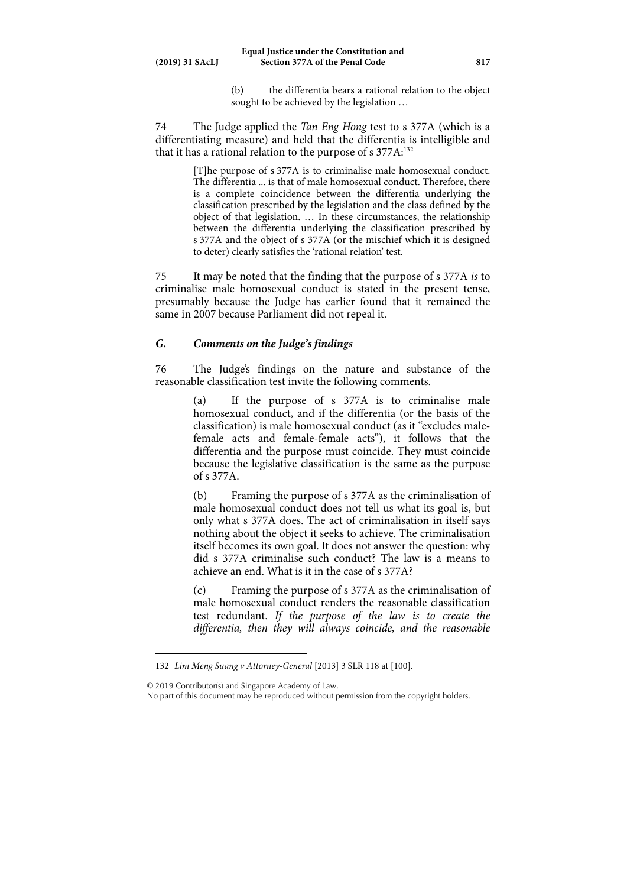(b) the differentia bears a rational relation to the object sought to be achieved by the legislation …

74 The Judge applied the Tan Eng Hong test to s 377A (which is a differentiating measure) and held that the differentia is intelligible and that it has a rational relation to the purpose of s 377A:<sup>132</sup>

> [T]he purpose of s 377A is to criminalise male homosexual conduct. The differentia ... is that of male homosexual conduct. Therefore, there is a complete coincidence between the differentia underlying the classification prescribed by the legislation and the class defined by the object of that legislation. … In these circumstances, the relationship between the differentia underlying the classification prescribed by s 377A and the object of s 377A (or the mischief which it is designed to deter) clearly satisfies the 'rational relation' test.

75 It may be noted that the finding that the purpose of s 377A is to criminalise male homosexual conduct is stated in the present tense, presumably because the Judge has earlier found that it remained the same in 2007 because Parliament did not repeal it.

# *G. Comments on the Judge's findings*

76 The Judge's findings on the nature and substance of the reasonable classification test invite the following comments.

> (a) If the purpose of s 377A is to criminalise male homosexual conduct, and if the differentia (or the basis of the classification) is male homosexual conduct (as it "excludes malefemale acts and female-female acts"), it follows that the differentia and the purpose must coincide. They must coincide because the legislative classification is the same as the purpose of s 377A.

> (b) Framing the purpose of s 377A as the criminalisation of male homosexual conduct does not tell us what its goal is, but only what s 377A does. The act of criminalisation in itself says nothing about the object it seeks to achieve. The criminalisation itself becomes its own goal. It does not answer the question: why did s 377A criminalise such conduct? The law is a means to achieve an end. What is it in the case of s 377A?

> (c) Framing the purpose of s 377A as the criminalisation of male homosexual conduct renders the reasonable classification test redundant. If the purpose of the law is to create the differentia, then they will always coincide, and the reasonable

© 2019 Contributor(s) and Singapore Academy of Law.

<sup>132</sup> Lim Meng Suang v Attorney-General [2013] 3 SLR 118 at [100].

No part of this document may be reproduced without permission from the copyright holders.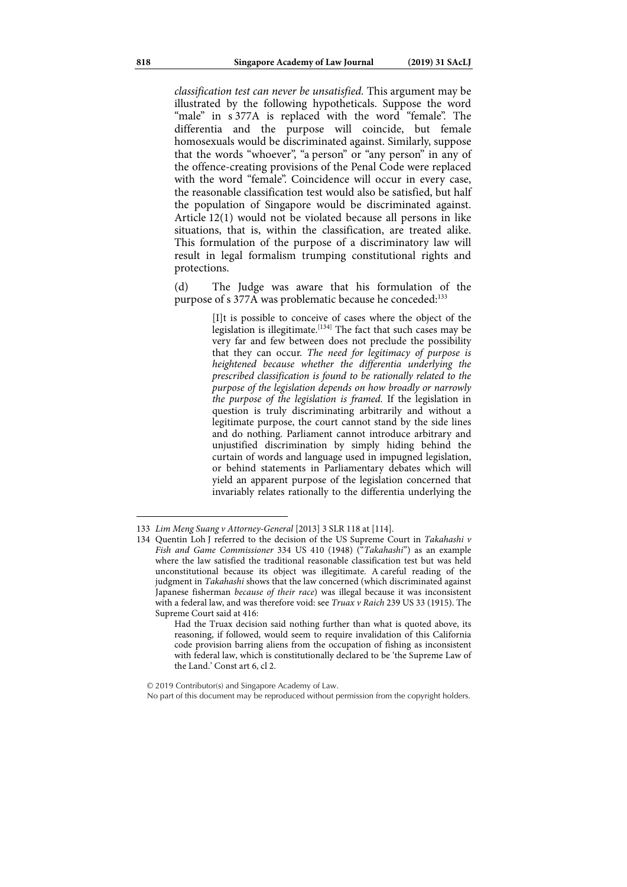classification test can never be unsatisfied. This argument may be illustrated by the following hypotheticals. Suppose the word "male" in s 377A is replaced with the word "female". The differentia and the purpose will coincide, but female homosexuals would be discriminated against. Similarly, suppose that the words "whoever", "a person" or "any person" in any of the offence-creating provisions of the Penal Code were replaced with the word "female". Coincidence will occur in every case, the reasonable classification test would also be satisfied, but half the population of Singapore would be discriminated against. Article 12(1) would not be violated because all persons in like situations, that is, within the classification, are treated alike. This formulation of the purpose of a discriminatory law will result in legal formalism trumping constitutional rights and protections.

(d) The Judge was aware that his formulation of the purpose of s 377A was problematic because he conceded:<sup>133</sup>

> [I]t is possible to conceive of cases where the object of the legislation is illegitimate.<sup>[134]</sup> The fact that such cases may be very far and few between does not preclude the possibility that they can occur. The need for legitimacy of purpose is heightened because whether the differentia underlying the prescribed classification is found to be rationally related to the purpose of the legislation depends on how broadly or narrowly the purpose of the legislation is framed. If the legislation in question is truly discriminating arbitrarily and without a legitimate purpose, the court cannot stand by the side lines and do nothing. Parliament cannot introduce arbitrary and unjustified discrimination by simply hiding behind the curtain of words and language used in impugned legislation, or behind statements in Parliamentary debates which will yield an apparent purpose of the legislation concerned that invariably relates rationally to the differentia underlying the

<sup>133</sup> Lim Meng Suang v Attorney-General [2013] 3 SLR 118 at [114].

<sup>134</sup> Quentin Loh J referred to the decision of the US Supreme Court in Takahashi  $v$ Fish and Game Commissioner 334 US 410 (1948) ("Takahashi") as an example where the law satisfied the traditional reasonable classification test but was held unconstitutional because its object was illegitimate. A careful reading of the judgment in Takahashi shows that the law concerned (which discriminated against Japanese fisherman because of their race) was illegal because it was inconsistent with a federal law, and was therefore void: see  $Triax v$  Raich 239 US 33 (1915). The Supreme Court said at 416:

Had the Truax decision said nothing further than what is quoted above, its reasoning, if followed, would seem to require invalidation of this California code provision barring aliens from the occupation of fishing as inconsistent with federal law, which is constitutionally declared to be 'the Supreme Law of the Land.' Const art 6, cl 2.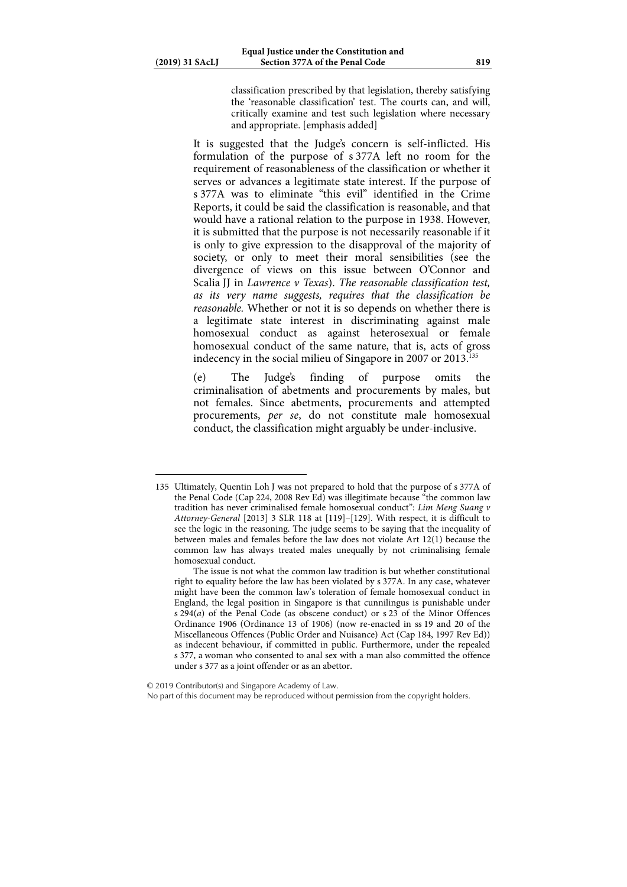1

classification prescribed by that legislation, thereby satisfying the 'reasonable classification' test. The courts can, and will, critically examine and test such legislation where necessary and appropriate. [emphasis added]

It is suggested that the Judge's concern is self-inflicted. His formulation of the purpose of s 377A left no room for the requirement of reasonableness of the classification or whether it serves or advances a legitimate state interest. If the purpose of s 377A was to eliminate "this evil" identified in the Crime Reports, it could be said the classification is reasonable, and that would have a rational relation to the purpose in 1938. However, it is submitted that the purpose is not necessarily reasonable if it is only to give expression to the disapproval of the majority of society, or only to meet their moral sensibilities (see the divergence of views on this issue between O'Connor and Scalia JJ in Lawrence v Texas). The reasonable classification test, as its very name suggests, requires that the classification be reasonable. Whether or not it is so depends on whether there is a legitimate state interest in discriminating against male homosexual conduct as against heterosexual or female homosexual conduct of the same nature, that is, acts of gross indecency in the social milieu of Singapore in 2007 or 2013.<sup>135</sup>

(e) The Judge's finding of purpose omits the criminalisation of abetments and procurements by males, but not females. Since abetments, procurements and attempted procurements, per se, do not constitute male homosexual conduct, the classification might arguably be under-inclusive.

<sup>135</sup> Ultimately, Quentin Loh J was not prepared to hold that the purpose of s 377A of the Penal Code (Cap 224, 2008 Rev Ed) was illegitimate because "the common law tradition has never criminalised female homosexual conduct": Lim Meng Suang v Attorney-General [2013] 3 SLR 118 at [119]–[129]. With respect, it is difficult to see the logic in the reasoning. The judge seems to be saying that the inequality of between males and females before the law does not violate Art 12(1) because the common law has always treated males unequally by not criminalising female homosexual conduct.

The issue is not what the common law tradition is but whether constitutional right to equality before the law has been violated by s 377A. In any case, whatever might have been the common law's toleration of female homosexual conduct in England, the legal position in Singapore is that cunnilingus is punishable under s 294(a) of the Penal Code (as obscene conduct) or s 23 of the Minor Offences Ordinance 1906 (Ordinance 13 of 1906) (now re-enacted in ss 19 and 20 of the Miscellaneous Offences (Public Order and Nuisance) Act (Cap 184, 1997 Rev Ed)) as indecent behaviour, if committed in public. Furthermore, under the repealed s 377, a woman who consented to anal sex with a man also committed the offence under s 377 as a joint offender or as an abettor.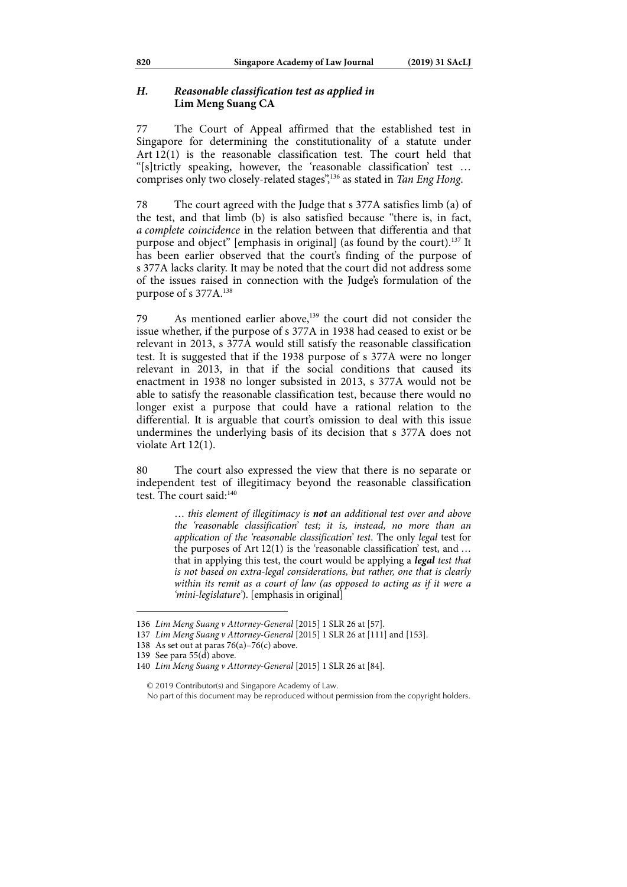### *H. Reasonable classification test as applied in*  **Lim Meng Suang CA**

77 The Court of Appeal affirmed that the established test in Singapore for determining the constitutionality of a statute under Art 12(1) is the reasonable classification test. The court held that "[s]trictly speaking, however, the 'reasonable classification' test … comprises only two closely-related stages",<sup>136</sup> as stated in Tan Eng Hong.

78 The court agreed with the Judge that s 377A satisfies limb (a) of the test, and that limb (b) is also satisfied because "there is, in fact, a complete coincidence in the relation between that differentia and that purpose and object" [emphasis in original] (as found by the court).<sup>137</sup> It has been earlier observed that the court's finding of the purpose of s 377A lacks clarity. It may be noted that the court did not address some of the issues raised in connection with the Judge's formulation of the purpose of s 377A.138

79 As mentioned earlier above,<sup>139</sup> the court did not consider the issue whether, if the purpose of s 377A in 1938 had ceased to exist or be relevant in 2013, s 377A would still satisfy the reasonable classification test. It is suggested that if the 1938 purpose of s 377A were no longer relevant in 2013, in that if the social conditions that caused its enactment in 1938 no longer subsisted in 2013, s 377A would not be able to satisfy the reasonable classification test, because there would no longer exist a purpose that could have a rational relation to the differential. It is arguable that court's omission to deal with this issue undermines the underlying basis of its decision that s 377A does not violate Art 12(1).

80 The court also expressed the view that there is no separate or independent test of illegitimacy beyond the reasonable classification test. The court said:<sup>140</sup>

> … this element of illegitimacy is *not* an additional test over and above the 'reasonable classification' test; it is, instead, no more than an application of the 'reasonable classification' test. The only legal test for the purposes of Art 12(1) is the 'reasonable classification' test, and … that in applying this test, the court would be applying a *legal* test that is not based on extra-legal considerations, but rather, one that is clearly within its remit as a court of law (as opposed to acting as if it were a 'mini-legislature'). [emphasis in original]

<sup>136</sup> Lim Meng Suang v Attorney-General [2015] 1 SLR 26 at [57].

<sup>137</sup> Lim Meng Suang v Attorney-General [2015] 1 SLR 26 at [111] and [153].

<sup>138</sup> As set out at paras 76(a)–76(c) above.

<sup>139</sup> See para 55(d) above.

<sup>140</sup> Lim Meng Suang v Attorney-General [2015] 1 SLR 26 at [84].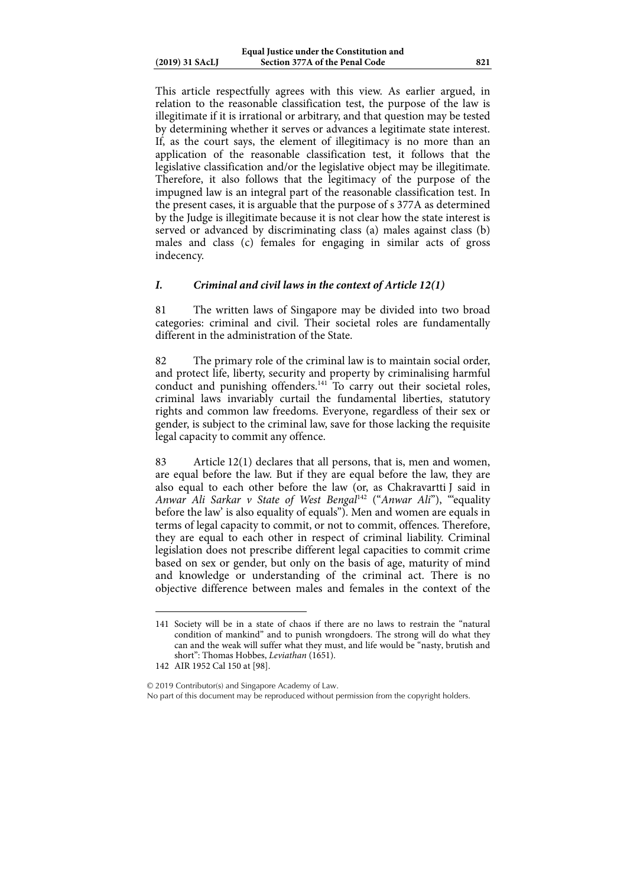This article respectfully agrees with this view. As earlier argued, in relation to the reasonable classification test, the purpose of the law is illegitimate if it is irrational or arbitrary, and that question may be tested by determining whether it serves or advances a legitimate state interest. If, as the court says, the element of illegitimacy is no more than an application of the reasonable classification test, it follows that the legislative classification and/or the legislative object may be illegitimate. Therefore, it also follows that the legitimacy of the purpose of the impugned law is an integral part of the reasonable classification test. In the present cases, it is arguable that the purpose of s 377A as determined by the Judge is illegitimate because it is not clear how the state interest is served or advanced by discriminating class (a) males against class (b) males and class (c) females for engaging in similar acts of gross indecency.

# *I. Criminal and civil laws in the context of Article 12(1)*

81 The written laws of Singapore may be divided into two broad categories: criminal and civil. Their societal roles are fundamentally different in the administration of the State.

82 The primary role of the criminal law is to maintain social order, and protect life, liberty, security and property by criminalising harmful conduct and punishing offenders.<sup>141</sup> To carry out their societal roles, criminal laws invariably curtail the fundamental liberties, statutory rights and common law freedoms. Everyone, regardless of their sex or gender, is subject to the criminal law, save for those lacking the requisite legal capacity to commit any offence.

83 Article 12(1) declares that all persons, that is, men and women, are equal before the law. But if they are equal before the law, they are also equal to each other before the law (or, as Chakravartti J said in Anwar Ali Sarkar v State of West Bengal<sup>142</sup> ("Anwar Ali"), "equality before the law' is also equality of equals"). Men and women are equals in terms of legal capacity to commit, or not to commit, offences. Therefore, they are equal to each other in respect of criminal liability. Criminal legislation does not prescribe different legal capacities to commit crime based on sex or gender, but only on the basis of age, maturity of mind and knowledge or understanding of the criminal act. There is no objective difference between males and females in the context of the

<sup>141</sup> Society will be in a state of chaos if there are no laws to restrain the "natural condition of mankind" and to punish wrongdoers. The strong will do what they can and the weak will suffer what they must, and life would be "nasty, brutish and short": Thomas Hobbes, Leviathan (1651).

<sup>142</sup> AIR 1952 Cal 150 at [98].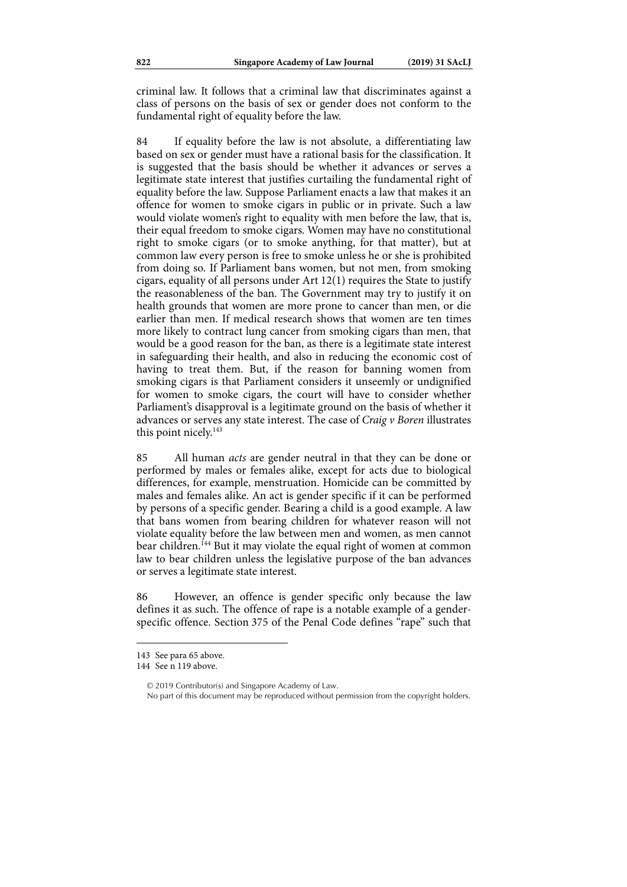criminal law. It follows that a criminal law that discriminates against a class of persons on the basis of sex or gender does not conform to the fundamental right of equality before the law.

84 If equality before the law is not absolute, a differentiating law based on sex or gender must have a rational basis for the classification. It is suggested that the basis should be whether it advances or serves a legitimate state interest that justifies curtailing the fundamental right of equality before the law. Suppose Parliament enacts a law that makes it an offence for women to smoke cigars in public or in private. Such a law would violate women's right to equality with men before the law, that is, their equal freedom to smoke cigars. Women may have no constitutional right to smoke cigars (or to smoke anything, for that matter), but at common law every person is free to smoke unless he or she is prohibited from doing so. If Parliament bans women, but not men, from smoking cigars, equality of all persons under Art 12(1) requires the State to justify the reasonableness of the ban. The Government may try to justify it on health grounds that women are more prone to cancer than men, or die earlier than men. If medical research shows that women are ten times more likely to contract lung cancer from smoking cigars than men, that would be a good reason for the ban, as there is a legitimate state interest in safeguarding their health, and also in reducing the economic cost of having to treat them. But, if the reason for banning women from smoking cigars is that Parliament considers it unseemly or undignified for women to smoke cigars, the court will have to consider whether Parliament's disapproval is a legitimate ground on the basis of whether it advances or serves any state interest. The case of Craig v Boren illustrates this point nicely.<sup>143</sup>

85 All human acts are gender neutral in that they can be done or performed by males or females alike, except for acts due to biological differences, for example, menstruation. Homicide can be committed by males and females alike. An act is gender specific if it can be performed by persons of a specific gender. Bearing a child is a good example. A law that bans women from bearing children for whatever reason will not violate equality before the law between men and women, as men cannot bear children.<sup>144</sup> But it may violate the equal right of women at common law to bear children unless the legislative purpose of the ban advances or serves a legitimate state interest.

86 However, an offence is gender specific only because the law defines it as such. The offence of rape is a notable example of a genderspecific offence. Section 375 of the Penal Code defines "rape" such that

<sup>143</sup> See para 65 above.

<sup>144</sup> See n 119 above.

<sup>© 2019</sup> Contributor(s) and Singapore Academy of Law. No part of this document may be reproduced without permission from the copyright holders.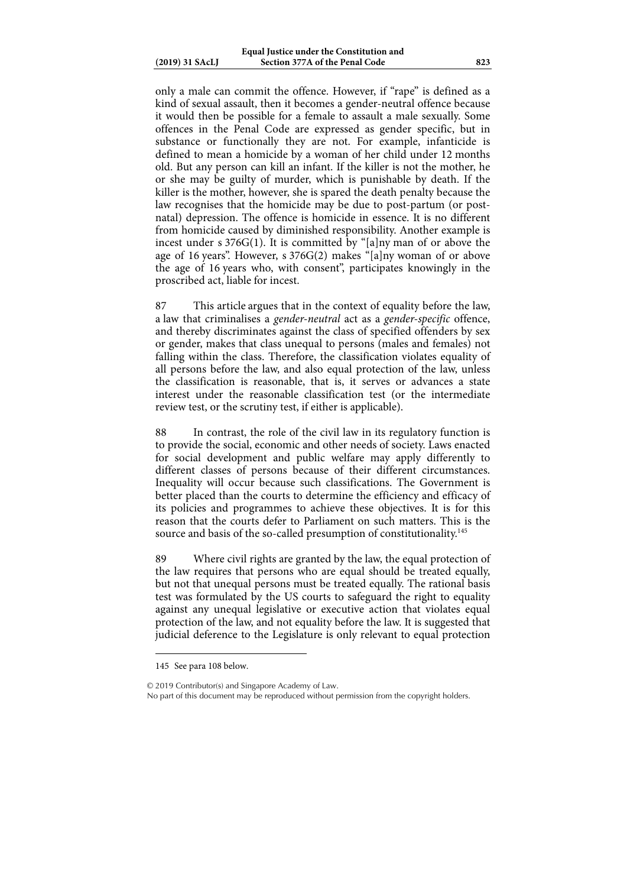only a male can commit the offence. However, if "rape" is defined as a kind of sexual assault, then it becomes a gender-neutral offence because it would then be possible for a female to assault a male sexually. Some offences in the Penal Code are expressed as gender specific, but in substance or functionally they are not. For example, infanticide is defined to mean a homicide by a woman of her child under 12 months old. But any person can kill an infant. If the killer is not the mother, he or she may be guilty of murder, which is punishable by death. If the killer is the mother, however, she is spared the death penalty because the law recognises that the homicide may be due to post-partum (or postnatal) depression. The offence is homicide in essence. It is no different from homicide caused by diminished responsibility. Another example is incest under s 376G(1). It is committed by "[a]ny man of or above the age of 16 years". However, s 376G(2) makes "[a]ny woman of or above the age of 16 years who, with consent", participates knowingly in the proscribed act, liable for incest.

87 This article argues that in the context of equality before the law, a law that criminalises a gender-neutral act as a gender-specific offence, and thereby discriminates against the class of specified offenders by sex or gender, makes that class unequal to persons (males and females) not falling within the class. Therefore, the classification violates equality of all persons before the law, and also equal protection of the law, unless the classification is reasonable, that is, it serves or advances a state interest under the reasonable classification test (or the intermediate review test, or the scrutiny test, if either is applicable).

88 In contrast, the role of the civil law in its regulatory function is to provide the social, economic and other needs of society. Laws enacted for social development and public welfare may apply differently to different classes of persons because of their different circumstances. Inequality will occur because such classifications. The Government is better placed than the courts to determine the efficiency and efficacy of its policies and programmes to achieve these objectives. It is for this reason that the courts defer to Parliament on such matters. This is the source and basis of the so-called presumption of constitutionality.<sup>145</sup>

89 Where civil rights are granted by the law, the equal protection of the law requires that persons who are equal should be treated equally, but not that unequal persons must be treated equally. The rational basis test was formulated by the US courts to safeguard the right to equality against any unequal legislative or executive action that violates equal protection of the law, and not equality before the law. It is suggested that judicial deference to the Legislature is only relevant to equal protection

<sup>145</sup> See para 108 below.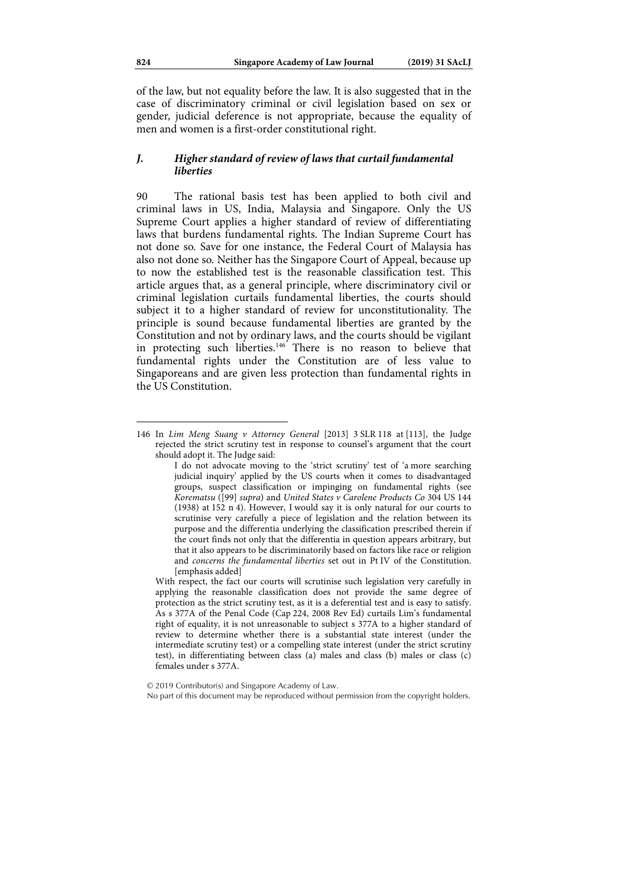of the law, but not equality before the law. It is also suggested that in the case of discriminatory criminal or civil legislation based on sex or gender, judicial deference is not appropriate, because the equality of men and women is a first-order constitutional right.

# *J. Higher standard of review of laws that curtail fundamental liberties*

90 The rational basis test has been applied to both civil and criminal laws in US, India, Malaysia and Singapore. Only the US Supreme Court applies a higher standard of review of differentiating laws that burdens fundamental rights. The Indian Supreme Court has not done so. Save for one instance, the Federal Court of Malaysia has also not done so. Neither has the Singapore Court of Appeal, because up to now the established test is the reasonable classification test. This article argues that, as a general principle, where discriminatory civil or criminal legislation curtails fundamental liberties, the courts should subject it to a higher standard of review for unconstitutionality. The principle is sound because fundamental liberties are granted by the Constitution and not by ordinary laws, and the courts should be vigilant in protecting such liberties.<sup>146</sup> There is no reason to believe that fundamental rights under the Constitution are of less value to Singaporeans and are given less protection than fundamental rights in the US Constitution.

<sup>146</sup> In Lim Meng Suang v Attorney General [2013] 3 SLR 118 at [113], the Judge rejected the strict scrutiny test in response to counsel's argument that the court should adopt it. The Judge said:

I do not advocate moving to the 'strict scrutiny' test of 'a more searching judicial inquiry' applied by the US courts when it comes to disadvantaged groups, suspect classification or impinging on fundamental rights (see Korematsu ([99] supra) and United States v Carolene Products Co 304 US 144 (1938) at 152 n 4). However, I would say it is only natural for our courts to scrutinise very carefully a piece of legislation and the relation between its purpose and the differentia underlying the classification prescribed therein if the court finds not only that the differentia in question appears arbitrary, but that it also appears to be discriminatorily based on factors like race or religion and concerns the fundamental liberties set out in Pt IV of the Constitution. [emphasis added]

With respect, the fact our courts will scrutinise such legislation very carefully in applying the reasonable classification does not provide the same degree of protection as the strict scrutiny test, as it is a deferential test and is easy to satisfy. As s 377A of the Penal Code (Cap 224, 2008 Rev Ed) curtails Lim's fundamental right of equality, it is not unreasonable to subject s 377A to a higher standard of review to determine whether there is a substantial state interest (under the intermediate scrutiny test) or a compelling state interest (under the strict scrutiny test), in differentiating between class (a) males and class (b) males or class (c) females under s 377A.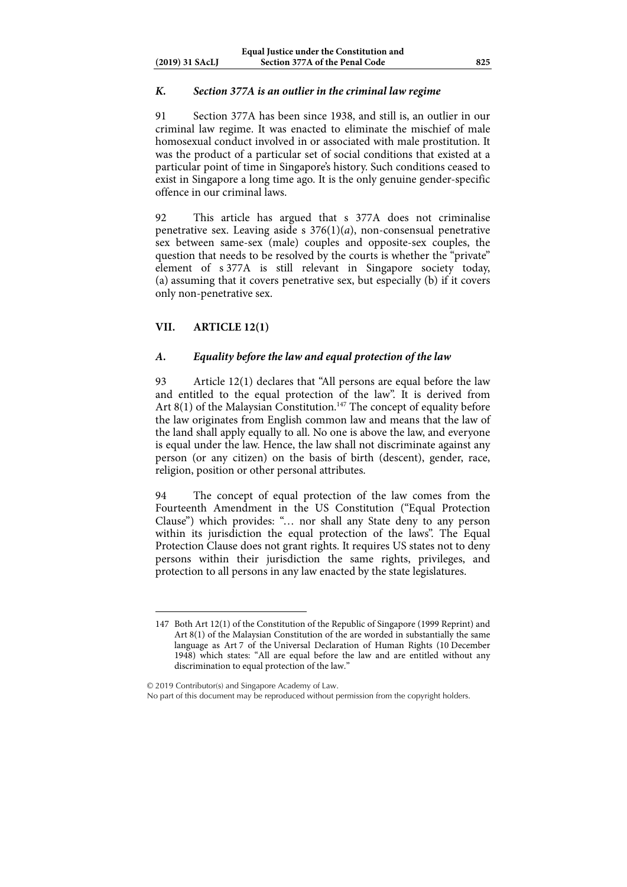# *K. Section 377A is an outlier in the criminal law regime*

91 Section 377A has been since 1938, and still is, an outlier in our criminal law regime. It was enacted to eliminate the mischief of male homosexual conduct involved in or associated with male prostitution. It was the product of a particular set of social conditions that existed at a particular point of time in Singapore's history. Such conditions ceased to exist in Singapore a long time ago. It is the only genuine gender-specific offence in our criminal laws.

92 This article has argued that s 377A does not criminalise penetrative sex. Leaving aside s  $376(1)(a)$ , non-consensual penetrative sex between same-sex (male) couples and opposite-sex couples, the question that needs to be resolved by the courts is whether the "private" element of s 377A is still relevant in Singapore society today, (a) assuming that it covers penetrative sex, but especially (b) if it covers only non-penetrative sex.

# **VII. ARTICLE 12(1)**

1

# *A. Equality before the law and equal protection of the law*

93 Article 12(1) declares that "All persons are equal before the law and entitled to the equal protection of the law". It is derived from Art  $8(1)$  of the Malaysian Constitution.<sup>147</sup> The concept of equality before the law originates from English common law and means that the law of the land shall apply equally to all. No one is above the law, and everyone is equal under the law. Hence, the law shall not discriminate against any person (or any citizen) on the basis of birth (descent), gender, race, religion, position or other personal attributes.

94 The concept of equal protection of the law comes from the Fourteenth Amendment in the US Constitution ("Equal Protection Clause") which provides: "… nor shall any State deny to any person within its jurisdiction the equal protection of the laws". The Equal Protection Clause does not grant rights. It requires US states not to deny persons within their jurisdiction the same rights, privileges, and protection to all persons in any law enacted by the state legislatures.

© 2019 Contributor(s) and Singapore Academy of Law. No part of this document may be reproduced without permission from the copyright holders.

<sup>147</sup> Both Art 12(1) of the Constitution of the Republic of Singapore (1999 Reprint) and Art 8(1) of the Malaysian Constitution of the are worded in substantially the same language as Art 7 of the Universal Declaration of Human Rights (10 December 1948) which states: "All are equal before the law and are entitled without any discrimination to equal protection of the law."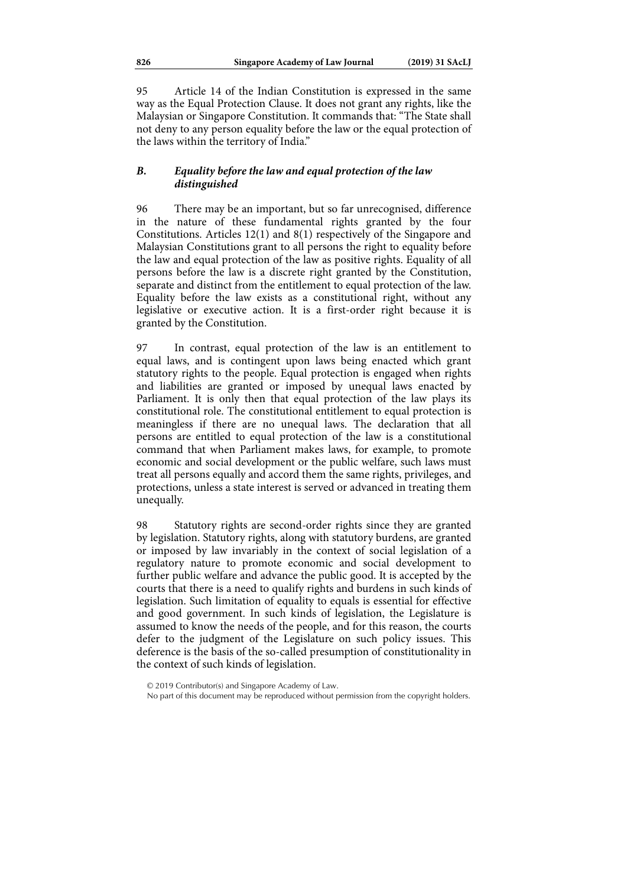95 Article 14 of the Indian Constitution is expressed in the same way as the Equal Protection Clause. It does not grant any rights, like the Malaysian or Singapore Constitution. It commands that: "The State shall not deny to any person equality before the law or the equal protection of the laws within the territory of India."

## *B. Equality before the law and equal protection of the law distinguished*

96 There may be an important, but so far unrecognised, difference in the nature of these fundamental rights granted by the four Constitutions. Articles 12(1) and 8(1) respectively of the Singapore and Malaysian Constitutions grant to all persons the right to equality before the law and equal protection of the law as positive rights. Equality of all persons before the law is a discrete right granted by the Constitution, separate and distinct from the entitlement to equal protection of the law. Equality before the law exists as a constitutional right, without any legislative or executive action. It is a first-order right because it is granted by the Constitution.

97 In contrast, equal protection of the law is an entitlement to equal laws, and is contingent upon laws being enacted which grant statutory rights to the people. Equal protection is engaged when rights and liabilities are granted or imposed by unequal laws enacted by Parliament. It is only then that equal protection of the law plays its constitutional role. The constitutional entitlement to equal protection is meaningless if there are no unequal laws. The declaration that all persons are entitled to equal protection of the law is a constitutional command that when Parliament makes laws, for example, to promote economic and social development or the public welfare, such laws must treat all persons equally and accord them the same rights, privileges, and protections, unless a state interest is served or advanced in treating them unequally.

98 Statutory rights are second-order rights since they are granted by legislation. Statutory rights, along with statutory burdens, are granted or imposed by law invariably in the context of social legislation of a regulatory nature to promote economic and social development to further public welfare and advance the public good. It is accepted by the courts that there is a need to qualify rights and burdens in such kinds of legislation. Such limitation of equality to equals is essential for effective and good government. In such kinds of legislation, the Legislature is assumed to know the needs of the people, and for this reason, the courts defer to the judgment of the Legislature on such policy issues. This deference is the basis of the so-called presumption of constitutionality in the context of such kinds of legislation.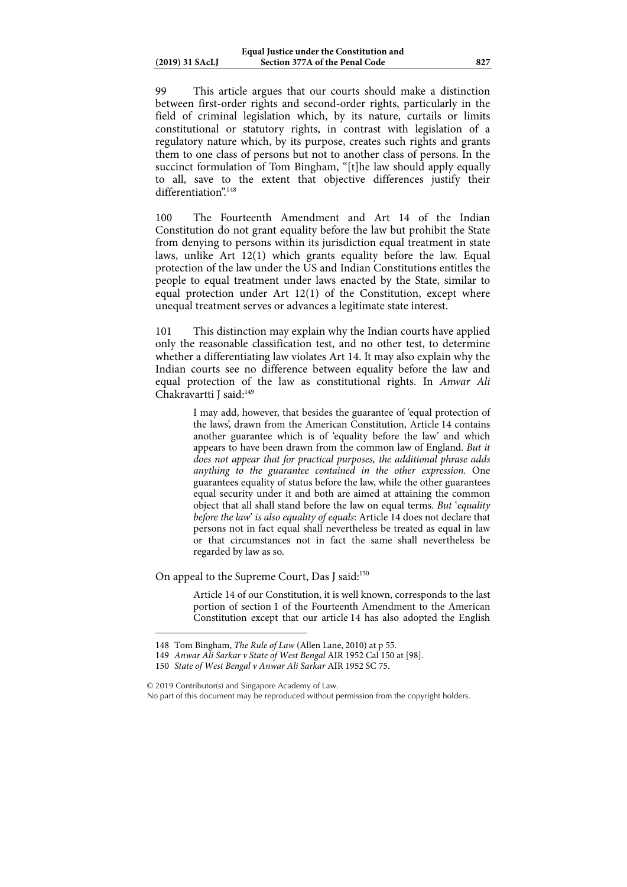99 This article argues that our courts should make a distinction between first-order rights and second-order rights, particularly in the field of criminal legislation which, by its nature, curtails or limits constitutional or statutory rights, in contrast with legislation of a regulatory nature which, by its purpose, creates such rights and grants them to one class of persons but not to another class of persons. In the succinct formulation of Tom Bingham, "[t]he law should apply equally to all, save to the extent that objective differences justify their differentiation"<sup>148</sup>

100 The Fourteenth Amendment and Art 14 of the Indian Constitution do not grant equality before the law but prohibit the State from denying to persons within its jurisdiction equal treatment in state laws, unlike Art 12(1) which grants equality before the law. Equal protection of the law under the US and Indian Constitutions entitles the people to equal treatment under laws enacted by the State, similar to equal protection under Art 12(1) of the Constitution, except where unequal treatment serves or advances a legitimate state interest.

101 This distinction may explain why the Indian courts have applied only the reasonable classification test, and no other test, to determine whether a differentiating law violates Art 14. It may also explain why the Indian courts see no difference between equality before the law and equal protection of the law as constitutional rights. In Anwar Ali Chakravartti J said:<sup>149</sup>

> I may add, however, that besides the guarantee of 'equal protection of the laws', drawn from the American Constitution, Article 14 contains another guarantee which is of 'equality before the law' and which appears to have been drawn from the common law of England. But it does not appear that for practical purposes, the additional phrase adds anything to the guarantee contained in the other expression. One guarantees equality of status before the law, while the other guarantees equal security under it and both are aimed at attaining the common object that all shall stand before the law on equal terms. But 'equality before the law' is also equality of equals: Article 14 does not declare that persons not in fact equal shall nevertheless be treated as equal in law or that circumstances not in fact the same shall nevertheless be regarded by law as so.

On appeal to the Supreme Court, Das J said:<sup>150</sup>

Article 14 of our Constitution, it is well known, corresponds to the last portion of section 1 of the Fourteenth Amendment to the American Constitution except that our article 14 has also adopted the English

© 2019 Contributor(s) and Singapore Academy of Law.

 $\overline{a}$ 

<sup>148</sup> Tom Bingham, The Rule of Law (Allen Lane, 2010) at p 55.

<sup>149</sup> Anwar Ali Sarkar v State of West Bengal AIR 1952 Cal 150 at [98].

<sup>150</sup> State of West Bengal v Anwar Ali Sarkar AIR 1952 SC 75.

No part of this document may be reproduced without permission from the copyright holders.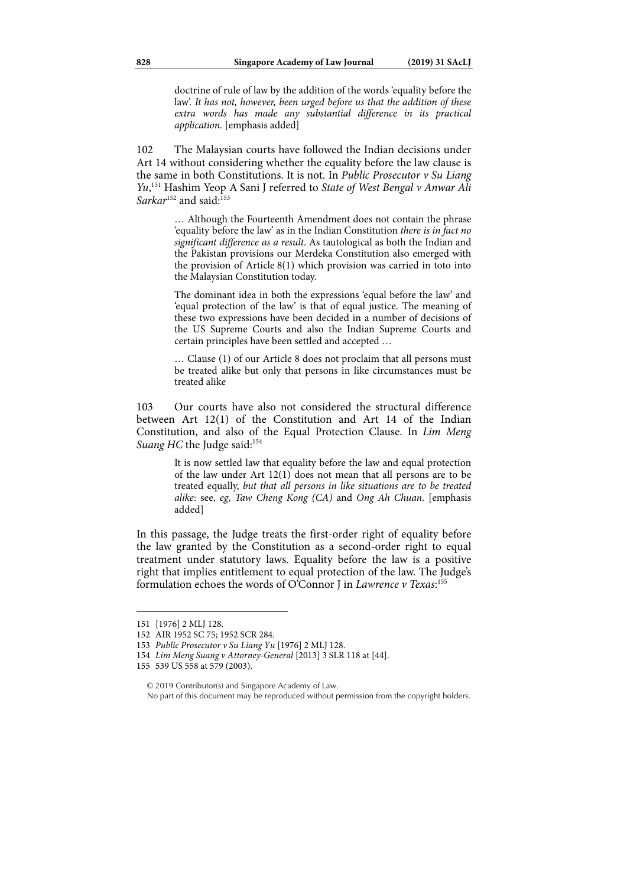doctrine of rule of law by the addition of the words 'equality before the law'. It has not, however, been urged before us that the addition of these extra words has made any substantial difference in its practical application. [emphasis added]

102 The Malaysian courts have followed the Indian decisions under Art 14 without considering whether the equality before the law clause is the same in both Constitutions. It is not. In *Public Prosecutor*  $v$  *Su Liang* Yu,<sup>151</sup> Hashim Yeop A Sani J referred to State of West Bengal v Anwar Ali Sarkar<sup>152</sup> and said:<sup>153</sup>

> … Although the Fourteenth Amendment does not contain the phrase 'equality before the law' as in the Indian Constitution there is in fact no significant difference as a result. As tautological as both the Indian and the Pakistan provisions our Merdeka Constitution also emerged with the provision of Article 8(1) which provision was carried in toto into the Malaysian Constitution today.

> The dominant idea in both the expressions 'equal before the law' and 'equal protection of the law' is that of equal justice. The meaning of these two expressions have been decided in a number of decisions of the US Supreme Courts and also the Indian Supreme Courts and certain principles have been settled and accepted …

> … Clause (1) of our Article 8 does not proclaim that all persons must be treated alike but only that persons in like circumstances must be treated alike

103 Our courts have also not considered the structural difference between Art 12(1) of the Constitution and Art 14 of the Indian Constitution, and also of the Equal Protection Clause. In Lim Meng Suang HC the Judge said: $154$ 

> It is now settled law that equality before the law and equal protection of the law under Art 12(1) does not mean that all persons are to be treated equally, but that all persons in like situations are to be treated alike: see, eg, Taw Cheng Kong (CA) and Ong Ah Chuan. [emphasis added]

In this passage, the Judge treats the first-order right of equality before the law granted by the Constitution as a second-order right to equal treatment under statutory laws. Equality before the law is a positive right that implies entitlement to equal protection of the law. The Judge's formulation echoes the words of O'Connor J in Lawrence v Texas:155

<sup>151 [1976] 2</sup> MLJ 128.

<sup>152</sup> AIR 1952 SC 75; 1952 SCR 284.

<sup>153</sup> Public Prosecutor v Su Liang Yu [1976] 2 MLJ 128.

<sup>154</sup> Lim Meng Suang v Attorney-General [2013] 3 SLR 118 at [44].

<sup>155 539</sup> US 558 at 579 (2003).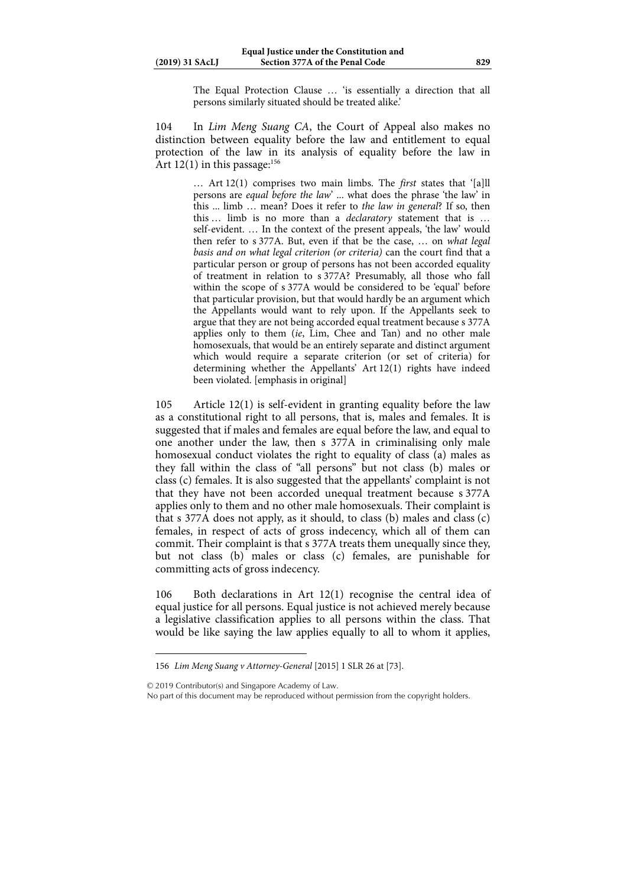The Equal Protection Clause … 'is essentially a direction that all persons similarly situated should be treated alike.'

104 In Lim Meng Suang CA, the Court of Appeal also makes no distinction between equality before the law and entitlement to equal protection of the law in its analysis of equality before the law in Art  $12(1)$  in this passage:<sup>156</sup>

> … Art 12(1) comprises two main limbs. The first states that '[a]ll persons are equal before the law' ... what does the phrase 'the law' in this ... limb … mean? Does it refer to the law in general? If so, then this … limb is no more than a declaratory statement that is … self-evident. … In the context of the present appeals, 'the law' would then refer to s 377A. But, even if that be the case, … on what legal basis and on what legal criterion (or criteria) can the court find that a particular person or group of persons has not been accorded equality of treatment in relation to s 377A? Presumably, all those who fall within the scope of s 377A would be considered to be 'equal' before that particular provision, but that would hardly be an argument which the Appellants would want to rely upon. If the Appellants seek to argue that they are not being accorded equal treatment because s 377A applies only to them (ie, Lim, Chee and Tan) and no other male homosexuals, that would be an entirely separate and distinct argument which would require a separate criterion (or set of criteria) for determining whether the Appellants' Art 12(1) rights have indeed been violated. [emphasis in original]

105 Article 12(1) is self-evident in granting equality before the law as a constitutional right to all persons, that is, males and females. It is suggested that if males and females are equal before the law, and equal to one another under the law, then s 377A in criminalising only male homosexual conduct violates the right to equality of class (a) males as they fall within the class of "all persons" but not class (b) males or class (c) females. It is also suggested that the appellants' complaint is not that they have not been accorded unequal treatment because s 377A applies only to them and no other male homosexuals. Their complaint is that s 377A does not apply, as it should, to class (b) males and class (c) females, in respect of acts of gross indecency, which all of them can commit. Their complaint is that s 377A treats them unequally since they, but not class (b) males or class (c) females, are punishable for committing acts of gross indecency.

106 Both declarations in Art 12(1) recognise the central idea of equal justice for all persons. Equal justice is not achieved merely because a legislative classification applies to all persons within the class. That would be like saying the law applies equally to all to whom it applies,

© 2019 Contributor(s) and Singapore Academy of Law.

1

No part of this document may be reproduced without permission from the copyright holders.

<sup>156</sup> Lim Meng Suang v Attorney-General [2015] 1 SLR 26 at [73].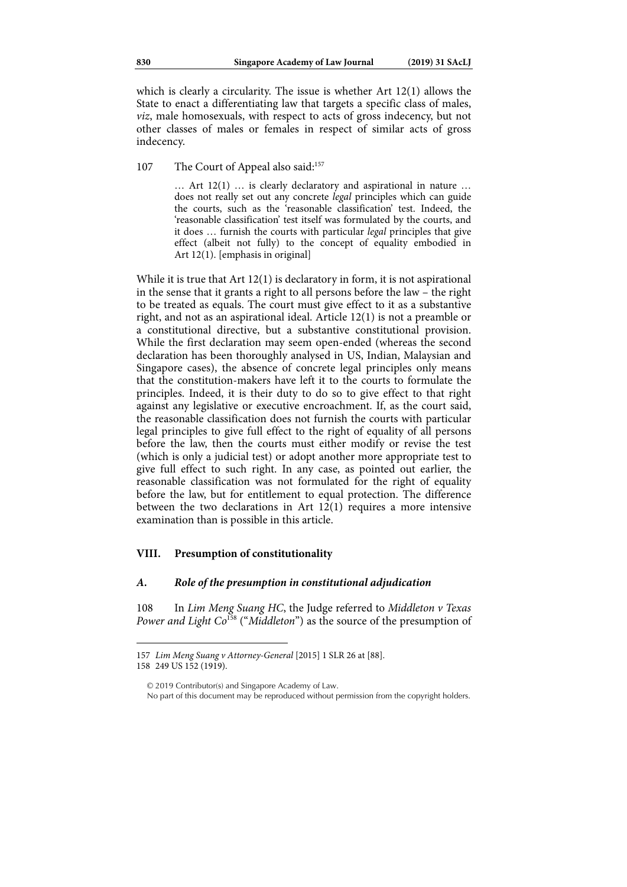which is clearly a circularity. The issue is whether Art 12(1) allows the State to enact a differentiating law that targets a specific class of males, viz, male homosexuals, with respect to acts of gross indecency, but not other classes of males or females in respect of similar acts of gross indecency.

107 The Court of Appeal also said:<sup>157</sup>

… Art 12(1) … is clearly declaratory and aspirational in nature … does not really set out any concrete legal principles which can guide the courts, such as the 'reasonable classification' test. Indeed, the 'reasonable classification' test itself was formulated by the courts, and it does … furnish the courts with particular legal principles that give effect (albeit not fully) to the concept of equality embodied in Art 12(1). [emphasis in original]

While it is true that Art 12(1) is declaratory in form, it is not aspirational in the sense that it grants a right to all persons before the law – the right to be treated as equals. The court must give effect to it as a substantive right, and not as an aspirational ideal. Article 12(1) is not a preamble or a constitutional directive, but a substantive constitutional provision. While the first declaration may seem open-ended (whereas the second declaration has been thoroughly analysed in US, Indian, Malaysian and Singapore cases), the absence of concrete legal principles only means that the constitution-makers have left it to the courts to formulate the principles. Indeed, it is their duty to do so to give effect to that right against any legislative or executive encroachment. If, as the court said, the reasonable classification does not furnish the courts with particular legal principles to give full effect to the right of equality of all persons before the law, then the courts must either modify or revise the test (which is only a judicial test) or adopt another more appropriate test to give full effect to such right. In any case, as pointed out earlier, the reasonable classification was not formulated for the right of equality before the law, but for entitlement to equal protection. The difference between the two declarations in Art 12(1) requires a more intensive examination than is possible in this article.

#### **VIII. Presumption of constitutionality**

#### *A. Role of the presumption in constitutional adjudication*

108 In Lim Meng Suang HC, the Judge referred to Middleton v Texas Power and Light  $Co<sup>158</sup>$  ("Middleton") as the source of the presumption of

158 249 US 152 (1919).

1

© 2019 Contributor(s) and Singapore Academy of Law.

No part of this document may be reproduced without permission from the copyright holders.

<sup>157</sup> Lim Meng Suang v Attorney-General [2015] 1 SLR 26 at [88].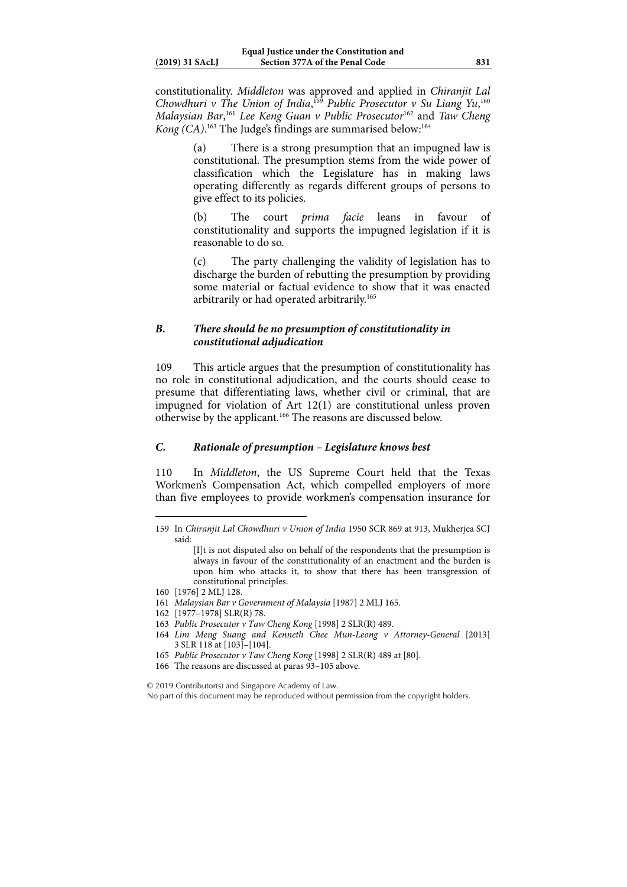constitutionality. Middleton was approved and applied in Chiranjit Lal Chowdhuri v The Union of India,  $159$  Public Prosecutor v Su Liang Yu,  $160$ Malaysian Bar,<sup>161</sup> Lee Keng Guan v Public Prosecutor<sup>162</sup> and Taw Cheng Kong (CA).<sup>163</sup> The Judge's findings are summarised below:<sup>164</sup>

> (a) There is a strong presumption that an impugned law is constitutional. The presumption stems from the wide power of classification which the Legislature has in making laws operating differently as regards different groups of persons to give effect to its policies.

> (b) The court prima facie leans in favour of constitutionality and supports the impugned legislation if it is reasonable to do so.

> (c) The party challenging the validity of legislation has to discharge the burden of rebutting the presumption by providing some material or factual evidence to show that it was enacted arbitrarily or had operated arbitrarily.<sup>165</sup>

# *B. There should be no presumption of constitutionality in constitutional adjudication*

109 This article argues that the presumption of constitutionality has no role in constitutional adjudication, and the courts should cease to presume that differentiating laws, whether civil or criminal, that are impugned for violation of Art 12(1) are constitutional unless proven otherwise by the applicant.166 The reasons are discussed below.

# *C. Rationale of presumption – Legislature knows best*

110 In Middleton, the US Supreme Court held that the Texas Workmen's Compensation Act, which compelled employers of more than five employees to provide workmen's compensation insurance for

1

- 164 Lim Meng Suang and Kenneth Chee Mun-Leong v Attorney-General [2013] 3 SLR 118 at [103]–[104].
- 165 Public Prosecutor v Taw Cheng Kong [1998] 2 SLR(R) 489 at [80].
- 166 The reasons are discussed at paras 93–105 above.

© 2019 Contributor(s) and Singapore Academy of Law.

<sup>159</sup> In Chiranjit Lal Chowdhuri v Union of India 1950 SCR 869 at 913, Mukherjea SCJ said:

<sup>[</sup>I]t is not disputed also on behalf of the respondents that the presumption is always in favour of the constitutionality of an enactment and the burden is upon him who attacks it, to show that there has been transgression of constitutional principles.

<sup>160 [1976] 2</sup> MLJ 128.

<sup>161</sup> Malaysian Bar v Government of Malaysia [1987] 2 MLJ 165.

<sup>162 [1977–1978]</sup> SLR(R) 78.

<sup>163</sup> Public Prosecutor v Taw Cheng Kong [1998] 2 SLR(R) 489.

No part of this document may be reproduced without permission from the copyright holders.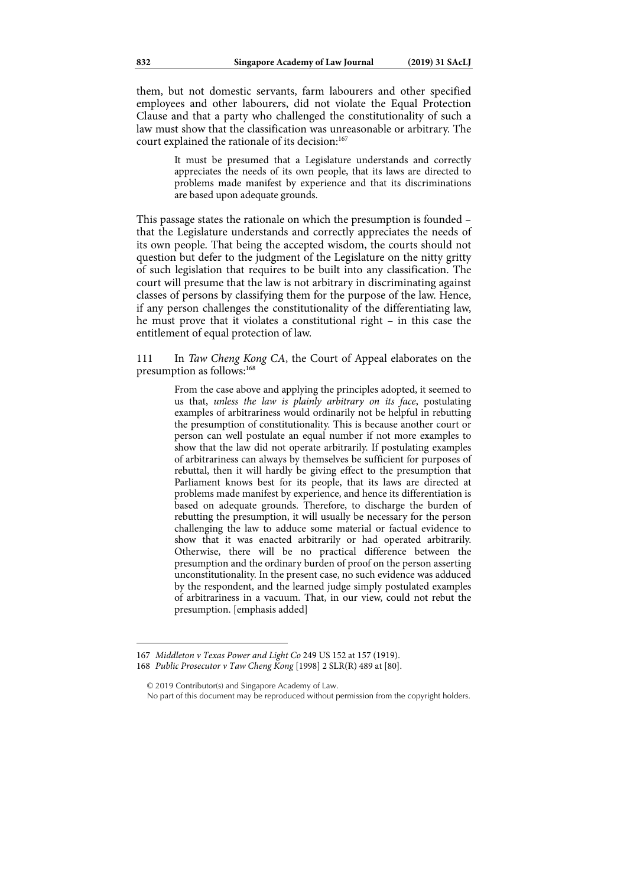them, but not domestic servants, farm labourers and other specified employees and other labourers, did not violate the Equal Protection Clause and that a party who challenged the constitutionality of such a law must show that the classification was unreasonable or arbitrary. The court explained the rationale of its decision:<sup>167</sup>

> It must be presumed that a Legislature understands and correctly appreciates the needs of its own people, that its laws are directed to problems made manifest by experience and that its discriminations are based upon adequate grounds.

This passage states the rationale on which the presumption is founded – that the Legislature understands and correctly appreciates the needs of its own people. That being the accepted wisdom, the courts should not question but defer to the judgment of the Legislature on the nitty gritty of such legislation that requires to be built into any classification. The court will presume that the law is not arbitrary in discriminating against classes of persons by classifying them for the purpose of the law. Hence, if any person challenges the constitutionality of the differentiating law, he must prove that it violates a constitutional right – in this case the entitlement of equal protection of law.

111 In Taw Cheng Kong CA, the Court of Appeal elaborates on the presumption as follows:<sup>168</sup>

> From the case above and applying the principles adopted, it seemed to us that, unless the law is plainly arbitrary on its face, postulating examples of arbitrariness would ordinarily not be helpful in rebutting the presumption of constitutionality. This is because another court or person can well postulate an equal number if not more examples to show that the law did not operate arbitrarily. If postulating examples of arbitrariness can always by themselves be sufficient for purposes of rebuttal, then it will hardly be giving effect to the presumption that Parliament knows best for its people, that its laws are directed at problems made manifest by experience, and hence its differentiation is based on adequate grounds. Therefore, to discharge the burden of rebutting the presumption, it will usually be necessary for the person challenging the law to adduce some material or factual evidence to show that it was enacted arbitrarily or had operated arbitrarily. Otherwise, there will be no practical difference between the presumption and the ordinary burden of proof on the person asserting unconstitutionality. In the present case, no such evidence was adduced by the respondent, and the learned judge simply postulated examples of arbitrariness in a vacuum. That, in our view, could not rebut the presumption. [emphasis added]

© 2019 Contributor(s) and Singapore Academy of Law. No part of this document may be reproduced without permission from the copyright holders.

<sup>167</sup> Middleton v Texas Power and Light Co 249 US 152 at 157 (1919).

<sup>168</sup> Public Prosecutor v Taw Cheng Kong [1998] 2 SLR(R) 489 at [80].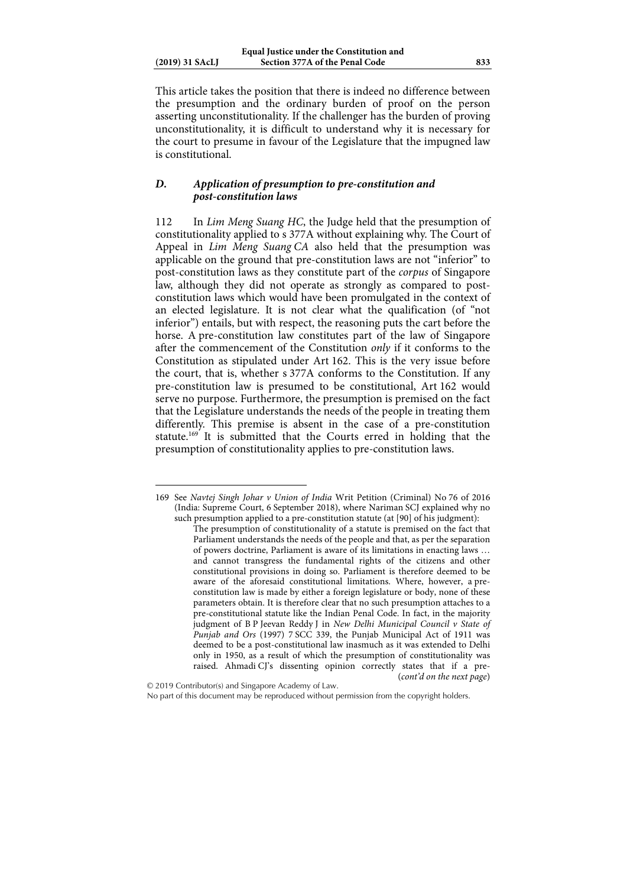This article takes the position that there is indeed no difference between the presumption and the ordinary burden of proof on the person asserting unconstitutionality. If the challenger has the burden of proving unconstitutionality, it is difficult to understand why it is necessary for the court to presume in favour of the Legislature that the impugned law is constitutional.

### *D. Application of presumption to pre-constitution and post-constitution laws*

112 In Lim Meng Suang HC, the Judge held that the presumption of constitutionality applied to s 377A without explaining why. The Court of Appeal in Lim Meng Suang CA also held that the presumption was applicable on the ground that pre-constitution laws are not "inferior" to post-constitution laws as they constitute part of the corpus of Singapore law, although they did not operate as strongly as compared to postconstitution laws which would have been promulgated in the context of an elected legislature. It is not clear what the qualification (of "not inferior") entails, but with respect, the reasoning puts the cart before the horse. A pre-constitution law constitutes part of the law of Singapore after the commencement of the Constitution only if it conforms to the Constitution as stipulated under Art 162. This is the very issue before the court, that is, whether s 377A conforms to the Constitution. If any pre-constitution law is presumed to be constitutional, Art 162 would serve no purpose. Furthermore, the presumption is premised on the fact that the Legislature understands the needs of the people in treating them differently. This premise is absent in the case of a pre-constitution statute.<sup>169</sup> It is submitted that the Courts erred in holding that the presumption of constitutionality applies to pre-constitution laws.

 $\overline{a}$ 

<sup>169</sup> See Navtej Singh Johar v Union of India Writ Petition (Criminal) No 76 of 2016 (India: Supreme Court, 6 September 2018), where Nariman SCJ explained why no such presumption applied to a pre-constitution statute (at [90] of his judgment):

The presumption of constitutionality of a statute is premised on the fact that Parliament understands the needs of the people and that, as per the separation of powers doctrine, Parliament is aware of its limitations in enacting laws … and cannot transgress the fundamental rights of the citizens and other constitutional provisions in doing so. Parliament is therefore deemed to be aware of the aforesaid constitutional limitations. Where, however, a preconstitution law is made by either a foreign legislature or body, none of these parameters obtain. It is therefore clear that no such presumption attaches to a pre-constitutional statute like the Indian Penal Code. In fact, in the majority judgment of B P Jeevan Reddy J in New Delhi Municipal Council v State of Punjab and Ors (1997) 7 SCC 339, the Punjab Municipal Act of 1911 was deemed to be a post-constitutional law inasmuch as it was extended to Delhi only in 1950, as a result of which the presumption of constitutionality was raised. Ahmadi CJ's dissenting opinion correctly states that if a pre- (cont'd on the next page)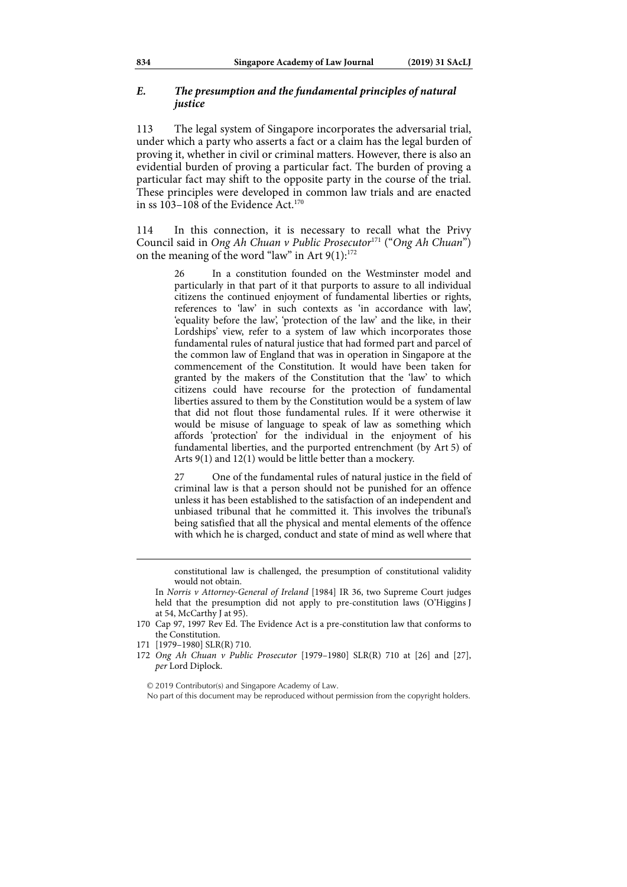## *E. The presumption and the fundamental principles of natural justice*

113 The legal system of Singapore incorporates the adversarial trial, under which a party who asserts a fact or a claim has the legal burden of proving it, whether in civil or criminal matters. However, there is also an evidential burden of proving a particular fact. The burden of proving a particular fact may shift to the opposite party in the course of the trial. These principles were developed in common law trials and are enacted in ss  $103-108$  of the Evidence Act.<sup>170</sup>

114 In this connection, it is necessary to recall what the Privy Council said in Ong Ah Chuan v Public Prosecutor<sup>171</sup> ("Ong Ah Chuan") on the meaning of the word "law" in Art  $9(1)$ :<sup>172</sup>

> 26 In a constitution founded on the Westminster model and particularly in that part of it that purports to assure to all individual citizens the continued enjoyment of fundamental liberties or rights, references to 'law' in such contexts as 'in accordance with law', 'equality before the law', 'protection of the law' and the like, in their Lordships' view, refer to a system of law which incorporates those fundamental rules of natural justice that had formed part and parcel of the common law of England that was in operation in Singapore at the commencement of the Constitution. It would have been taken for granted by the makers of the Constitution that the 'law' to which citizens could have recourse for the protection of fundamental liberties assured to them by the Constitution would be a system of law that did not flout those fundamental rules. If it were otherwise it would be misuse of language to speak of law as something which affords 'protection' for the individual in the enjoyment of his fundamental liberties, and the purported entrenchment (by Art 5) of Arts 9(1) and 12(1) would be little better than a mockery.

> 27 One of the fundamental rules of natural justice in the field of criminal law is that a person should not be punished for an offence unless it has been established to the satisfaction of an independent and unbiased tribunal that he committed it. This involves the tribunal's being satisfied that all the physical and mental elements of the offence with which he is charged, conduct and state of mind as well where that

 $\overline{a}$ 

© 2019 Contributor(s) and Singapore Academy of Law.

No part of this document may be reproduced without permission from the copyright holders.

constitutional law is challenged, the presumption of constitutional validity would not obtain.

In Norris v Attorney-General of Ireland [1984] IR 36, two Supreme Court judges held that the presumption did not apply to pre-constitution laws (O'Higgins J at 54, McCarthy J at 95).

<sup>170</sup> Cap 97, 1997 Rev Ed. The Evidence Act is a pre-constitution law that conforms to the Constitution.

<sup>171 [1979–1980]</sup> SLR(R) 710.

<sup>172</sup> Ong Ah Chuan v Public Prosecutor [1979–1980] SLR(R) 710 at [26] and [27], per Lord Diplock.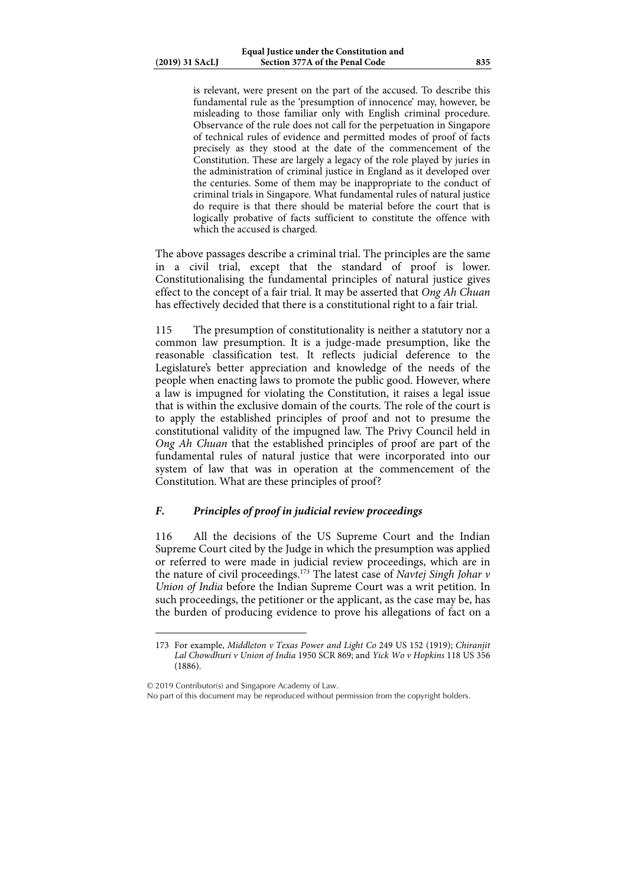is relevant, were present on the part of the accused. To describe this fundamental rule as the 'presumption of innocence' may, however, be misleading to those familiar only with English criminal procedure. Observance of the rule does not call for the perpetuation in Singapore of technical rules of evidence and permitted modes of proof of facts precisely as they stood at the date of the commencement of the Constitution. These are largely a legacy of the role played by juries in the administration of criminal justice in England as it developed over the centuries. Some of them may be inappropriate to the conduct of criminal trials in Singapore. What fundamental rules of natural justice do require is that there should be material before the court that is logically probative of facts sufficient to constitute the offence with which the accused is charged.

The above passages describe a criminal trial. The principles are the same in a civil trial, except that the standard of proof is lower. Constitutionalising the fundamental principles of natural justice gives effect to the concept of a fair trial. It may be asserted that Ong Ah Chuan has effectively decided that there is a constitutional right to a fair trial.

115 The presumption of constitutionality is neither a statutory nor a common law presumption. It is a judge-made presumption, like the reasonable classification test. It reflects judicial deference to the Legislature's better appreciation and knowledge of the needs of the people when enacting laws to promote the public good. However, where a law is impugned for violating the Constitution, it raises a legal issue that is within the exclusive domain of the courts. The role of the court is to apply the established principles of proof and not to presume the constitutional validity of the impugned law. The Privy Council held in Ong Ah Chuan that the established principles of proof are part of the fundamental rules of natural justice that were incorporated into our system of law that was in operation at the commencement of the Constitution. What are these principles of proof?

### *F. Principles of proof in judicial review proceedings*

116 All the decisions of the US Supreme Court and the Indian Supreme Court cited by the Judge in which the presumption was applied or referred to were made in judicial review proceedings, which are in the nature of civil proceedings.<sup>173</sup> The latest case of Navtej Singh Johar v Union of India before the Indian Supreme Court was a writ petition. In such proceedings, the petitioner or the applicant, as the case may be, has the burden of producing evidence to prove his allegations of fact on a

© 2019 Contributor(s) and Singapore Academy of Law.

 $\overline{a}$ 

<sup>173</sup> For example, Middleton v Texas Power and Light Co 249 US 152 (1919); Chiranjit Lal Chowdhuri v Union of India 1950 SCR 869; and Yick Wo v Hopkins 118 US 356 (1886).

No part of this document may be reproduced without permission from the copyright holders.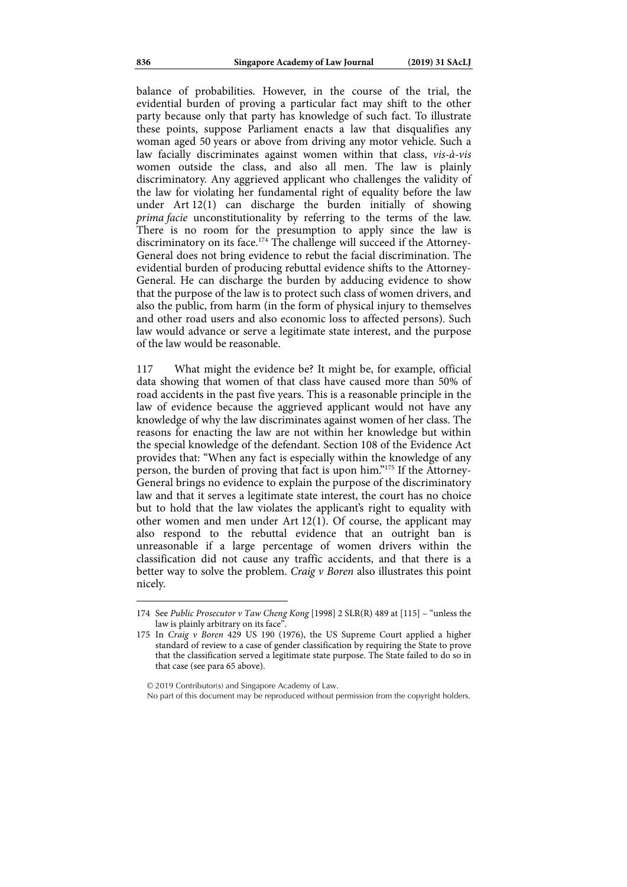balance of probabilities. However, in the course of the trial, the evidential burden of proving a particular fact may shift to the other party because only that party has knowledge of such fact. To illustrate these points, suppose Parliament enacts a law that disqualifies any woman aged 50 years or above from driving any motor vehicle. Such a law facially discriminates against women within that class, vis-à-vis women outside the class, and also all men. The law is plainly discriminatory. Any aggrieved applicant who challenges the validity of the law for violating her fundamental right of equality before the law under Art 12(1) can discharge the burden initially of showing prima facie unconstitutionality by referring to the terms of the law. There is no room for the presumption to apply since the law is discriminatory on its face.<sup>174</sup> The challenge will succeed if the Attorney-General does not bring evidence to rebut the facial discrimination. The evidential burden of producing rebuttal evidence shifts to the Attorney-General. He can discharge the burden by adducing evidence to show that the purpose of the law is to protect such class of women drivers, and also the public, from harm (in the form of physical injury to themselves and other road users and also economic loss to affected persons). Such law would advance or serve a legitimate state interest, and the purpose of the law would be reasonable.

117 What might the evidence be? It might be, for example, official data showing that women of that class have caused more than 50% of road accidents in the past five years. This is a reasonable principle in the law of evidence because the aggrieved applicant would not have any knowledge of why the law discriminates against women of her class. The reasons for enacting the law are not within her knowledge but within the special knowledge of the defendant. Section 108 of the Evidence Act provides that: "When any fact is especially within the knowledge of any person, the burden of proving that fact is upon him."175 If the Attorney-General brings no evidence to explain the purpose of the discriminatory law and that it serves a legitimate state interest, the court has no choice but to hold that the law violates the applicant's right to equality with other women and men under Art 12(1). Of course, the applicant may also respond to the rebuttal evidence that an outright ban is unreasonable if a large percentage of women drivers within the classification did not cause any traffic accidents, and that there is a better way to solve the problem. Craig  $\nu$  Boren also illustrates this point nicely.

<sup>174</sup> See Public Prosecutor v Taw Cheng Kong [1998] 2 SLR(R) 489 at [115] – "unless the law is plainly arbitrary on its face".

<sup>175</sup> In Craig v Boren 429 US 190 (1976), the US Supreme Court applied a higher standard of review to a case of gender classification by requiring the State to prove that the classification served a legitimate state purpose. The State failed to do so in that case (see para 65 above).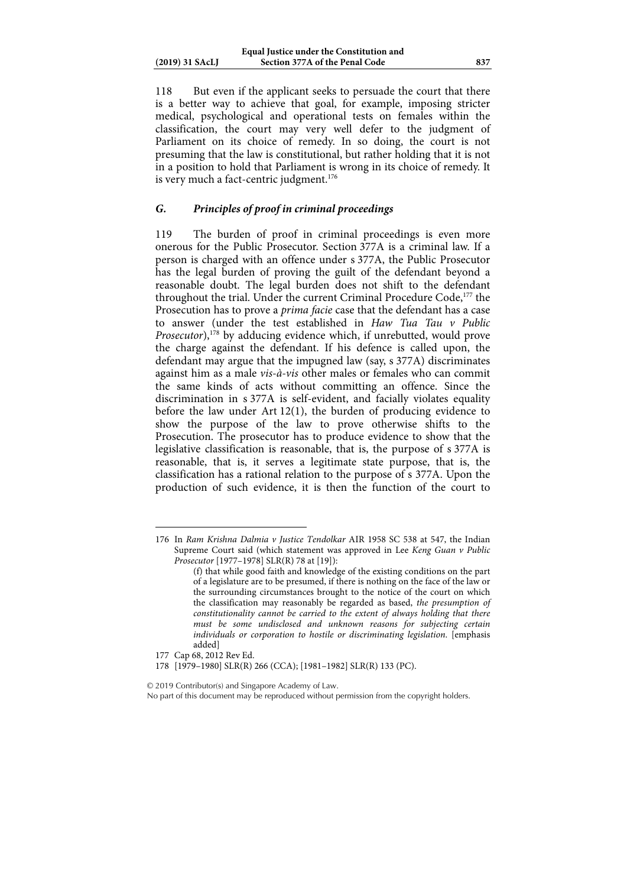118 But even if the applicant seeks to persuade the court that there is a better way to achieve that goal, for example, imposing stricter medical, psychological and operational tests on females within the classification, the court may very well defer to the judgment of Parliament on its choice of remedy. In so doing, the court is not presuming that the law is constitutional, but rather holding that it is not in a position to hold that Parliament is wrong in its choice of remedy. It is very much a fact-centric judgment.<sup>176</sup>

### *G. Principles of proof in criminal proceedings*

119 The burden of proof in criminal proceedings is even more onerous for the Public Prosecutor. Section 377A is a criminal law. If a person is charged with an offence under s 377A, the Public Prosecutor has the legal burden of proving the guilt of the defendant beyond a reasonable doubt. The legal burden does not shift to the defendant throughout the trial. Under the current Criminal Procedure Code,<sup>177</sup> the Prosecution has to prove a prima facie case that the defendant has a case to answer (under the test established in Haw Tua Tau v Public Prosecutor),<sup>178</sup> by adducing evidence which, if unrebutted, would prove the charge against the defendant. If his defence is called upon, the defendant may argue that the impugned law (say, s 377A) discriminates against him as a male vis-à-vis other males or females who can commit the same kinds of acts without committing an offence. Since the discrimination in s 377A is self-evident, and facially violates equality before the law under Art 12(1), the burden of producing evidence to show the purpose of the law to prove otherwise shifts to the Prosecution. The prosecutor has to produce evidence to show that the legislative classification is reasonable, that is, the purpose of s 377A is reasonable, that is, it serves a legitimate state purpose, that is, the classification has a rational relation to the purpose of s 377A. Upon the production of such evidence, it is then the function of the court to

 $\overline{a}$ 

© 2019 Contributor(s) and Singapore Academy of Law.

<sup>176</sup> In Ram Krishna Dalmia v Justice Tendolkar AIR 1958 SC 538 at 547, the Indian Supreme Court said (which statement was approved in Lee Keng Guan v Public Prosecutor [1977–1978] SLR(R) 78 at [19]):

<sup>(</sup>f) that while good faith and knowledge of the existing conditions on the part of a legislature are to be presumed, if there is nothing on the face of the law or the surrounding circumstances brought to the notice of the court on which the classification may reasonably be regarded as based, the presumption of constitutionality cannot be carried to the extent of always holding that there must be some undisclosed and unknown reasons for subjecting certain individuals or corporation to hostile or discriminating legislation. [emphasis added]

<sup>177</sup> Cap 68, 2012 Rev Ed.

<sup>178 [1979–1980]</sup> SLR(R) 266 (CCA); [1981–1982] SLR(R) 133 (PC).

No part of this document may be reproduced without permission from the copyright holders.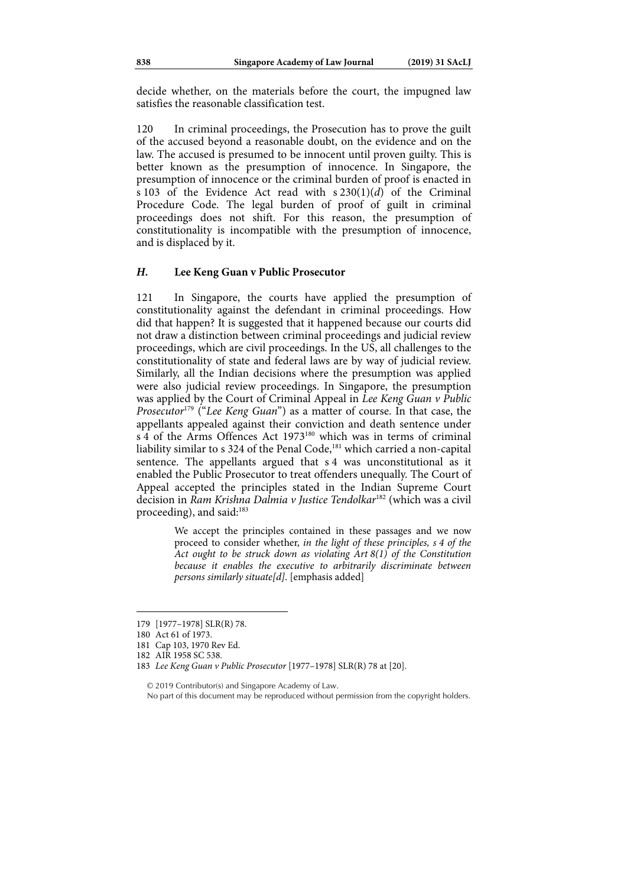decide whether, on the materials before the court, the impugned law satisfies the reasonable classification test.

120 In criminal proceedings, the Prosecution has to prove the guilt of the accused beyond a reasonable doubt, on the evidence and on the law. The accused is presumed to be innocent until proven guilty. This is better known as the presumption of innocence. In Singapore, the presumption of innocence or the criminal burden of proof is enacted in s 103 of the Evidence Act read with  $s \, 230(1)(d)$  of the Criminal Procedure Code. The legal burden of proof of guilt in criminal proceedings does not shift. For this reason, the presumption of constitutionality is incompatible with the presumption of innocence, and is displaced by it.

### *H.* **Lee Keng Guan v Public Prosecutor**

121 In Singapore, the courts have applied the presumption of constitutionality against the defendant in criminal proceedings. How did that happen? It is suggested that it happened because our courts did not draw a distinction between criminal proceedings and judicial review proceedings, which are civil proceedings. In the US, all challenges to the constitutionality of state and federal laws are by way of judicial review. Similarly, all the Indian decisions where the presumption was applied were also judicial review proceedings. In Singapore, the presumption was applied by the Court of Criminal Appeal in Lee Keng Guan v Public Prosecutor<sup>179</sup> ("Lee Keng Guan") as a matter of course. In that case, the appellants appealed against their conviction and death sentence under s 4 of the Arms Offences Act 1973<sup>180</sup> which was in terms of criminal liability similar to s 324 of the Penal Code,<sup>181</sup> which carried a non-capital sentence. The appellants argued that s 4 was unconstitutional as it enabled the Public Prosecutor to treat offenders unequally. The Court of Appeal accepted the principles stated in the Indian Supreme Court decision in Ram Krishna Dalmia v Justice Tendolkar<sup>182</sup> (which was a civil proceeding), and said:<sup>183</sup>

> We accept the principles contained in these passages and we now proceed to consider whether, in the light of these principles, s 4 of the Act ought to be struck down as violating Art 8(1) of the Constitution because it enables the executive to arbitrarily discriminate between persons similarly situate[d]. [emphasis added]

1

181 Cap 103, 1970 Rev Ed.

© 2019 Contributor(s) and Singapore Academy of Law. No part of this document may be reproduced without permission from the copyright holders.

<sup>179 [1977–1978]</sup> SLR(R) 78.

<sup>180</sup> Act 61 of 1973.

<sup>182</sup> AIR 1958 SC 538.

<sup>183</sup> Lee Keng Guan v Public Prosecutor [1977–1978] SLR(R) 78 at [20].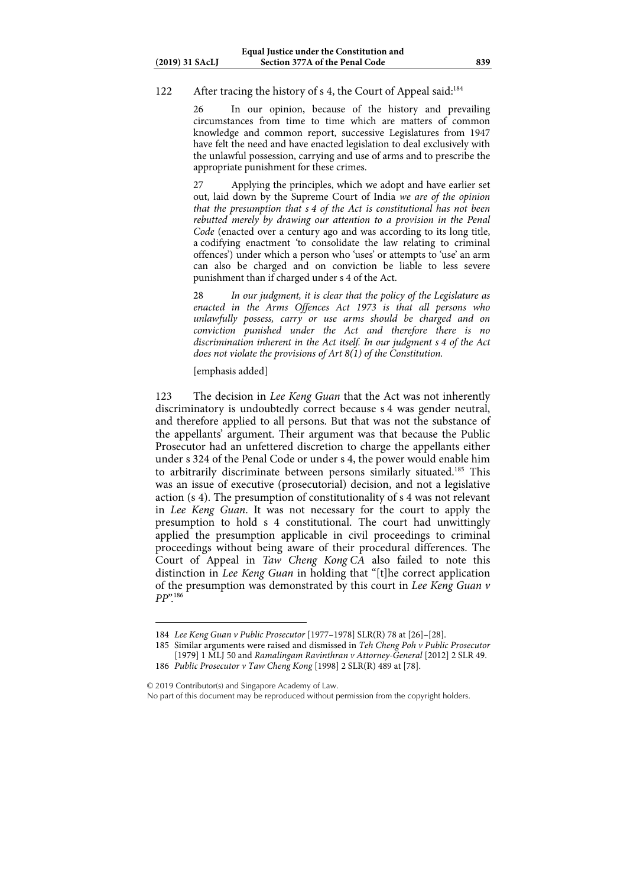### 122 After tracing the history of s 4, the Court of Appeal said:<sup>184</sup>

26 In our opinion, because of the history and prevailing circumstances from time to time which are matters of common knowledge and common report, successive Legislatures from 1947 have felt the need and have enacted legislation to deal exclusively with the unlawful possession, carrying and use of arms and to prescribe the appropriate punishment for these crimes.

27 Applying the principles, which we adopt and have earlier set out, laid down by the Supreme Court of India we are of the opinion that the presumption that s 4 of the Act is constitutional has not been rebutted merely by drawing our attention to a provision in the Penal Code (enacted over a century ago and was according to its long title, a codifying enactment 'to consolidate the law relating to criminal offences') under which a person who 'uses' or attempts to 'use' an arm can also be charged and on conviction be liable to less severe punishment than if charged under s 4 of the Act.

28 In our judgment, it is clear that the policy of the Legislature as enacted in the Arms Offences Act 1973 is that all persons who unlawfully possess, carry or use arms should be charged and on conviction punished under the Act and therefore there is no discrimination inherent in the Act itself. In our judgment s 4 of the Act does not violate the provisions of Art 8(1) of the Constitution.

[emphasis added]

1

123 The decision in Lee Keng Guan that the Act was not inherently discriminatory is undoubtedly correct because s 4 was gender neutral, and therefore applied to all persons. But that was not the substance of the appellants' argument. Their argument was that because the Public Prosecutor had an unfettered discretion to charge the appellants either under s 324 of the Penal Code or under s 4, the power would enable him to arbitrarily discriminate between persons similarly situated.<sup>185</sup> This was an issue of executive (prosecutorial) decision, and not a legislative action (s 4). The presumption of constitutionality of s 4 was not relevant in Lee Keng Guan. It was not necessary for the court to apply the presumption to hold s 4 constitutional. The court had unwittingly applied the presumption applicable in civil proceedings to criminal proceedings without being aware of their procedural differences. The Court of Appeal in Taw Cheng Kong CA also failed to note this distinction in Lee Keng Guan in holding that "[t]he correct application of the presumption was demonstrated by this court in Lee Keng Guan v PP".<sup>186</sup>

© 2019 Contributor(s) and Singapore Academy of Law. No part of this document may be reproduced without permission from the copyright holders.

<sup>184</sup> Lee Keng Guan v Public Prosecutor [1977–1978] SLR(R) 78 at [26]–[28].

<sup>185</sup> Similar arguments were raised and dismissed in Teh Cheng Poh v Public Prosecutor [1979] 1 MLJ 50 and Ramalingam Ravinthran v Attorney-General [2012] 2 SLR 49.

<sup>186</sup> Public Prosecutor v Taw Cheng Kong [1998] 2 SLR(R) 489 at [78].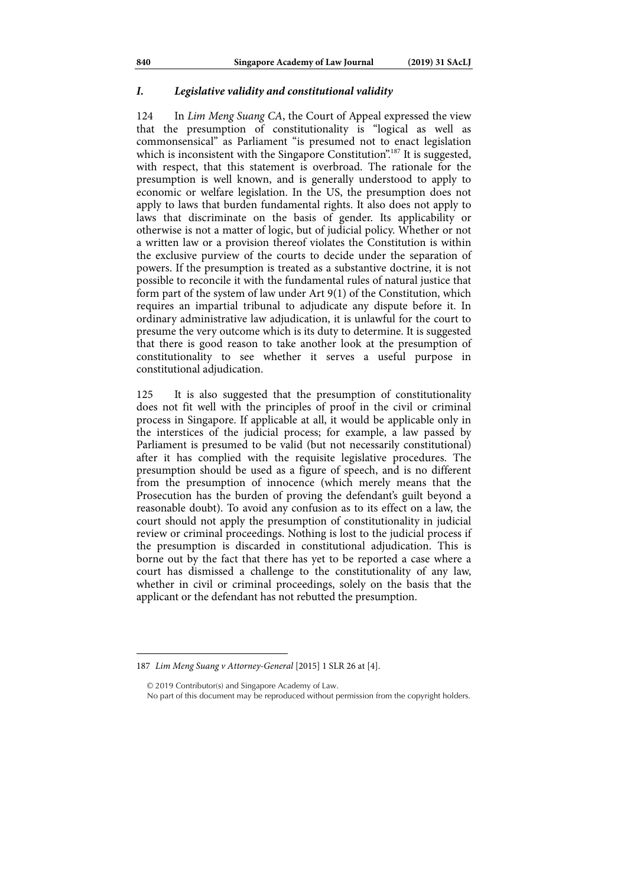## *I. Legislative validity and constitutional validity*

124 In Lim Meng Suang CA, the Court of Appeal expressed the view that the presumption of constitutionality is "logical as well as commonsensical" as Parliament "is presumed not to enact legislation which is inconsistent with the Singapore Constitution".<sup>187</sup> It is suggested, with respect, that this statement is overbroad. The rationale for the presumption is well known, and is generally understood to apply to economic or welfare legislation. In the US, the presumption does not apply to laws that burden fundamental rights. It also does not apply to laws that discriminate on the basis of gender. Its applicability or otherwise is not a matter of logic, but of judicial policy. Whether or not a written law or a provision thereof violates the Constitution is within the exclusive purview of the courts to decide under the separation of powers. If the presumption is treated as a substantive doctrine, it is not possible to reconcile it with the fundamental rules of natural justice that form part of the system of law under Art 9(1) of the Constitution, which requires an impartial tribunal to adjudicate any dispute before it. In ordinary administrative law adjudication, it is unlawful for the court to presume the very outcome which is its duty to determine. It is suggested that there is good reason to take another look at the presumption of constitutionality to see whether it serves a useful purpose in constitutional adjudication.

125 It is also suggested that the presumption of constitutionality does not fit well with the principles of proof in the civil or criminal process in Singapore. If applicable at all, it would be applicable only in the interstices of the judicial process; for example, a law passed by Parliament is presumed to be valid (but not necessarily constitutional) after it has complied with the requisite legislative procedures. The presumption should be used as a figure of speech, and is no different from the presumption of innocence (which merely means that the Prosecution has the burden of proving the defendant's guilt beyond a reasonable doubt). To avoid any confusion as to its effect on a law, the court should not apply the presumption of constitutionality in judicial review or criminal proceedings. Nothing is lost to the judicial process if the presumption is discarded in constitutional adjudication. This is borne out by the fact that there has yet to be reported a case where a court has dismissed a challenge to the constitutionality of any law, whether in civil or criminal proceedings, solely on the basis that the applicant or the defendant has not rebutted the presumption.

© 2019 Contributor(s) and Singapore Academy of Law. No part of this document may be reproduced without permission from the copyright holders.

<sup>187</sup> Lim Meng Suang v Attorney-General [2015] 1 SLR 26 at [4].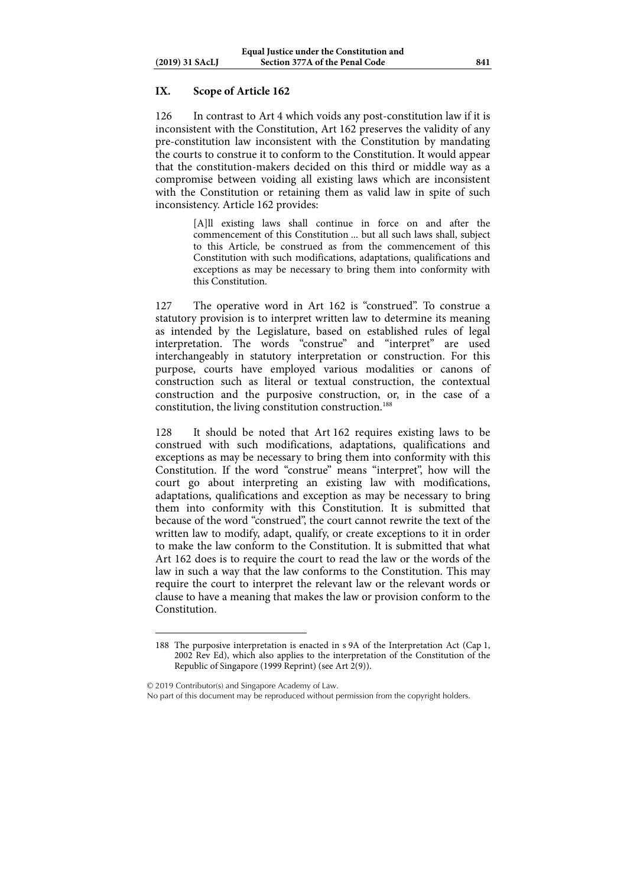$\overline{a}$ 

## **IX. Scope of Article 162**

126 In contrast to Art 4 which voids any post-constitution law if it is inconsistent with the Constitution, Art 162 preserves the validity of any pre-constitution law inconsistent with the Constitution by mandating the courts to construe it to conform to the Constitution. It would appear that the constitution-makers decided on this third or middle way as a compromise between voiding all existing laws which are inconsistent with the Constitution or retaining them as valid law in spite of such inconsistency. Article 162 provides:

> [A]ll existing laws shall continue in force on and after the commencement of this Constitution ... but all such laws shall, subject to this Article, be construed as from the commencement of this Constitution with such modifications, adaptations, qualifications and exceptions as may be necessary to bring them into conformity with this Constitution.

127 The operative word in Art 162 is "construed". To construe a statutory provision is to interpret written law to determine its meaning as intended by the Legislature, based on established rules of legal interpretation. The words "construe" and "interpret" are used interchangeably in statutory interpretation or construction. For this purpose, courts have employed various modalities or canons of construction such as literal or textual construction, the contextual construction and the purposive construction, or, in the case of a constitution, the living constitution construction.<sup>188</sup>

128 It should be noted that Art 162 requires existing laws to be construed with such modifications, adaptations, qualifications and exceptions as may be necessary to bring them into conformity with this Constitution. If the word "construe" means "interpret", how will the court go about interpreting an existing law with modifications, adaptations, qualifications and exception as may be necessary to bring them into conformity with this Constitution. It is submitted that because of the word "construed", the court cannot rewrite the text of the written law to modify, adapt, qualify, or create exceptions to it in order to make the law conform to the Constitution. It is submitted that what Art 162 does is to require the court to read the law or the words of the law in such a way that the law conforms to the Constitution. This may require the court to interpret the relevant law or the relevant words or clause to have a meaning that makes the law or provision conform to the **Constitution** 

© 2019 Contributor(s) and Singapore Academy of Law. No part of this document may be reproduced without permission from the copyright holders.

<sup>188</sup> The purposive interpretation is enacted in s 9A of the Interpretation Act (Cap 1, 2002 Rev Ed), which also applies to the interpretation of the Constitution of the Republic of Singapore (1999 Reprint) (see Art 2(9)).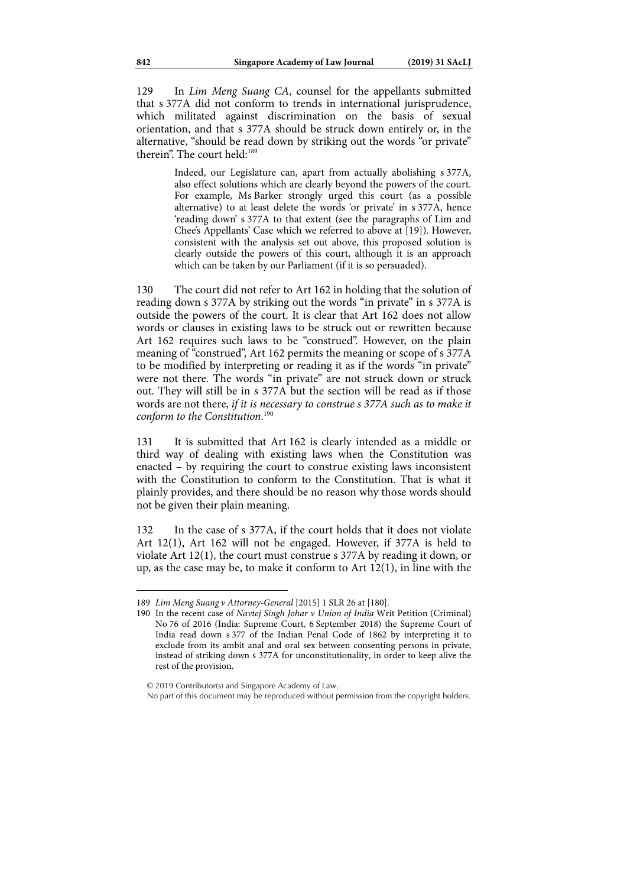129 In Lim Meng Suang CA, counsel for the appellants submitted that s 377A did not conform to trends in international jurisprudence, which militated against discrimination on the basis of sexual orientation, and that s 377A should be struck down entirely or, in the alternative, "should be read down by striking out the words "or private" therein". The court held:<sup>189</sup>

> Indeed, our Legislature can, apart from actually abolishing s 377A, also effect solutions which are clearly beyond the powers of the court. For example, Ms Barker strongly urged this court (as a possible alternative) to at least delete the words 'or private' in s 377A, hence 'reading down' s 377A to that extent (see the paragraphs of Lim and Chee's Appellants' Case which we referred to above at [19]). However, consistent with the analysis set out above, this proposed solution is clearly outside the powers of this court, although it is an approach which can be taken by our Parliament (if it is so persuaded).

130 The court did not refer to Art 162 in holding that the solution of reading down s 377A by striking out the words "in private" in s 377A is outside the powers of the court. It is clear that Art 162 does not allow words or clauses in existing laws to be struck out or rewritten because Art 162 requires such laws to be "construed". However, on the plain meaning of "construed", Art 162 permits the meaning or scope of s 377A to be modified by interpreting or reading it as if the words "in private" were not there. The words "in private" are not struck down or struck out. They will still be in s 377A but the section will be read as if those words are not there, if it is necessary to construe s 377A such as to make it conform to the Constitution. 190

131 It is submitted that Art 162 is clearly intended as a middle or third way of dealing with existing laws when the Constitution was enacted – by requiring the court to construe existing laws inconsistent with the Constitution to conform to the Constitution. That is what it plainly provides, and there should be no reason why those words should not be given their plain meaning.

132 In the case of s 377A, if the court holds that it does not violate Art 12(1), Art 162 will not be engaged. However, if 377A is held to violate Art 12(1), the court must construe s 377A by reading it down, or up, as the case may be, to make it conform to Art 12(1), in line with the

 $\overline{a}$ 

<sup>189</sup> Lim Meng Suang v Attorney-General [2015] 1 SLR 26 at [180].

<sup>190</sup> In the recent case of Navtej Singh Johar v Union of India Writ Petition (Criminal) No 76 of 2016 (India: Supreme Court, 6 September 2018) the Supreme Court of India read down s 377 of the Indian Penal Code of 1862 by interpreting it to exclude from its ambit anal and oral sex between consenting persons in private, instead of striking down s 377A for unconstitutionality, in order to keep alive the rest of the provision.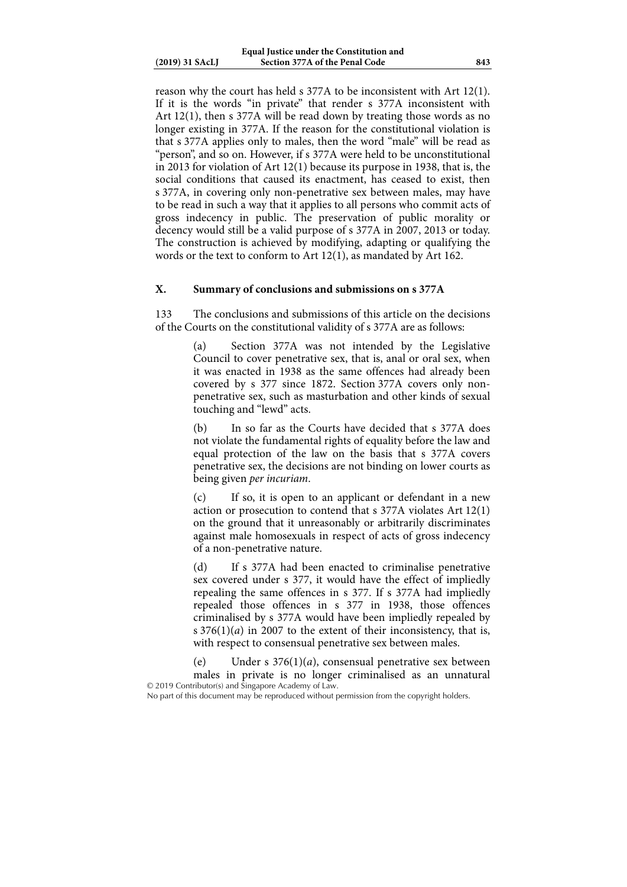reason why the court has held s 377A to be inconsistent with Art 12(1). If it is the words "in private" that render s 377A inconsistent with Art 12(1), then s 377A will be read down by treating those words as no longer existing in 377A. If the reason for the constitutional violation is that s 377A applies only to males, then the word "male" will be read as "person", and so on. However, if s 377A were held to be unconstitutional in 2013 for violation of Art 12(1) because its purpose in 1938, that is, the social conditions that caused its enactment, has ceased to exist, then s 377A, in covering only non-penetrative sex between males, may have to be read in such a way that it applies to all persons who commit acts of gross indecency in public. The preservation of public morality or decency would still be a valid purpose of s 377A in 2007, 2013 or today. The construction is achieved by modifying, adapting or qualifying the words or the text to conform to Art 12(1), as mandated by Art 162.

# **X. Summary of conclusions and submissions on s 377A**

133 The conclusions and submissions of this article on the decisions of the Courts on the constitutional validity of s 377A are as follows:

> (a) Section 377A was not intended by the Legislative Council to cover penetrative sex, that is, anal or oral sex, when it was enacted in 1938 as the same offences had already been covered by s 377 since 1872. Section 377A covers only nonpenetrative sex, such as masturbation and other kinds of sexual touching and "lewd" acts.

> (b) In so far as the Courts have decided that s 377A does not violate the fundamental rights of equality before the law and equal protection of the law on the basis that s 377A covers penetrative sex, the decisions are not binding on lower courts as being given per incuriam.

> (c) If so, it is open to an applicant or defendant in a new action or prosecution to contend that s 377A violates Art 12(1) on the ground that it unreasonably or arbitrarily discriminates against male homosexuals in respect of acts of gross indecency of a non-penetrative nature.

> (d) If s 377A had been enacted to criminalise penetrative sex covered under s 377, it would have the effect of impliedly repealing the same offences in s 377. If s 377A had impliedly repealed those offences in s 377 in 1938, those offences criminalised by s 377A would have been impliedly repealed by s  $376(1)(a)$  in 2007 to the extent of their inconsistency, that is, with respect to consensual penetrative sex between males.

© 2019 Contributor(s) and Singapore Academy of Law. (e) Under s  $376(1)(a)$ , consensual penetrative sex between males in private is no longer criminalised as an unnatural